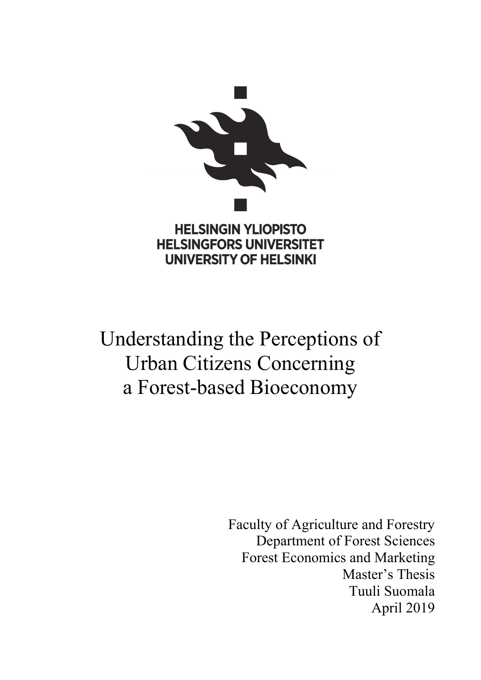

# Understanding the Perceptions of Urban Citizens Concerning a Forest-based Bioeconomy

Faculty of Agriculture and Forestry Department of Forest Sciences Forest Economics and Marketing Master's Thesis Tuuli Suomala April 2019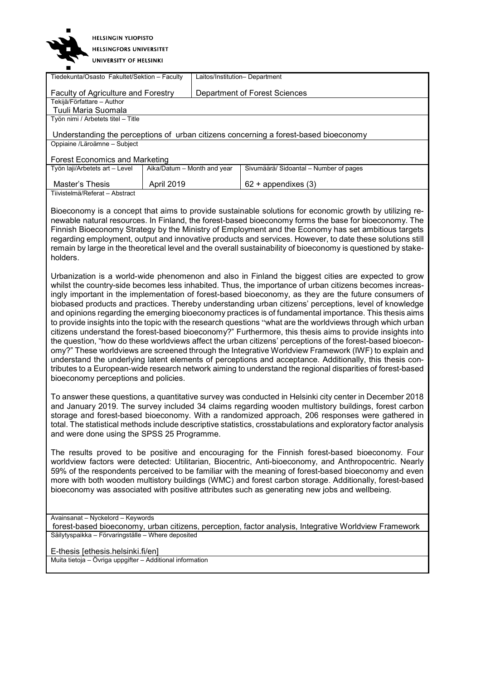| <b>HELSINGIN YLIOPISTO</b>     |
|--------------------------------|
| <b>HELSINGFORS UNIVERSITET</b> |
| UNIVERSITY OF HELSINKI         |

| Tiedekunta/Osasto Fakultet/Sektion - Faculty<br>Laitos/Institution- Department                                                                                                                                                                                                                                                                                                                                                                                                                                               |                             |  |                                                                                                                                                                                                                                                                                                                                                                                                                                                                                                                                                                                                                                                                                                                                                                                                                                                                                                                                                                                                                                                                                                                                                                                                                        |  |
|------------------------------------------------------------------------------------------------------------------------------------------------------------------------------------------------------------------------------------------------------------------------------------------------------------------------------------------------------------------------------------------------------------------------------------------------------------------------------------------------------------------------------|-----------------------------|--|------------------------------------------------------------------------------------------------------------------------------------------------------------------------------------------------------------------------------------------------------------------------------------------------------------------------------------------------------------------------------------------------------------------------------------------------------------------------------------------------------------------------------------------------------------------------------------------------------------------------------------------------------------------------------------------------------------------------------------------------------------------------------------------------------------------------------------------------------------------------------------------------------------------------------------------------------------------------------------------------------------------------------------------------------------------------------------------------------------------------------------------------------------------------------------------------------------------------|--|
| Department of Forest Sciences<br><b>Faculty of Agriculture and Forestry</b>                                                                                                                                                                                                                                                                                                                                                                                                                                                  |                             |  |                                                                                                                                                                                                                                                                                                                                                                                                                                                                                                                                                                                                                                                                                                                                                                                                                                                                                                                                                                                                                                                                                                                                                                                                                        |  |
| Tekijä/Författare - Author                                                                                                                                                                                                                                                                                                                                                                                                                                                                                                   |                             |  |                                                                                                                                                                                                                                                                                                                                                                                                                                                                                                                                                                                                                                                                                                                                                                                                                                                                                                                                                                                                                                                                                                                                                                                                                        |  |
| Tuuli Maria Suomala                                                                                                                                                                                                                                                                                                                                                                                                                                                                                                          |                             |  |                                                                                                                                                                                                                                                                                                                                                                                                                                                                                                                                                                                                                                                                                                                                                                                                                                                                                                                                                                                                                                                                                                                                                                                                                        |  |
| Työn nimi / Arbetets titel - Title                                                                                                                                                                                                                                                                                                                                                                                                                                                                                           |                             |  |                                                                                                                                                                                                                                                                                                                                                                                                                                                                                                                                                                                                                                                                                                                                                                                                                                                                                                                                                                                                                                                                                                                                                                                                                        |  |
|                                                                                                                                                                                                                                                                                                                                                                                                                                                                                                                              |                             |  | Understanding the perceptions of urban citizens concerning a forest-based bioeconomy                                                                                                                                                                                                                                                                                                                                                                                                                                                                                                                                                                                                                                                                                                                                                                                                                                                                                                                                                                                                                                                                                                                                   |  |
| Oppiaine /Läroämne - Subject                                                                                                                                                                                                                                                                                                                                                                                                                                                                                                 |                             |  |                                                                                                                                                                                                                                                                                                                                                                                                                                                                                                                                                                                                                                                                                                                                                                                                                                                                                                                                                                                                                                                                                                                                                                                                                        |  |
| <b>Forest Economics and Marketing</b>                                                                                                                                                                                                                                                                                                                                                                                                                                                                                        |                             |  |                                                                                                                                                                                                                                                                                                                                                                                                                                                                                                                                                                                                                                                                                                                                                                                                                                                                                                                                                                                                                                                                                                                                                                                                                        |  |
| Työn laji/Arbetets art - Level                                                                                                                                                                                                                                                                                                                                                                                                                                                                                               | Aika/Datum - Month and year |  | Sivumäärä/ Sidoantal - Number of pages                                                                                                                                                                                                                                                                                                                                                                                                                                                                                                                                                                                                                                                                                                                                                                                                                                                                                                                                                                                                                                                                                                                                                                                 |  |
| Master's Thesis                                                                                                                                                                                                                                                                                                                                                                                                                                                                                                              | April 2019                  |  | $62 +$ appendixes $(3)$                                                                                                                                                                                                                                                                                                                                                                                                                                                                                                                                                                                                                                                                                                                                                                                                                                                                                                                                                                                                                                                                                                                                                                                                |  |
| Tiivistelmä/Referat - Abstract                                                                                                                                                                                                                                                                                                                                                                                                                                                                                               |                             |  |                                                                                                                                                                                                                                                                                                                                                                                                                                                                                                                                                                                                                                                                                                                                                                                                                                                                                                                                                                                                                                                                                                                                                                                                                        |  |
| holders.                                                                                                                                                                                                                                                                                                                                                                                                                                                                                                                     |                             |  | Bioeconomy is a concept that aims to provide sustainable solutions for economic growth by utilizing re-<br>newable natural resources. In Finland, the forest-based bioeconomy forms the base for bioeconomy. The<br>Finnish Bioeconomy Strategy by the Ministry of Employment and the Economy has set ambitious targets<br>regarding employment, output and innovative products and services. However, to date these solutions still<br>remain by large in the theoretical level and the overall sustainability of bioeconomy is questioned by stake-                                                                                                                                                                                                                                                                                                                                                                                                                                                                                                                                                                                                                                                                  |  |
| bioeconomy perceptions and policies.                                                                                                                                                                                                                                                                                                                                                                                                                                                                                         |                             |  | Urbanization is a world-wide phenomenon and also in Finland the biggest cities are expected to grow<br>whilst the country-side becomes less inhabited. Thus, the importance of urban citizens becomes increas-<br>ingly important in the implementation of forest-based bioeconomy, as they are the future consumers of<br>biobased products and practices. Thereby understanding urban citizens' perceptions, level of knowledge<br>and opinions regarding the emerging bioeconomy practices is of fundamental importance. This thesis aims<br>to provide insights into the topic with the research questions "what are the worldviews through which urban<br>citizens understand the forest-based bioeconomy?" Furthermore, this thesis aims to provide insights into<br>the question, "how do these worldviews affect the urban citizens' perceptions of the forest-based bioecon-<br>omy?" These worldviews are screened through the Integrative Worldview Framework (IWF) to explain and<br>understand the underlying latent elements of perceptions and acceptance. Additionally, this thesis con-<br>tributes to a European-wide research network aiming to understand the regional disparities of forest-based |  |
| To answer these questions, a quantitative survey was conducted in Helsinki city center in December 2018<br>and January 2019. The survey included 34 claims regarding wooden multistory buildings, forest carbon<br>storage and forest-based bioeconomy. With a randomized approach, 206 responses were gathered in<br>total. The statistical methods include descriptive statistics, crosstabulations and exploratory factor analysis<br>and were done using the SPSS 25 Programme.                                          |                             |  |                                                                                                                                                                                                                                                                                                                                                                                                                                                                                                                                                                                                                                                                                                                                                                                                                                                                                                                                                                                                                                                                                                                                                                                                                        |  |
| The results proved to be positive and encouraging for the Finnish forest-based bioeconomy. Four<br>worldview factors were detected: Utilitarian, Biocentric, Anti-bioeconomy, and Anthropocentric. Nearly<br>59% of the respondents perceived to be familiar with the meaning of forest-based bioeconomy and even<br>more with both wooden multistory buildings (WMC) and forest carbon storage. Additionally, forest-based<br>bioeconomy was associated with positive attributes such as generating new jobs and wellbeing. |                             |  |                                                                                                                                                                                                                                                                                                                                                                                                                                                                                                                                                                                                                                                                                                                                                                                                                                                                                                                                                                                                                                                                                                                                                                                                                        |  |
| Avainsanat - Nyckelord - Keywords                                                                                                                                                                                                                                                                                                                                                                                                                                                                                            |                             |  |                                                                                                                                                                                                                                                                                                                                                                                                                                                                                                                                                                                                                                                                                                                                                                                                                                                                                                                                                                                                                                                                                                                                                                                                                        |  |
| Säilytyspaikka - Förvaringställe - Where deposited                                                                                                                                                                                                                                                                                                                                                                                                                                                                           |                             |  | forest-based bioeconomy, urban citizens, perception, factor analysis, Integrative Worldview Framework                                                                                                                                                                                                                                                                                                                                                                                                                                                                                                                                                                                                                                                                                                                                                                                                                                                                                                                                                                                                                                                                                                                  |  |
|                                                                                                                                                                                                                                                                                                                                                                                                                                                                                                                              |                             |  |                                                                                                                                                                                                                                                                                                                                                                                                                                                                                                                                                                                                                                                                                                                                                                                                                                                                                                                                                                                                                                                                                                                                                                                                                        |  |
| E-thesis [ethesis.helsinki.fi/en]                                                                                                                                                                                                                                                                                                                                                                                                                                                                                            |                             |  |                                                                                                                                                                                                                                                                                                                                                                                                                                                                                                                                                                                                                                                                                                                                                                                                                                                                                                                                                                                                                                                                                                                                                                                                                        |  |

Muita tietoja – Övriga uppgifter – Additional information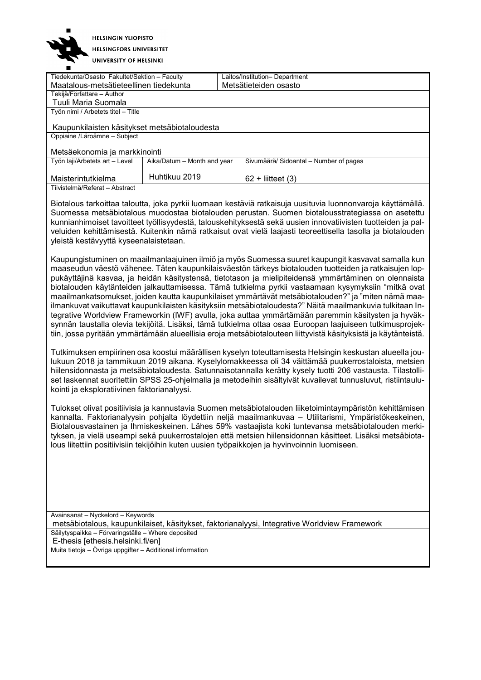

UNIVERSITY OF HELSINKI

| Tiedekunta/Osasto Fakultet/Sektion - Faculty                                                                 |                             |  | Laitos/Institution- Department                                                                              |
|--------------------------------------------------------------------------------------------------------------|-----------------------------|--|-------------------------------------------------------------------------------------------------------------|
| Maatalous-metsätieteellinen tiedekunta                                                                       |                             |  | Metsätieteiden osasto                                                                                       |
| Tekijä/Författare - Author                                                                                   |                             |  |                                                                                                             |
| Tuuli Maria Suomala                                                                                          |                             |  |                                                                                                             |
| Työn nimi / Arbetets titel - Title                                                                           |                             |  |                                                                                                             |
|                                                                                                              |                             |  |                                                                                                             |
| Kaupunkilaisten käsitykset metsäbiotaloudesta                                                                |                             |  |                                                                                                             |
| Oppiaine /Läroämne - Subject                                                                                 |                             |  |                                                                                                             |
|                                                                                                              |                             |  |                                                                                                             |
| Metsäekonomia ja markkinointi                                                                                |                             |  |                                                                                                             |
| Työn laji/Arbetets art - Level                                                                               | Aika/Datum - Month and year |  | Sivumäärä/ Sidoantal - Number of pages                                                                      |
|                                                                                                              |                             |  |                                                                                                             |
| Maisterintutkielma                                                                                           | Huhtikuu 2019               |  | $62 +$ liitteet (3)                                                                                         |
| Tiivistelmä/Referat - Abstract                                                                               |                             |  |                                                                                                             |
|                                                                                                              |                             |  |                                                                                                             |
|                                                                                                              |                             |  | Biotalous tarkoittaa taloutta, joka pyrkii luomaan kestäviä ratkaisuja uusituvia luonnonvaroja käyttämällä. |
|                                                                                                              |                             |  | Suomessa metsäbiotalous muodostaa biotalouden perustan. Suomen biotalousstrategiassa on asetettu            |
| kunnianhimoiset tavoitteet työllisyydestä, talouskehityksestä sekä uusien innovatiivisten tuotteiden ja pal- |                             |  |                                                                                                             |
| veluiden kehittämisestä. Kuitenkin nämä ratkaisut ovat vielä laajasti teoreettisella tasolla ja biotalouden  |                             |  |                                                                                                             |
| yleistä kestävyyttä kyseenalaistetaan.                                                                       |                             |  |                                                                                                             |
|                                                                                                              |                             |  |                                                                                                             |
| Kaupungistuminen on maailmanlaajuinen ilmiö ja myös Suomessa suuret kaupungit kasvavat samalla kun           |                             |  |                                                                                                             |
|                                                                                                              |                             |  | maaaaudun väestä vähenee. Täten kaupunkiloisväestän tärkeva histoleuden tuottoiden ja ratkajaujen len       |

maaseudun väestö vähenee. Täten kaupunkilaisväestön tärkeys biotalouden tuotteiden ja ratkaisujen loppukäyttäjinä kasvaa, ja heidän käsitystensä, tietotason ja mielipiteidensä ymmärtäminen on olennaista biotalouden käytänteiden jalkauttamisessa. Tämä tutkielma pyrkii vastaamaan kysymyksiin "mitkä ovat maailmankatsomukset, joiden kautta kaupunkilaiset ymmärtävät metsäbiotalouden?" ja "miten nämä maailmankuvat vaikuttavat kaupunkilaisten käsityksiin metsäbiotaloudesta?" Näitä maailmankuvia tulkitaan Integrative Worldview Frameworkin (IWF) avulla, joka auttaa ymmärtämään paremmin käsitysten ja hyväksynnän taustalla olevia tekijöitä. Lisäksi, tämä tutkielma ottaa osaa Euroopan laajuiseen tutkimusprojektiin, jossa pyritään ymmärtämään alueellisia eroja metsäbiotalouteen liittyvistä käsityksistä ja käytänteistä.

Tutkimuksen empiirinen osa koostui määrällisen kyselyn toteuttamisesta Helsingin keskustan alueella joulukuun 2018 ja tammikuun 2019 aikana. Kyselylomakkeessa oli 34 väittämää puukerrostaloista, metsien hiilensidonnasta ja metsäbiotaloudesta. Satunnaisotannalla kerätty kysely tuotti 206 vastausta. Tilastolliset laskennat suoritettiin SPSS 25-ohjelmalla ja metodeihin sisältyivät kuvailevat tunnusluvut, ristiintaulukointi ja eksploratiivinen faktorianalyysi.

Tulokset olivat positiivisia ja kannustavia Suomen metsäbiotalouden liiketoimintaympäristön kehittämisen kannalta. Faktorianalyysin pohjalta löydettiin neljä maailmankuvaa – Utilitarismi, Ympäristökeskeinen, Biotalousvastainen ja Ihmiskeskeinen. Lähes 59% vastaajista koki tuntevansa metsäbiotalouden merkityksen, ja vielä useampi sekä puukerrostalojen että metsien hiilensidonnan käsitteet. Lisäksi metsäbiotalous liitettiin positiivisiin tekijöihin kuten uusien työpaikkojen ja hyvinvoinnin luomiseen.

Avainsanat – Nyckelord – Keywords metsäbiotalous, kaupunkilaiset, käsitykset, faktorianalyysi, Integrative Worldview Framework Säilytyspaikka – Förvaringställe – Where deposited E-thesis [ethesis.helsinki.fi/en]

Muita tietoja – Övriga uppgifter – Additional information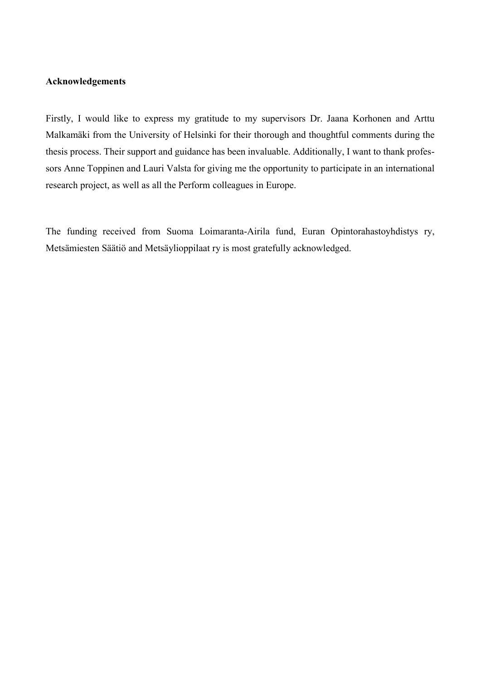#### **Acknowledgements**

Firstly, I would like to express my gratitude to my supervisors Dr. Jaana Korhonen and Arttu Malkamäki from the University of Helsinki for their thorough and thoughtful comments during the thesis process. Their support and guidance has been invaluable. Additionally, I want to thank professors Anne Toppinen and Lauri Valsta for giving me the opportunity to participate in an international research project, as well as all the Perform colleagues in Europe.

The funding received from Suoma Loimaranta-Airila fund, Euran Opintorahastoyhdistys ry, Metsämiesten Säätiö and Metsäylioppilaat ry is most gratefully acknowledged.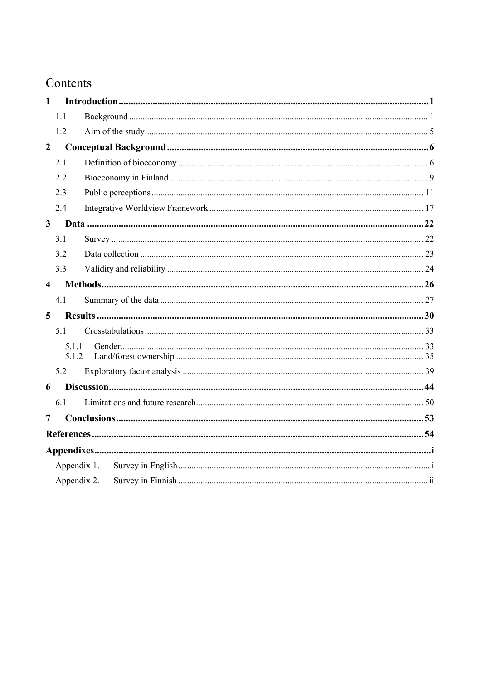## Contents

| $\mathbf{1}$            |                |  |
|-------------------------|----------------|--|
|                         | 1.1            |  |
|                         | 1.2            |  |
| $\overline{2}$          |                |  |
|                         | 2.1            |  |
|                         | 2.2            |  |
|                         | 2.3            |  |
|                         | 2.4            |  |
| $\mathbf{3}$            |                |  |
|                         | 3.1            |  |
|                         | 3.2            |  |
|                         | 3.3            |  |
| $\overline{\mathbf{4}}$ |                |  |
|                         | 4.1            |  |
| 5 <sup>5</sup>          |                |  |
|                         | 5.1            |  |
|                         | 5.1.1<br>5.1.2 |  |
|                         | 5.2            |  |
| 6                       |                |  |
|                         | 6.1            |  |
| 7                       |                |  |
|                         |                |  |
|                         |                |  |
|                         | Appendix 1.    |  |
|                         | Appendix 2.    |  |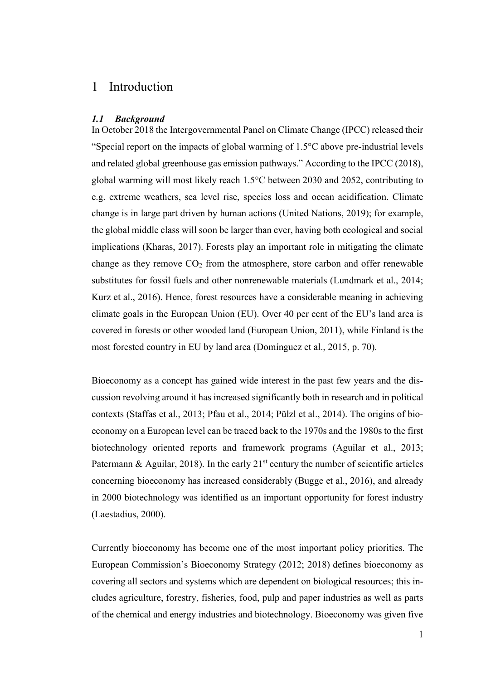### <span id="page-5-0"></span>1 Introduction

#### <span id="page-5-1"></span>*1.1 Background*

In October 2018 the Intergovernmental Panel on Climate Change (IPCC) released their "Special report on the impacts of global warming of 1.5°C above pre-industrial levels and related global greenhouse gas emission pathways." According to the IPCC (2018), global warming will most likely reach 1.5°C between 2030 and 2052, contributing to e.g. extreme weathers, sea level rise, species loss and ocean acidification. Climate change is in large part driven by human actions (United Nations, 2019); for example, the global middle class will soon be larger than ever, having both ecological and social implications (Kharas, 2017). Forests play an important role in mitigating the climate change as they remove  $CO<sub>2</sub>$  from the atmosphere, store carbon and offer renewable substitutes for fossil fuels and other nonrenewable materials (Lundmark et al., 2014; Kurz et al., 2016). Hence, forest resources have a considerable meaning in achieving climate goals in the European Union (EU). Over 40 per cent of the EU's land area is covered in forests or other wooded land (European Union, 2011), while Finland is the most forested country in EU by land area (Domínguez et al., 2015, p. 70).

Bioeconomy as a concept has gained wide interest in the past few years and the discussion revolving around it has increased significantly both in research and in political contexts (Staffas et al., 2013; Pfau et al., 2014; Pülzl et al., 2014). The origins of bioeconomy on a European level can be traced back to the 1970s and the 1980s to the first biotechnology oriented reports and framework programs (Aguilar et al., 2013; Patermann & Aguilar, 2018). In the early  $21<sup>st</sup>$  century the number of scientific articles concerning bioeconomy has increased considerably (Bugge et al., 2016), and already in 2000 biotechnology was identified as an important opportunity for forest industry (Laestadius, 2000).

Currently bioeconomy has become one of the most important policy priorities. The European Commission's Bioeconomy Strategy (2012; 2018) defines bioeconomy as covering all sectors and systems which are dependent on biological resources; this includes agriculture, forestry, fisheries, food, pulp and paper industries as well as parts of the chemical and energy industries and biotechnology. Bioeconomy was given five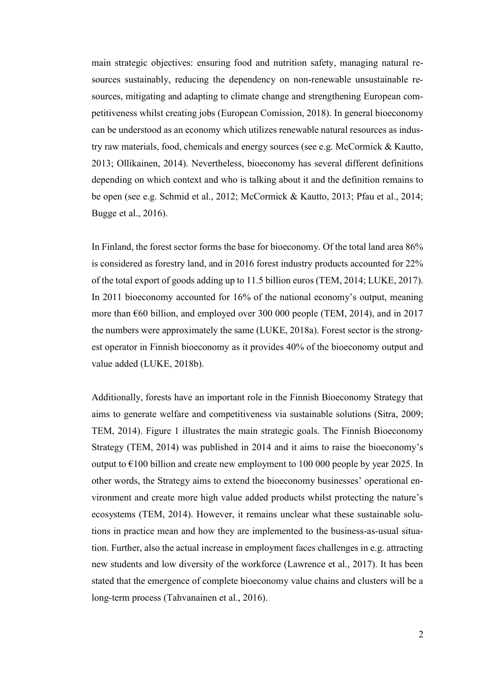main strategic objectives: ensuring food and nutrition safety, managing natural resources sustainably, reducing the dependency on non-renewable unsustainable resources, mitigating and adapting to climate change and strengthening European competitiveness whilst creating jobs (European Comission, 2018). In general bioeconomy can be understood as an economy which utilizes renewable natural resources as industry raw materials, food, chemicals and energy sources (see e.g. McCormick & Kautto, 2013; Ollikainen, 2014). Nevertheless, bioeconomy has several different definitions depending on which context and who is talking about it and the definition remains to be open (see e.g. Schmid et al., 2012; McCormick & Kautto, 2013; Pfau et al., 2014; Bugge et al., 2016).

In Finland, the forest sector forms the base for bioeconomy. Of the total land area 86% is considered as forestry land, and in 2016 forest industry products accounted for 22% of the total export of goods adding up to 11.5 billion euros (TEM, 2014; LUKE, 2017). In 2011 bioeconomy accounted for 16% of the national economy's output, meaning more than  $\epsilon$ 60 billion, and employed over 300 000 people (TEM, 2014), and in 2017 the numbers were approximately the same (LUKE, 2018a). Forest sector is the strongest operator in Finnish bioeconomy as it provides 40% of the bioeconomy output and value added (LUKE, 2018b).

Additionally, forests have an important role in the Finnish Bioeconomy Strategy that aims to generate welfare and competitiveness via sustainable solutions (Sitra, 2009; TEM, 2014). Figure 1 illustrates the main strategic goals. The Finnish Bioeconomy Strategy (TEM, 2014) was published in 2014 and it aims to raise the bioeconomy's output to  $\epsilon$ 100 billion and create new employment to 100 000 people by year 2025. In other words, the Strategy aims to extend the bioeconomy businesses' operational environment and create more high value added products whilst protecting the nature's ecosystems (TEM, 2014). However, it remains unclear what these sustainable solutions in practice mean and how they are implemented to the business-as-usual situation. Further, also the actual increase in employment faces challenges in e.g. attracting new students and low diversity of the workforce (Lawrence et al., 2017). It has been stated that the emergence of complete bioeconomy value chains and clusters will be a long-term process (Tahvanainen et al., 2016).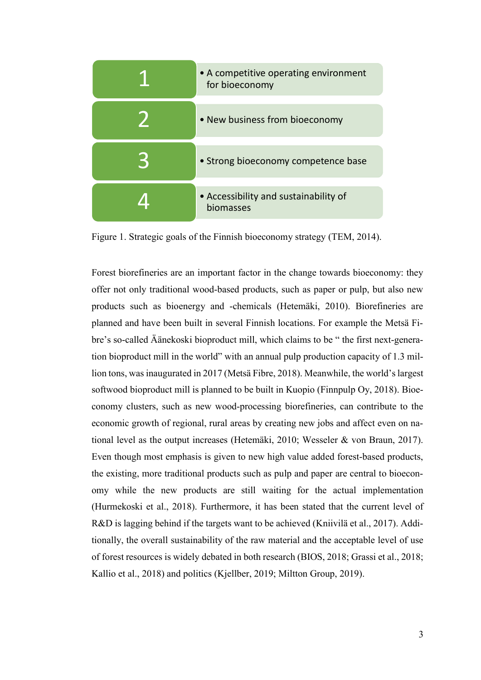| • A competitive operating environment<br>for bioeconomy |
|---------------------------------------------------------|
| • New business from bioeconomy                          |
| • Strong bioeconomy competence base                     |
| • Accessibility and sustainability of<br>biomasses      |

Figure 1. Strategic goals of the Finnish bioeconomy strategy (TEM, 2014).

Forest biorefineries are an important factor in the change towards bioeconomy: they offer not only traditional wood-based products, such as paper or pulp, but also new products such as bioenergy and -chemicals (Hetemäki, 2010). Biorefineries are planned and have been built in several Finnish locations. For example the Metsä Fibre's so-called Äänekoski bioproduct mill, which claims to be " the first next-generation bioproduct mill in the world" with an annual pulp production capacity of 1.3 million tons, was inaugurated in 2017 (Metsä Fibre, 2018). Meanwhile, the world's largest softwood bioproduct mill is planned to be built in Kuopio (Finnpulp Oy, 2018). Bioeconomy clusters, such as new wood-processing biorefineries, can contribute to the economic growth of regional, rural areas by creating new jobs and affect even on national level as the output increases (Hetemäki, 2010; Wesseler & von Braun, 2017). Even though most emphasis is given to new high value added forest-based products, the existing, more traditional products such as pulp and paper are central to bioeconomy while the new products are still waiting for the actual implementation (Hurmekoski et al., 2018). Furthermore, it has been stated that the current level of R&D is lagging behind if the targets want to be achieved (Kniivilä et al., 2017). Additionally, the overall sustainability of the raw material and the acceptable level of use of forest resources is widely debated in both research (BIOS, 2018; Grassi et al., 2018; Kallio et al., 2018) and politics (Kjellber, 2019; Miltton Group, 2019).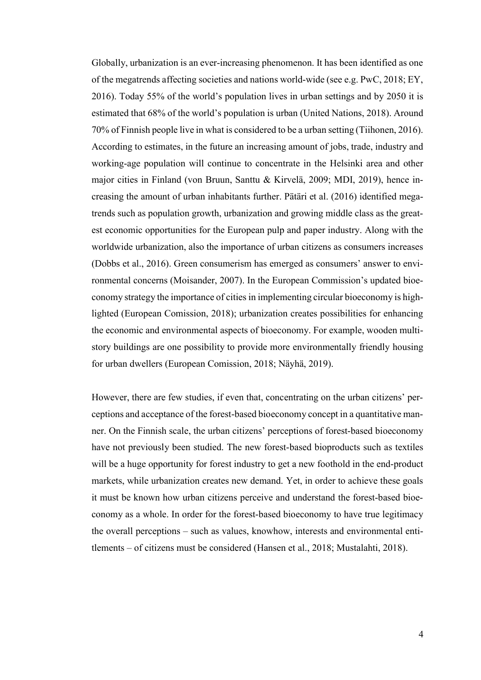Globally, urbanization is an ever-increasing phenomenon. It has been identified as one of the megatrends affecting societies and nations world-wide (see e.g. PwC, 2018; EY, 2016). Today 55% of the world's population lives in urban settings and by 2050 it is estimated that 68% of the world's population is urban (United Nations, 2018). Around 70% of Finnish people live in what is considered to be a urban setting (Tiihonen, 2016). According to estimates, in the future an increasing amount of jobs, trade, industry and working-age population will continue to concentrate in the Helsinki area and other major cities in Finland (von Bruun, Santtu & Kirvelä, 2009; MDI, 2019), hence increasing the amount of urban inhabitants further. Pätäri et al. (2016) identified megatrends such as population growth, urbanization and growing middle class as the greatest economic opportunities for the European pulp and paper industry. Along with the worldwide urbanization, also the importance of urban citizens as consumers increases (Dobbs et al., 2016). Green consumerism has emerged as consumers' answer to environmental concerns (Moisander, 2007). In the European Commission's updated bioeconomy strategy the importance of cities in implementing circular bioeconomy is highlighted (European Comission, 2018); urbanization creates possibilities for enhancing the economic and environmental aspects of bioeconomy. For example, wooden multistory buildings are one possibility to provide more environmentally friendly housing for urban dwellers (European Comission, 2018; Näyhä, 2019).

However, there are few studies, if even that, concentrating on the urban citizens' perceptions and acceptance of the forest-based bioeconomy concept in a quantitative manner. On the Finnish scale, the urban citizens' perceptions of forest-based bioeconomy have not previously been studied. The new forest-based bioproducts such as textiles will be a huge opportunity for forest industry to get a new foothold in the end-product markets, while urbanization creates new demand. Yet, in order to achieve these goals it must be known how urban citizens perceive and understand the forest-based bioeconomy as a whole. In order for the forest-based bioeconomy to have true legitimacy the overall perceptions – such as values, knowhow, interests and environmental entitlements – of citizens must be considered (Hansen et al., 2018; Mustalahti, 2018).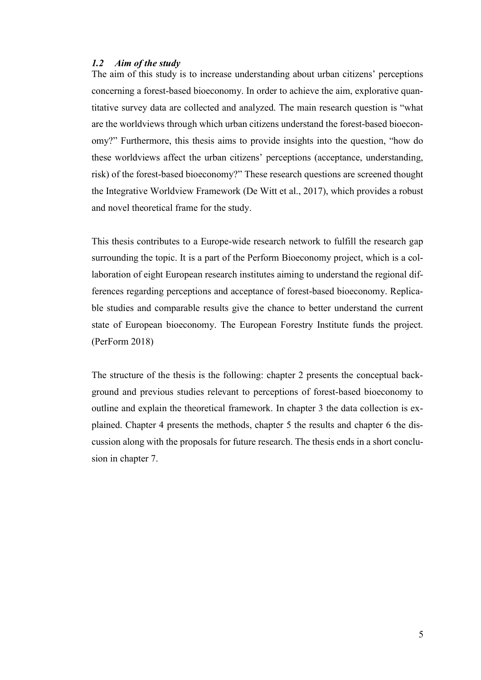### <span id="page-9-0"></span>*1.2 Aim of the study*

The aim of this study is to increase understanding about urban citizens' perceptions concerning a forest-based bioeconomy. In order to achieve the aim, explorative quantitative survey data are collected and analyzed. The main research question is "what are the worldviews through which urban citizens understand the forest-based bioeconomy?" Furthermore, this thesis aims to provide insights into the question, "how do these worldviews affect the urban citizens' perceptions (acceptance, understanding, risk) of the forest-based bioeconomy?" These research questions are screened thought the Integrative Worldview Framework (De Witt et al., 2017), which provides a robust and novel theoretical frame for the study.

This thesis contributes to a Europe-wide research network to fulfill the research gap surrounding the topic. It is a part of the Perform Bioeconomy project, which is a collaboration of eight European research institutes aiming to understand the regional differences regarding perceptions and acceptance of forest-based bioeconomy. Replicable studies and comparable results give the chance to better understand the current state of European bioeconomy. The European Forestry Institute funds the project. (PerForm 2018)

The structure of the thesis is the following: chapter 2 presents the conceptual background and previous studies relevant to perceptions of forest-based bioeconomy to outline and explain the theoretical framework. In chapter 3 the data collection is explained. Chapter 4 presents the methods, chapter 5 the results and chapter 6 the discussion along with the proposals for future research. The thesis ends in a short conclusion in chapter 7.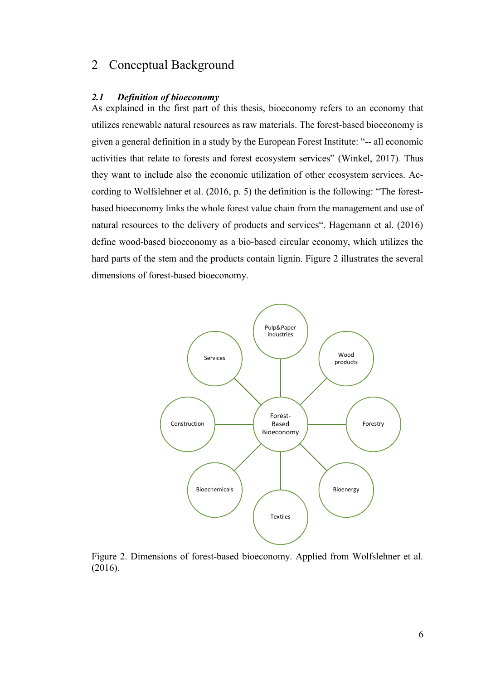### <span id="page-10-0"></span>2 Conceptual Background

#### <span id="page-10-1"></span>*2.1 Definition of bioeconomy*

As explained in the first part of this thesis, bioeconomy refers to an economy that utilizes renewable natural resources as raw materials. The forest-based bioeconomy is given a general definition in a study by the European Forest Institute: "-- all economic activities that relate to forests and forest ecosystem services" (Winkel, 2017)*.* Thus they want to include also the economic utilization of other ecosystem services. According to Wolfslehner et al. (2016, p. 5) the definition is the following: "The forestbased bioeconomy links the whole forest value chain from the management and use of natural resources to the delivery of products and services". Hagemann et al. (2016) define wood-based bioeconomy as a bio-based circular economy, which utilizes the hard parts of the stem and the products contain lignin. Figure 2 illustrates the several dimensions of forest-based bioeconomy.



Figure 2. Dimensions of forest-based bioeconomy. Applied from Wolfslehner et al. (2016).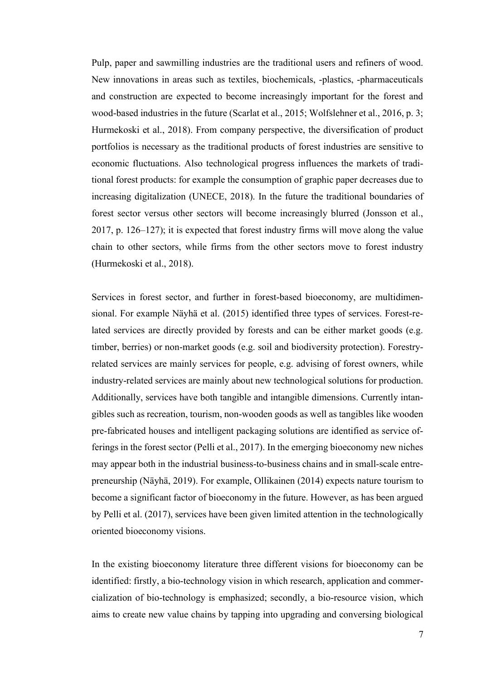Pulp, paper and sawmilling industries are the traditional users and refiners of wood. New innovations in areas such as textiles, biochemicals, -plastics, -pharmaceuticals and construction are expected to become increasingly important for the forest and wood-based industries in the future (Scarlat et al., 2015; Wolfslehner et al., 2016, p. 3; Hurmekoski et al., 2018). From company perspective, the diversification of product portfolios is necessary as the traditional products of forest industries are sensitive to economic fluctuations. Also technological progress influences the markets of traditional forest products: for example the consumption of graphic paper decreases due to increasing digitalization (UNECE, 2018). In the future the traditional boundaries of forest sector versus other sectors will become increasingly blurred (Jonsson et al., 2017, p. 126–127); it is expected that forest industry firms will move along the value chain to other sectors, while firms from the other sectors move to forest industry (Hurmekoski et al., 2018).

Services in forest sector, and further in forest-based bioeconomy, are multidimensional. For example Näyhä et al. (2015) identified three types of services. Forest-related services are directly provided by forests and can be either market goods (e.g. timber, berries) or non-market goods (e.g. soil and biodiversity protection). Forestryrelated services are mainly services for people, e.g. advising of forest owners, while industry-related services are mainly about new technological solutions for production. Additionally, services have both tangible and intangible dimensions. Currently intangibles such as recreation, tourism, non-wooden goods as well as tangibles like wooden pre-fabricated houses and intelligent packaging solutions are identified as service offerings in the forest sector (Pelli et al., 2017). In the emerging bioeconomy new niches may appear both in the industrial business-to-business chains and in small-scale entrepreneurship (Näyhä, 2019). For example, Ollikainen (2014) expects nature tourism to become a significant factor of bioeconomy in the future. However, as has been argued by Pelli et al. (2017), services have been given limited attention in the technologically oriented bioeconomy visions.

In the existing bioeconomy literature three different visions for bioeconomy can be identified: firstly, a bio-technology vision in which research, application and commercialization of bio-technology is emphasized; secondly, a bio-resource vision, which aims to create new value chains by tapping into upgrading and conversing biological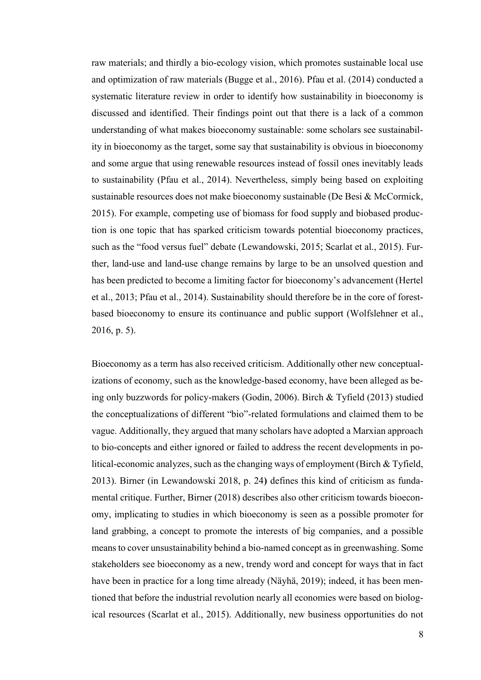raw materials; and thirdly a bio-ecology vision, which promotes sustainable local use and optimization of raw materials (Bugge et al., 2016). Pfau et al. (2014) conducted a systematic literature review in order to identify how sustainability in bioeconomy is discussed and identified. Their findings point out that there is a lack of a common understanding of what makes bioeconomy sustainable: some scholars see sustainability in bioeconomy as the target, some say that sustainability is obvious in bioeconomy and some argue that using renewable resources instead of fossil ones inevitably leads to sustainability (Pfau et al., 2014). Nevertheless, simply being based on exploiting sustainable resources does not make bioeconomy sustainable (De Besi & McCormick, 2015). For example, competing use of biomass for food supply and biobased production is one topic that has sparked criticism towards potential bioeconomy practices, such as the "food versus fuel" debate (Lewandowski, 2015; Scarlat et al., 2015). Further, land-use and land-use change remains by large to be an unsolved question and has been predicted to become a limiting factor for bioeconomy's advancement (Hertel et al., 2013; Pfau et al., 2014). Sustainability should therefore be in the core of forestbased bioeconomy to ensure its continuance and public support (Wolfslehner et al., 2016, p. 5).

Bioeconomy as a term has also received criticism. Additionally other new conceptualizations of economy, such as the knowledge-based economy, have been alleged as being only buzzwords for policy-makers (Godin, 2006). Birch & Tyfield (2013) studied the conceptualizations of different "bio"-related formulations and claimed them to be vague. Additionally, they argued that many scholars have adopted a Marxian approach to bio-concepts and either ignored or failed to address the recent developments in political-economic analyzes, such as the changing ways of employment (Birch & Tyfield, 2013). Birner (in Lewandowski 2018, p. 24**)** defines this kind of criticism as fundamental critique. Further, Birner (2018) describes also other criticism towards bioeconomy, implicating to studies in which bioeconomy is seen as a possible promoter for land grabbing, a concept to promote the interests of big companies, and a possible means to cover unsustainability behind a bio-named concept as in greenwashing. Some stakeholders see bioeconomy as a new, trendy word and concept for ways that in fact have been in practice for a long time already (Näyhä, 2019); indeed, it has been mentioned that before the industrial revolution nearly all economies were based on biological resources (Scarlat et al., 2015). Additionally, new business opportunities do not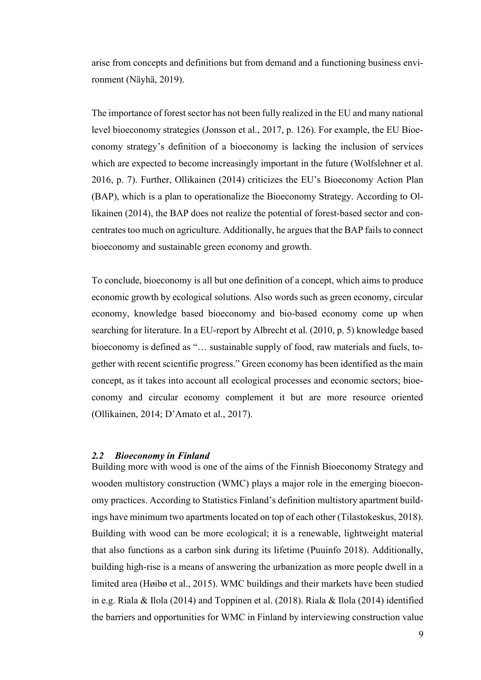arise from concepts and definitions but from demand and a functioning business environment (Näyhä, 2019).

The importance of forest sector has not been fully realized in the EU and many national level bioeconomy strategies (Jonsson et al., 2017, p. 126). For example, the EU Bioeconomy strategy's definition of a bioeconomy is lacking the inclusion of services which are expected to become increasingly important in the future (Wolfslehner et al. 2016, p. 7). Further, Ollikainen (2014) criticizes the EU's Bioeconomy Action Plan (BAP), which is a plan to operationalize the Bioeconomy Strategy. According to Ollikainen (2014), the BAP does not realize the potential of forest-based sector and concentrates too much on agriculture. Additionally, he argues that the BAP fails to connect bioeconomy and sustainable green economy and growth.

To conclude, bioeconomy is all but one definition of a concept, which aims to produce economic growth by ecological solutions. Also words such as green economy, circular economy, knowledge based bioeconomy and bio-based economy come up when searching for literature. In a EU-report by Albrecht et al. (2010, p. 5) knowledge based bioeconomy is defined as "… sustainable supply of food, raw materials and fuels, together with recent scientific progress." Green economy has been identified as the main concept, as it takes into account all ecological processes and economic sectors; bioeconomy and circular economy complement it but are more resource oriented (Ollikainen, 2014; D'Amato et al., 2017).

#### <span id="page-13-0"></span>*2.2 Bioeconomy in Finland*

Building more with wood is one of the aims of the Finnish Bioeconomy Strategy and wooden multistory construction (WMC) plays a major role in the emerging bioeconomy practices. According to Statistics Finland's definition multistory apartment buildings have minimum two apartments located on top of each other (Tilastokeskus, 2018). Building with wood can be more ecological; it is a renewable, lightweight material that also functions as a carbon sink during its lifetime (Puuinfo 2018). Additionally, building high-rise is a means of answering the urbanization as more people dwell in a limited area (Høibø et al., 2015). WMC buildings and their markets have been studied in e.g. Riala & Ilola (2014) and Toppinen et al. (2018). Riala & Ilola (2014) identified the barriers and opportunities for WMC in Finland by interviewing construction value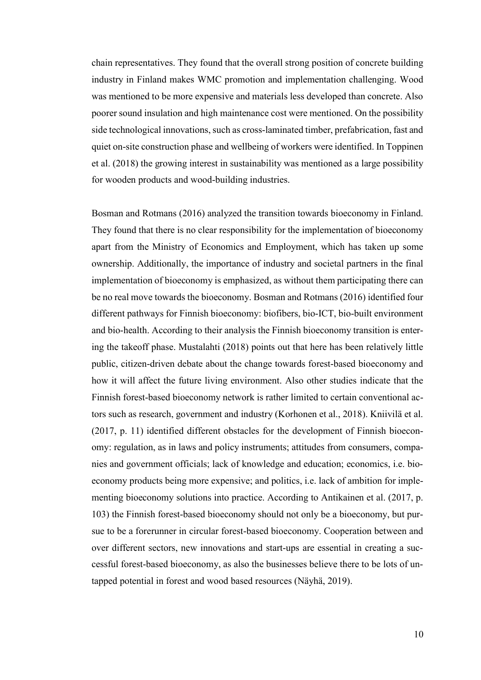chain representatives. They found that the overall strong position of concrete building industry in Finland makes WMC promotion and implementation challenging. Wood was mentioned to be more expensive and materials less developed than concrete. Also poorer sound insulation and high maintenance cost were mentioned. On the possibility side technological innovations, such as cross-laminated timber, prefabrication, fast and quiet on-site construction phase and wellbeing of workers were identified. In Toppinen et al. (2018) the growing interest in sustainability was mentioned as a large possibility for wooden products and wood-building industries.

Bosman and Rotmans (2016) analyzed the transition towards bioeconomy in Finland. They found that there is no clear responsibility for the implementation of bioeconomy apart from the Ministry of Economics and Employment, which has taken up some ownership. Additionally, the importance of industry and societal partners in the final implementation of bioeconomy is emphasized, as without them participating there can be no real move towards the bioeconomy. Bosman and Rotmans (2016) identified four different pathways for Finnish bioeconomy: biofibers, bio-ICT, bio-built environment and bio-health. According to their analysis the Finnish bioeconomy transition is entering the takeoff phase. Mustalahti (2018) points out that here has been relatively little public, citizen-driven debate about the change towards forest-based bioeconomy and how it will affect the future living environment. Also other studies indicate that the Finnish forest-based bioeconomy network is rather limited to certain conventional actors such as research, government and industry (Korhonen et al., 2018). Kniivilä et al. (2017, p. 11) identified different obstacles for the development of Finnish bioeconomy: regulation, as in laws and policy instruments; attitudes from consumers, companies and government officials; lack of knowledge and education; economics, i.e. bioeconomy products being more expensive; and politics, i.e. lack of ambition for implementing bioeconomy solutions into practice. According to Antikainen et al. (2017, p. 103) the Finnish forest-based bioeconomy should not only be a bioeconomy, but pursue to be a forerunner in circular forest-based bioeconomy. Cooperation between and over different sectors, new innovations and start-ups are essential in creating a successful forest-based bioeconomy, as also the businesses believe there to be lots of untapped potential in forest and wood based resources (Näyhä, 2019).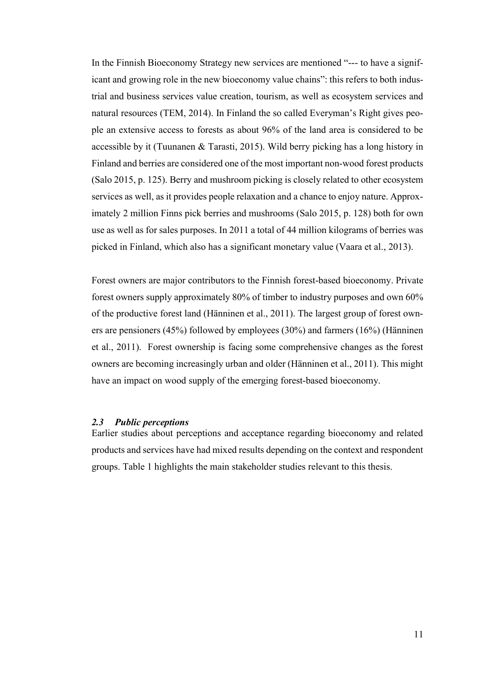In the Finnish Bioeconomy Strategy new services are mentioned "--- to have a significant and growing role in the new bioeconomy value chains": this refers to both industrial and business services value creation, tourism, as well as ecosystem services and natural resources (TEM, 2014). In Finland the so called Everyman's Right gives people an extensive access to forests as about 96% of the land area is considered to be accessible by it (Tuunanen & Tarasti, 2015). Wild berry picking has a long history in Finland and berries are considered one of the most important non-wood forest products (Salo 2015, p. 125). Berry and mushroom picking is closely related to other ecosystem services as well, as it provides people relaxation and a chance to enjoy nature. Approximately 2 million Finns pick berries and mushrooms (Salo 2015, p. 128) both for own use as well as for sales purposes. In 2011 a total of 44 million kilograms of berries was picked in Finland, which also has a significant monetary value (Vaara et al., 2013).

Forest owners are major contributors to the Finnish forest-based bioeconomy. Private forest owners supply approximately 80% of timber to industry purposes and own 60% of the productive forest land (Hänninen et al., 2011). The largest group of forest owners are pensioners (45%) followed by employees (30%) and farmers (16%) (Hänninen et al., 2011). Forest ownership is facing some comprehensive changes as the forest owners are becoming increasingly urban and older (Hänninen et al., 2011). This might have an impact on wood supply of the emerging forest-based bioeconomy.

#### <span id="page-15-0"></span>*2.3 Public perceptions*

Earlier studies about perceptions and acceptance regarding bioeconomy and related products and services have had mixed results depending on the context and respondent groups. Table 1 highlights the main stakeholder studies relevant to this thesis.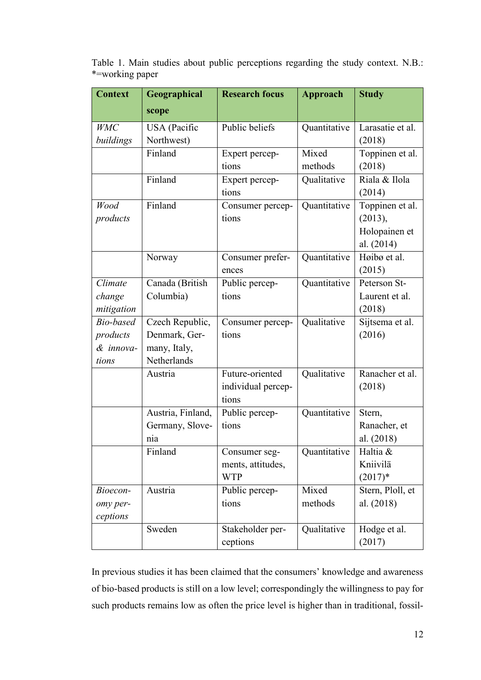Table 1. Main studies about public perceptions regarding the study context. N.B.: \*=working paper

| <b>Context</b> | Geographical      | <b>Research focus</b> | <b>Approach</b> | <b>Study</b>     |
|----------------|-------------------|-----------------------|-----------------|------------------|
|                | scope             |                       |                 |                  |
| <b>WMC</b>     | USA (Pacific      | Public beliefs        | Quantitative    | Larasatie et al. |
| buildings      | Northwest)        |                       |                 | (2018)           |
|                | Finland           | Expert percep-        | Mixed           | Toppinen et al.  |
|                |                   | tions                 | methods         | (2018)           |
|                | Finland           | Expert percep-        | Qualitative     | Riala & Ilola    |
|                |                   | tions                 |                 | (2014)           |
| Wood           | Finland           | Consumer percep-      | Quantitative    | Toppinen et al.  |
| products       |                   | tions                 |                 | (2013),          |
|                |                   |                       |                 | Holopainen et    |
|                |                   |                       |                 | al. (2014)       |
|                | Norway            | Consumer prefer-      | Quantitative    | Høibø et al.     |
|                |                   | ences                 |                 | (2015)           |
| Climate        | Canada (British   | Public percep-        | Quantitative    | Peterson St-     |
| change         | Columbia)         | tions                 |                 | Laurent et al.   |
| mitigation     |                   |                       |                 | (2018)           |
| Bio-based      | Czech Republic,   | Consumer percep-      | Qualitative     | Sijtsema et al.  |
| products       | Denmark, Ger-     | tions                 |                 | (2016)           |
| & innova-      | many, Italy,      |                       |                 |                  |
| tions          | Netherlands       |                       |                 |                  |
|                | Austria           | Future-oriented       | Qualitative     | Ranacher et al.  |
|                |                   | individual percep-    |                 | (2018)           |
|                |                   | tions                 |                 |                  |
|                | Austria, Finland, | Public percep-        | Quantitative    | Stern,           |
|                | Germany, Slove-   | tions                 |                 | Ranacher, et     |
|                | nia               |                       |                 | al. (2018)       |
|                | Finland           | Consumer seg-         | Quantitative    | Haltia &         |
|                |                   | ments, attitudes,     |                 | Kniivilä         |
|                |                   | <b>WTP</b>            |                 | $(2017)*$        |
| Bioecon-       | Austria           | Public percep-        | Mixed           | Stern, Ploll, et |
| omy per-       |                   | tions                 | methods         | al. (2018)       |
| ceptions       |                   |                       |                 |                  |
|                | Sweden            | Stakeholder per-      | Qualitative     | Hodge et al.     |
|                |                   | ceptions              |                 | (2017)           |

In previous studies it has been claimed that the consumers' knowledge and awareness of bio-based products is still on a low level; correspondingly the willingness to pay for such products remains low as often the price level is higher than in traditional, fossil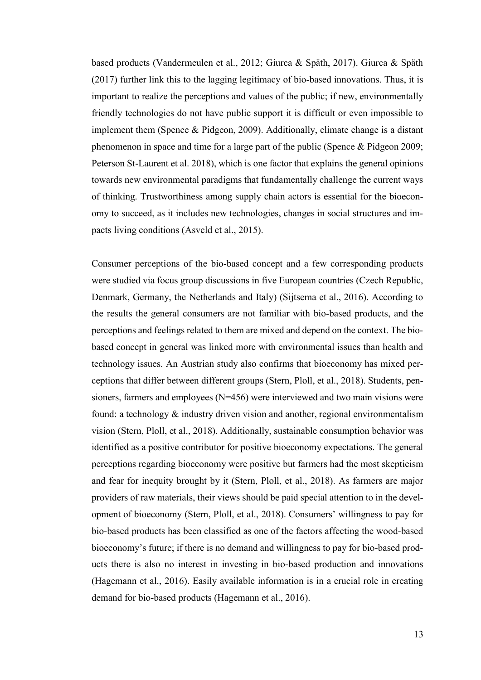based products (Vandermeulen et al., 2012; Giurca & Späth, 2017). Giurca & Späth (2017) further link this to the lagging legitimacy of bio-based innovations. Thus, it is important to realize the perceptions and values of the public; if new, environmentally friendly technologies do not have public support it is difficult or even impossible to implement them (Spence & Pidgeon, 2009). Additionally, climate change is a distant phenomenon in space and time for a large part of the public (Spence & Pidgeon 2009; Peterson St-Laurent et al. 2018), which is one factor that explains the general opinions towards new environmental paradigms that fundamentally challenge the current ways of thinking. Trustworthiness among supply chain actors is essential for the bioeconomy to succeed, as it includes new technologies, changes in social structures and impacts living conditions (Asveld et al., 2015).

Consumer perceptions of the bio-based concept and a few corresponding products were studied via focus group discussions in five European countries (Czech Republic, Denmark, Germany, the Netherlands and Italy) (Sijtsema et al., 2016). According to the results the general consumers are not familiar with bio-based products, and the perceptions and feelings related to them are mixed and depend on the context. The biobased concept in general was linked more with environmental issues than health and technology issues. An Austrian study also confirms that bioeconomy has mixed perceptions that differ between different groups (Stern, Ploll, et al., 2018). Students, pensioners, farmers and employees (N=456) were interviewed and two main visions were found: a technology  $\&$  industry driven vision and another, regional environmentalism vision (Stern, Ploll, et al., 2018). Additionally, sustainable consumption behavior was identified as a positive contributor for positive bioeconomy expectations. The general perceptions regarding bioeconomy were positive but farmers had the most skepticism and fear for inequity brought by it (Stern, Ploll, et al., 2018). As farmers are major providers of raw materials, their views should be paid special attention to in the development of bioeconomy (Stern, Ploll, et al., 2018). Consumers' willingness to pay for bio-based products has been classified as one of the factors affecting the wood-based bioeconomy's future; if there is no demand and willingness to pay for bio-based products there is also no interest in investing in bio-based production and innovations (Hagemann et al., 2016). Easily available information is in a crucial role in creating demand for bio-based products (Hagemann et al., 2016).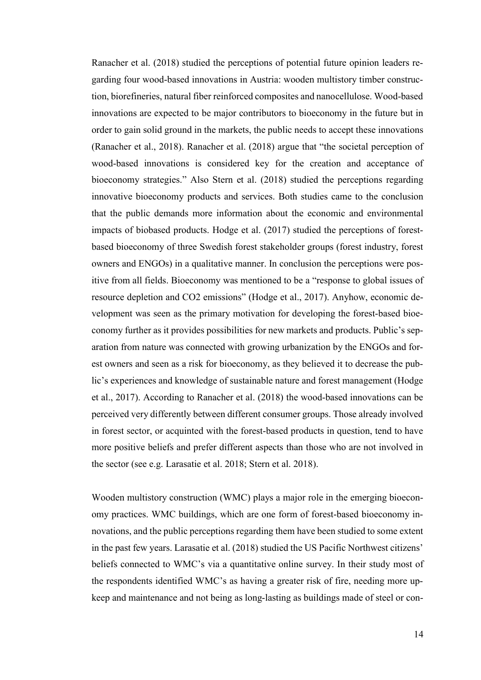Ranacher et al. (2018) studied the perceptions of potential future opinion leaders regarding four wood-based innovations in Austria: wooden multistory timber construction, biorefineries, natural fiber reinforced composites and nanocellulose. Wood-based innovations are expected to be major contributors to bioeconomy in the future but in order to gain solid ground in the markets, the public needs to accept these innovations (Ranacher et al., 2018). Ranacher et al. (2018) argue that "the societal perception of wood-based innovations is considered key for the creation and acceptance of bioeconomy strategies." Also Stern et al. (2018) studied the perceptions regarding innovative bioeconomy products and services. Both studies came to the conclusion that the public demands more information about the economic and environmental impacts of biobased products. Hodge et al. (2017) studied the perceptions of forestbased bioeconomy of three Swedish forest stakeholder groups (forest industry, forest owners and ENGOs) in a qualitative manner. In conclusion the perceptions were positive from all fields. Bioeconomy was mentioned to be a "response to global issues of resource depletion and CO2 emissions" (Hodge et al., 2017). Anyhow, economic development was seen as the primary motivation for developing the forest-based bioeconomy further as it provides possibilities for new markets and products. Public's separation from nature was connected with growing urbanization by the ENGOs and forest owners and seen as a risk for bioeconomy, as they believed it to decrease the public's experiences and knowledge of sustainable nature and forest management (Hodge et al., 2017). According to Ranacher et al. (2018) the wood-based innovations can be perceived very differently between different consumer groups. Those already involved in forest sector, or acquinted with the forest-based products in question, tend to have more positive beliefs and prefer different aspects than those who are not involved in the sector (see e.g. Larasatie et al. 2018; Stern et al. 2018).

Wooden multistory construction (WMC) plays a major role in the emerging bioeconomy practices. WMC buildings, which are one form of forest-based bioeconomy innovations, and the public perceptions regarding them have been studied to some extent in the past few years. Larasatie et al. (2018) studied the US Pacific Northwest citizens' beliefs connected to WMC's via a quantitative online survey. In their study most of the respondents identified WMC's as having a greater risk of fire, needing more upkeep and maintenance and not being as long-lasting as buildings made of steel or con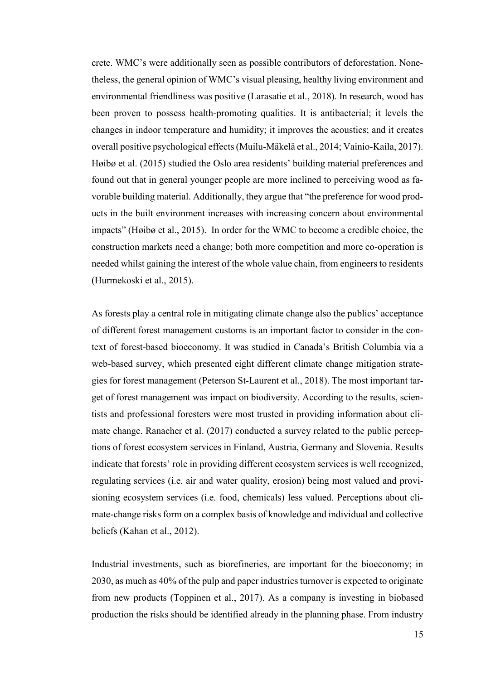crete. WMC's were additionally seen as possible contributors of deforestation. Nonetheless, the general opinion of WMC's visual pleasing, healthy living environment and environmental friendliness was positive (Larasatie et al., 2018). In research, wood has been proven to possess health-promoting qualities. It is antibacterial; it levels the changes in indoor temperature and humidity; it improves the acoustics; and it creates overall positive psychological effects (Muilu-Mäkelä et al., 2014; Vainio-Kaila, 2017). Høibø et al. (2015) studied the Oslo area residents' building material preferences and found out that in general younger people are more inclined to perceiving wood as favorable building material. Additionally, they argue that "the preference for wood products in the built environment increases with increasing concern about environmental impacts" (Høibø et al., 2015). In order for the WMC to become a credible choice, the construction markets need a change; both more competition and more co-operation is needed whilst gaining the interest of the whole value chain, from engineers to residents (Hurmekoski et al., 2015).

As forests play a central role in mitigating climate change also the publics' acceptance of different forest management customs is an important factor to consider in the context of forest-based bioeconomy. It was studied in Canada's British Columbia via a web-based survey, which presented eight different climate change mitigation strategies for forest management (Peterson St-Laurent et al., 2018). The most important target of forest management was impact on biodiversity. According to the results, scientists and professional foresters were most trusted in providing information about climate change. Ranacher et al. (2017) conducted a survey related to the public perceptions of forest ecosystem services in Finland, Austria, Germany and Slovenia. Results indicate that forests' role in providing different ecosystem services is well recognized, regulating services (i.e. air and water quality, erosion) being most valued and provisioning ecosystem services (i.e. food, chemicals) less valued. Perceptions about climate-change risks form on a complex basis of knowledge and individual and collective beliefs (Kahan et al., 2012).

Industrial investments, such as biorefineries, are important for the bioeconomy; in 2030, as much as 40% of the pulp and paper industries turnover is expected to originate from new products (Toppinen et al., 2017). As a company is investing in biobased production the risks should be identified already in the planning phase. From industry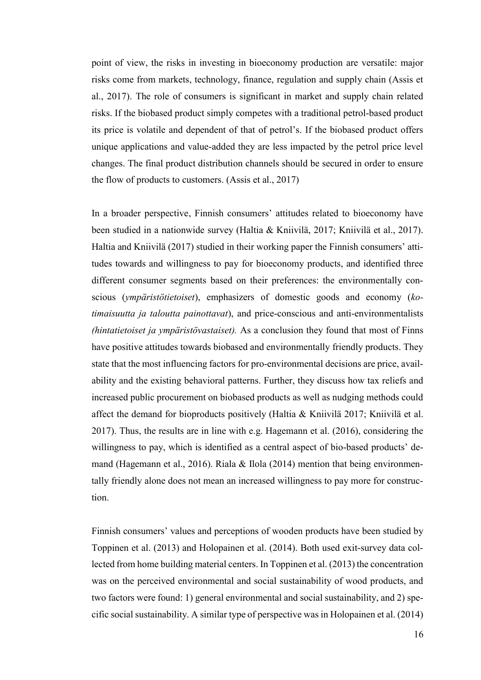point of view, the risks in investing in bioeconomy production are versatile: major risks come from markets, technology, finance, regulation and supply chain (Assis et al., 2017). The role of consumers is significant in market and supply chain related risks. If the biobased product simply competes with a traditional petrol-based product its price is volatile and dependent of that of petrol's. If the biobased product offers unique applications and value-added they are less impacted by the petrol price level changes. The final product distribution channels should be secured in order to ensure the flow of products to customers. (Assis et al., 2017)

In a broader perspective, Finnish consumers' attitudes related to bioeconomy have been studied in a nationwide survey (Haltia & Kniivilä, 2017; Kniivilä et al., 2017). Haltia and Kniivilä (2017) studied in their working paper the Finnish consumers' attitudes towards and willingness to pay for bioeconomy products, and identified three different consumer segments based on their preferences: the environmentally conscious (*ympäristötietoiset*), emphasizers of domestic goods and economy (*kotimaisuutta ja taloutta painottavat*), and price-conscious and anti-environmentalists *(hintatietoiset ja ympäristövastaiset).* As a conclusion they found that most of Finns have positive attitudes towards biobased and environmentally friendly products. They state that the most influencing factors for pro-environmental decisions are price, availability and the existing behavioral patterns. Further, they discuss how tax reliefs and increased public procurement on biobased products as well as nudging methods could affect the demand for bioproducts positively (Haltia & Kniivilä 2017; Kniivilä et al. 2017). Thus, the results are in line with e.g. Hagemann et al. (2016), considering the willingness to pay, which is identified as a central aspect of bio-based products' demand (Hagemann et al., 2016). Riala  $\&$  Ilola (2014) mention that being environmentally friendly alone does not mean an increased willingness to pay more for construction.

Finnish consumers' values and perceptions of wooden products have been studied by Toppinen et al. (2013) and Holopainen et al. (2014). Both used exit-survey data collected from home building material centers. In Toppinen et al. (2013) the concentration was on the perceived environmental and social sustainability of wood products, and two factors were found: 1) general environmental and social sustainability, and 2) specific social sustainability. A similar type of perspective was in Holopainen et al. (2014)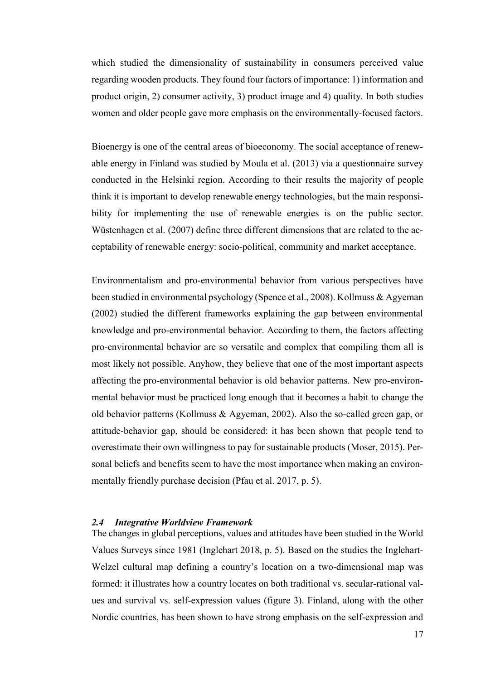which studied the dimensionality of sustainability in consumers perceived value regarding wooden products. They found four factors of importance: 1) information and product origin, 2) consumer activity, 3) product image and 4) quality. In both studies women and older people gave more emphasis on the environmentally-focused factors.

Bioenergy is one of the central areas of bioeconomy. The social acceptance of renewable energy in Finland was studied by Moula et al. (2013) via a questionnaire survey conducted in the Helsinki region. According to their results the majority of people think it is important to develop renewable energy technologies, but the main responsibility for implementing the use of renewable energies is on the public sector. Wüstenhagen et al. (2007) define three different dimensions that are related to the acceptability of renewable energy: socio-political, community and market acceptance.

Environmentalism and pro-environmental behavior from various perspectives have been studied in environmental psychology (Spence et al., 2008). Kollmuss & Agyeman (2002) studied the different frameworks explaining the gap between environmental knowledge and pro-environmental behavior. According to them, the factors affecting pro-environmental behavior are so versatile and complex that compiling them all is most likely not possible. Anyhow, they believe that one of the most important aspects affecting the pro-environmental behavior is old behavior patterns. New pro-environmental behavior must be practiced long enough that it becomes a habit to change the old behavior patterns (Kollmuss & Agyeman, 2002). Also the so-called green gap, or attitude-behavior gap, should be considered: it has been shown that people tend to overestimate their own willingness to pay for sustainable products (Moser, 2015). Personal beliefs and benefits seem to have the most importance when making an environmentally friendly purchase decision (Pfau et al. 2017, p. 5).

#### <span id="page-21-0"></span>*2.4 Integrative Worldview Framework*

The changes in global perceptions, values and attitudes have been studied in the World Values Surveys since 1981 (Inglehart 2018, p. 5). Based on the studies the Inglehart-Welzel cultural map defining a country's location on a two-dimensional map was formed: it illustrates how a country locates on both traditional vs. secular-rational values and survival vs. self-expression values (figure 3). Finland, along with the other Nordic countries, has been shown to have strong emphasis on the self-expression and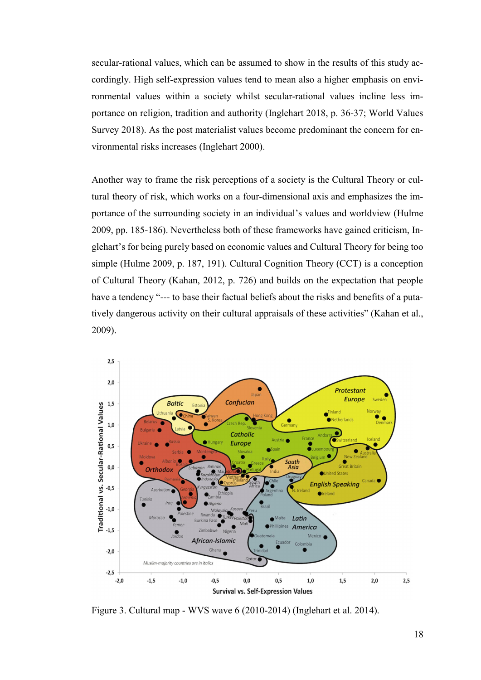secular-rational values, which can be assumed to show in the results of this study accordingly. High self-expression values tend to mean also a higher emphasis on environmental values within a society whilst secular-rational values incline less importance on religion, tradition and authority (Inglehart 2018, p. 36-37; World Values Survey 2018). As the post materialist values become predominant the concern for environmental risks increases (Inglehart 2000).

Another way to frame the risk perceptions of a society is the Cultural Theory or cultural theory of risk, which works on a four-dimensional axis and emphasizes the importance of the surrounding society in an individual's values and worldview (Hulme 2009, pp. 185-186). Nevertheless both of these frameworks have gained criticism, Inglehart's for being purely based on economic values and Cultural Theory for being too simple (Hulme 2009, p. 187, 191). Cultural Cognition Theory (CCT) is a conception of Cultural Theory (Kahan, 2012, p. 726) and builds on the expectation that people have a tendency "--- to base their factual beliefs about the risks and benefits of a putatively dangerous activity on their cultural appraisals of these activities" (Kahan et al., 2009).



Figure 3. Cultural map - WVS wave 6 (2010-2014) (Inglehart et al. 2014).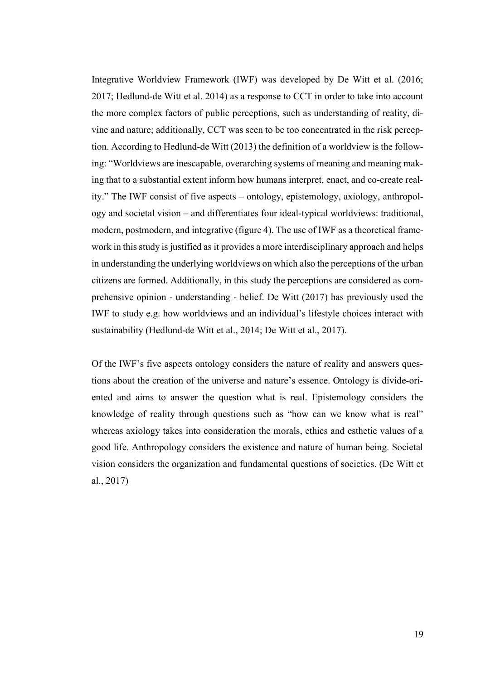Integrative Worldview Framework (IWF) was developed by De Witt et al. (2016; 2017; Hedlund-de Witt et al. 2014) as a response to CCT in order to take into account the more complex factors of public perceptions, such as understanding of reality, divine and nature; additionally, CCT was seen to be too concentrated in the risk perception. According to Hedlund-de Witt (2013) the definition of a worldview is the following: "Worldviews are inescapable, overarching systems of meaning and meaning making that to a substantial extent inform how humans interpret, enact, and co-create reality." The IWF consist of five aspects – ontology, epistemology, axiology, anthropology and societal vision – and differentiates four ideal-typical worldviews: traditional, modern, postmodern, and integrative (figure 4). The use of IWF as a theoretical framework in this study is justified as it provides a more interdisciplinary approach and helps in understanding the underlying worldviews on which also the perceptions of the urban citizens are formed. Additionally, in this study the perceptions are considered as comprehensive opinion - understanding - belief. De Witt (2017) has previously used the IWF to study e.g. how worldviews and an individual's lifestyle choices interact with sustainability (Hedlund-de Witt et al., 2014; De Witt et al., 2017).

Of the IWF's five aspects ontology considers the nature of reality and answers questions about the creation of the universe and nature's essence. Ontology is divide-oriented and aims to answer the question what is real. Epistemology considers the knowledge of reality through questions such as "how can we know what is real" whereas axiology takes into consideration the morals, ethics and esthetic values of a good life. Anthropology considers the existence and nature of human being. Societal vision considers the organization and fundamental questions of societies. (De Witt et al., 2017)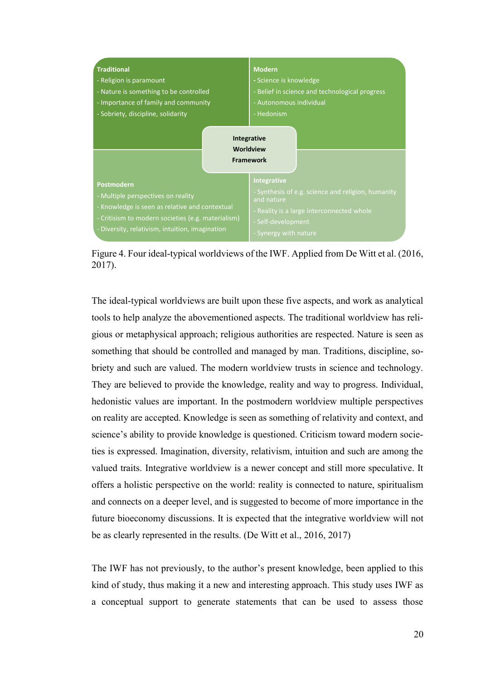

Figure 4. Four ideal-typical worldviews of the IWF. Applied from De Witt et al. (2016, 2017).

The ideal-typical worldviews are built upon these five aspects, and work as analytical tools to help analyze the abovementioned aspects. The traditional worldview has religious or metaphysical approach; religious authorities are respected. Nature is seen as something that should be controlled and managed by man. Traditions, discipline, sobriety and such are valued. The modern worldview trusts in science and technology. They are believed to provide the knowledge, reality and way to progress. Individual, hedonistic values are important. In the postmodern worldview multiple perspectives on reality are accepted. Knowledge is seen as something of relativity and context, and science's ability to provide knowledge is questioned. Criticism toward modern societies is expressed. Imagination, diversity, relativism, intuition and such are among the valued traits. Integrative worldview is a newer concept and still more speculative. It offers a holistic perspective on the world: reality is connected to nature, spiritualism and connects on a deeper level, and is suggested to become of more importance in the future bioeconomy discussions. It is expected that the integrative worldview will not be as clearly represented in the results. (De Witt et al., 2016, 2017)

The IWF has not previously, to the author's present knowledge, been applied to this kind of study, thus making it a new and interesting approach. This study uses IWF as a conceptual support to generate statements that can be used to assess those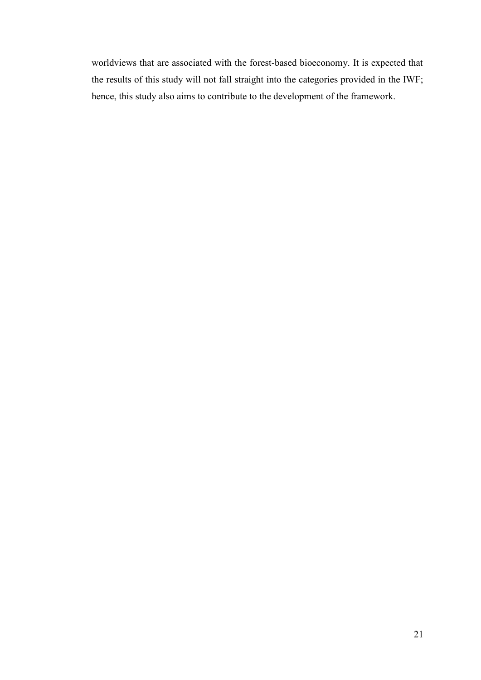worldviews that are associated with the forest-based bioeconomy. It is expected that the results of this study will not fall straight into the categories provided in the IWF; hence, this study also aims to contribute to the development of the framework.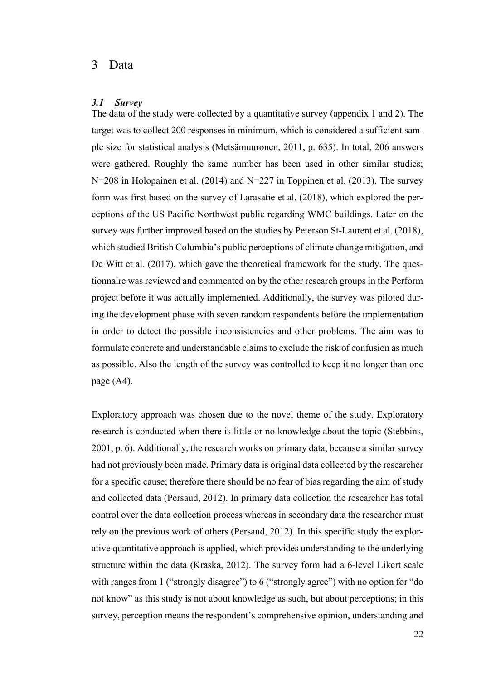### <span id="page-26-0"></span>3 Data

### <span id="page-26-1"></span>*3.1 Survey*

The data of the study were collected by a quantitative survey (appendix 1 and 2). The target was to collect 200 responses in minimum, which is considered a sufficient sample size for statistical analysis (Metsämuuronen, 2011, p. 635). In total, 206 answers were gathered. Roughly the same number has been used in other similar studies; N=208 in Holopainen et al. (2014) and N=227 in Toppinen et al. (2013). The survey form was first based on the survey of Larasatie et al. (2018), which explored the perceptions of the US Pacific Northwest public regarding WMC buildings. Later on the survey was further improved based on the studies by Peterson St-Laurent et al. (2018), which studied British Columbia's public perceptions of climate change mitigation, and De Witt et al. (2017), which gave the theoretical framework for the study. The questionnaire was reviewed and commented on by the other research groups in the Perform project before it was actually implemented. Additionally, the survey was piloted during the development phase with seven random respondents before the implementation in order to detect the possible inconsistencies and other problems. The aim was to formulate concrete and understandable claims to exclude the risk of confusion as much as possible. Also the length of the survey was controlled to keep it no longer than one page (A4).

Exploratory approach was chosen due to the novel theme of the study. Exploratory research is conducted when there is little or no knowledge about the topic (Stebbins, 2001, p. 6). Additionally, the research works on primary data, because a similar survey had not previously been made. Primary data is original data collected by the researcher for a specific cause; therefore there should be no fear of bias regarding the aim of study and collected data (Persaud, 2012). In primary data collection the researcher has total control over the data collection process whereas in secondary data the researcher must rely on the previous work of others (Persaud, 2012). In this specific study the explorative quantitative approach is applied, which provides understanding to the underlying structure within the data (Kraska, 2012). The survey form had a 6-level Likert scale with ranges from 1 ("strongly disagree") to 6 ("strongly agree") with no option for "do not know" as this study is not about knowledge as such, but about perceptions; in this survey, perception means the respondent's comprehensive opinion, understanding and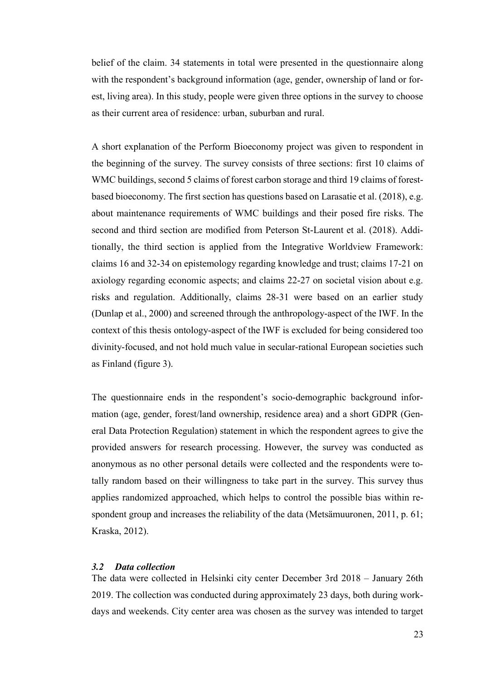belief of the claim. 34 statements in total were presented in the questionnaire along with the respondent's background information (age, gender, ownership of land or forest, living area). In this study, people were given three options in the survey to choose as their current area of residence: urban, suburban and rural.

A short explanation of the Perform Bioeconomy project was given to respondent in the beginning of the survey. The survey consists of three sections: first 10 claims of WMC buildings, second 5 claims of forest carbon storage and third 19 claims of forestbased bioeconomy. The first section has questions based on Larasatie et al. (2018), e.g. about maintenance requirements of WMC buildings and their posed fire risks. The second and third section are modified from Peterson St-Laurent et al. (2018). Additionally, the third section is applied from the Integrative Worldview Framework: claims 16 and 32-34 on epistemology regarding knowledge and trust; claims 17-21 on axiology regarding economic aspects; and claims 22-27 on societal vision about e.g. risks and regulation. Additionally, claims 28-31 were based on an earlier study (Dunlap et al., 2000) and screened through the anthropology-aspect of the IWF. In the context of this thesis ontology-aspect of the IWF is excluded for being considered too divinity-focused, and not hold much value in secular-rational European societies such as Finland (figure 3).

The questionnaire ends in the respondent's socio-demographic background information (age, gender, forest/land ownership, residence area) and a short GDPR (General Data Protection Regulation) statement in which the respondent agrees to give the provided answers for research processing. However, the survey was conducted as anonymous as no other personal details were collected and the respondents were totally random based on their willingness to take part in the survey. This survey thus applies randomized approached, which helps to control the possible bias within respondent group and increases the reliability of the data (Metsämuuronen, 2011, p. 61; Kraska, 2012).

### <span id="page-27-0"></span>*3.2 Data collection*

The data were collected in Helsinki city center December 3rd 2018 – January 26th 2019. The collection was conducted during approximately 23 days, both during workdays and weekends. City center area was chosen as the survey was intended to target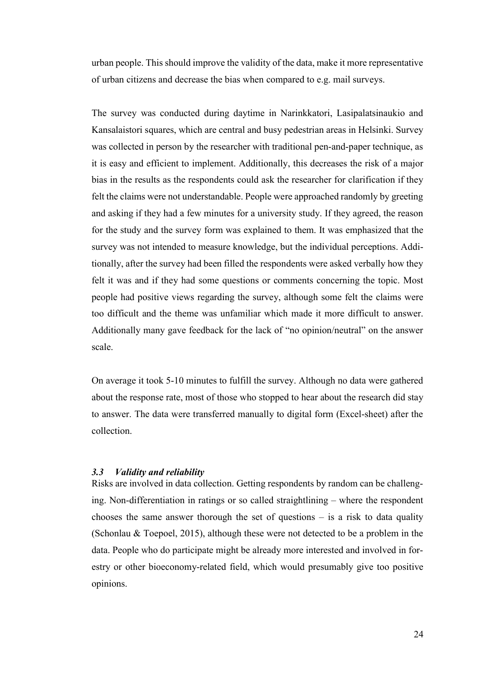urban people. This should improve the validity of the data, make it more representative of urban citizens and decrease the bias when compared to e.g. mail surveys.

The survey was conducted during daytime in Narinkkatori, Lasipalatsinaukio and Kansalaistori squares, which are central and busy pedestrian areas in Helsinki. Survey was collected in person by the researcher with traditional pen-and-paper technique, as it is easy and efficient to implement. Additionally, this decreases the risk of a major bias in the results as the respondents could ask the researcher for clarification if they felt the claims were not understandable. People were approached randomly by greeting and asking if they had a few minutes for a university study. If they agreed, the reason for the study and the survey form was explained to them. It was emphasized that the survey was not intended to measure knowledge, but the individual perceptions. Additionally, after the survey had been filled the respondents were asked verbally how they felt it was and if they had some questions or comments concerning the topic. Most people had positive views regarding the survey, although some felt the claims were too difficult and the theme was unfamiliar which made it more difficult to answer. Additionally many gave feedback for the lack of "no opinion/neutral" on the answer scale.

On average it took 5-10 minutes to fulfill the survey. Although no data were gathered about the response rate, most of those who stopped to hear about the research did stay to answer. The data were transferred manually to digital form (Excel-sheet) after the collection.

### <span id="page-28-0"></span>*3.3 Validity and reliability*

Risks are involved in data collection. Getting respondents by random can be challenging. Non-differentiation in ratings or so called straightlining – where the respondent chooses the same answer thorough the set of questions – is a risk to data quality (Schonlau & Toepoel, 2015), although these were not detected to be a problem in the data. People who do participate might be already more interested and involved in forestry or other bioeconomy-related field, which would presumably give too positive opinions.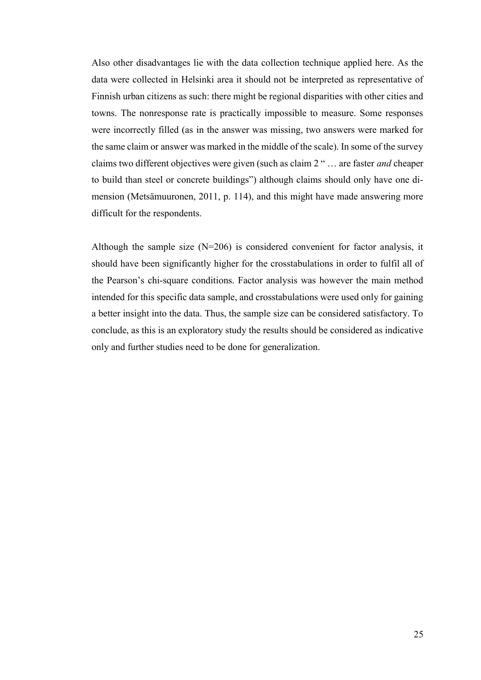Also other disadvantages lie with the data collection technique applied here. As the data were collected in Helsinki area it should not be interpreted as representative of Finnish urban citizens as such: there might be regional disparities with other cities and towns. The nonresponse rate is practically impossible to measure. Some responses were incorrectly filled (as in the answer was missing, two answers were marked for the same claim or answer was marked in the middle of the scale). In some of the survey claims two different objectives were given (such as claim 2 " … are faster *and* cheaper to build than steel or concrete buildings") although claims should only have one dimension (Metsämuuronen, 2011, p. 114), and this might have made answering more difficult for the respondents.

Although the sample size  $(N=206)$  is considered convenient for factor analysis, it should have been significantly higher for the crosstabulations in order to fulfil all of the Pearson's chi-square conditions. Factor analysis was however the main method intended for this specific data sample, and crosstabulations were used only for gaining a better insight into the data. Thus, the sample size can be considered satisfactory. To conclude, as this is an exploratory study the results should be considered as indicative only and further studies need to be done for generalization.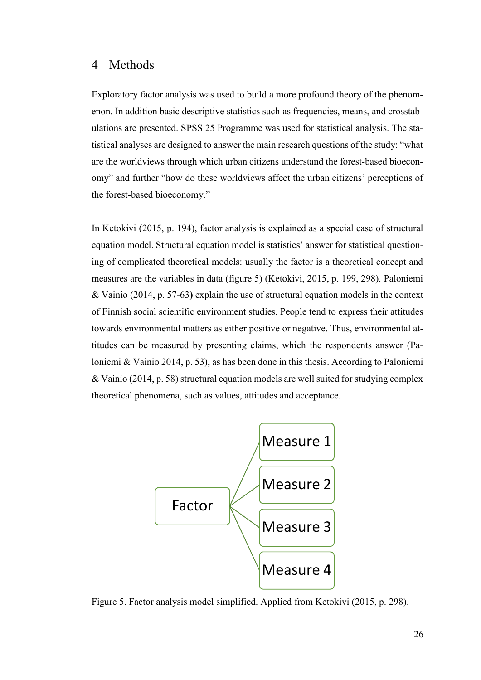### <span id="page-30-0"></span>4 Methods

Exploratory factor analysis was used to build a more profound theory of the phenomenon. In addition basic descriptive statistics such as frequencies, means, and crosstabulations are presented. SPSS 25 Programme was used for statistical analysis. The statistical analyses are designed to answer the main research questions of the study: "what are the worldviews through which urban citizens understand the forest-based bioeconomy" and further "how do these worldviews affect the urban citizens' perceptions of the forest-based bioeconomy."

In Ketokivi (2015, p. 194), factor analysis is explained as a special case of structural equation model. Structural equation model is statistics' answer for statistical questioning of complicated theoretical models: usually the factor is a theoretical concept and measures are the variables in data (figure 5) (Ketokivi, 2015, p. 199, 298). Paloniemi & Vainio (2014, p. 57-63**)** explain the use of structural equation models in the context of Finnish social scientific environment studies. People tend to express their attitudes towards environmental matters as either positive or negative. Thus, environmental attitudes can be measured by presenting claims, which the respondents answer (Paloniemi & Vainio 2014, p. 53), as has been done in this thesis. According to Paloniemi & Vainio (2014, p. 58) structural equation models are well suited for studying complex theoretical phenomena, such as values, attitudes and acceptance.



Figure 5. Factor analysis model simplified. Applied from Ketokivi (2015, p. 298).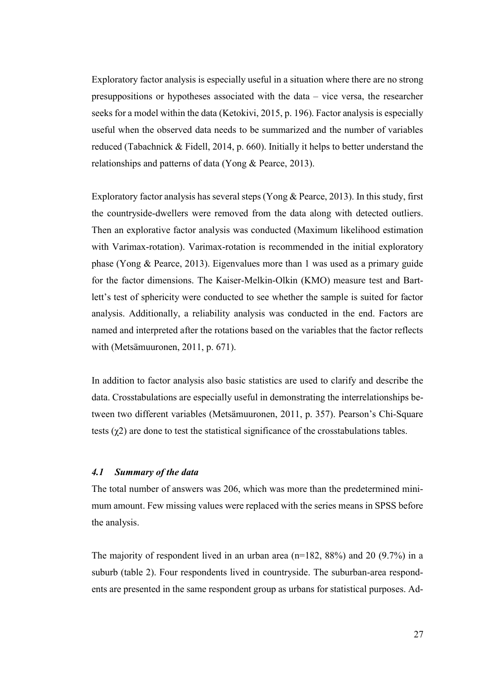Exploratory factor analysis is especially useful in a situation where there are no strong presuppositions or hypotheses associated with the data – vice versa, the researcher seeks for a model within the data (Ketokivi, 2015, p. 196). Factor analysis is especially useful when the observed data needs to be summarized and the number of variables reduced (Tabachnick & Fidell, 2014, p. 660). Initially it helps to better understand the relationships and patterns of data (Yong & Pearce, 2013).

Exploratory factor analysis has several steps (Yong & Pearce, 2013). In this study, first the countryside-dwellers were removed from the data along with detected outliers. Then an explorative factor analysis was conducted (Maximum likelihood estimation with Varimax-rotation). Varimax-rotation is recommended in the initial exploratory phase (Yong & Pearce, 2013). Eigenvalues more than 1 was used as a primary guide for the factor dimensions. The Kaiser-Melkin-Olkin (KMO) measure test and Bartlett's test of sphericity were conducted to see whether the sample is suited for factor analysis. Additionally, a reliability analysis was conducted in the end. Factors are named and interpreted after the rotations based on the variables that the factor reflects with (Metsämuuronen, 2011, p. 671).

In addition to factor analysis also basic statistics are used to clarify and describe the data. Crosstabulations are especially useful in demonstrating the interrelationships between two different variables (Metsämuuronen, 2011, p. 357). Pearson's Chi-Square tests  $(\gamma 2)$  are done to test the statistical significance of the crosstabulations tables.

#### <span id="page-31-0"></span>*4.1 Summary of the data*

The total number of answers was 206, which was more than the predetermined minimum amount. Few missing values were replaced with the series means in SPSS before the analysis.

The majority of respondent lived in an urban area (n=182, 88%) and 20 (9.7%) in a suburb (table 2). Four respondents lived in countryside. The suburban-area respondents are presented in the same respondent group as urbans for statistical purposes. Ad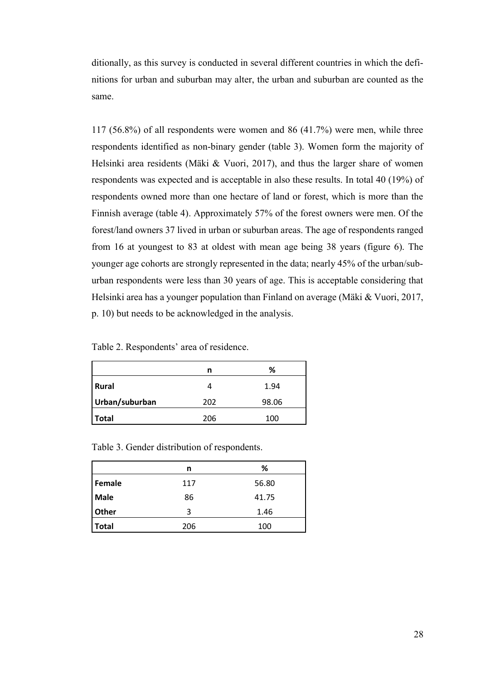ditionally, as this survey is conducted in several different countries in which the definitions for urban and suburban may alter, the urban and suburban are counted as the same.

117 (56.8%) of all respondents were women and 86 (41.7%) were men, while three respondents identified as non-binary gender (table 3). Women form the majority of Helsinki area residents (Mäki & Vuori, 2017), and thus the larger share of women respondents was expected and is acceptable in also these results. In total 40 (19%) of respondents owned more than one hectare of land or forest, which is more than the Finnish average (table 4). Approximately 57% of the forest owners were men. Of the forest/land owners 37 lived in urban or suburban areas. The age of respondents ranged from 16 at youngest to 83 at oldest with mean age being 38 years (figure 6). The younger age cohorts are strongly represented in the data; nearly 45% of the urban/suburban respondents were less than 30 years of age. This is acceptable considering that Helsinki area has a younger population than Finland on average (Mäki & Vuori, 2017, p. 10) but needs to be acknowledged in the analysis.

Table 2. Respondents' area of residence.

|                | n   | %     |
|----------------|-----|-------|
| <b>Rural</b>   |     | 1.94  |
| Urban/suburban | 202 | 98.06 |
| <b>Total</b>   | 206 | 100   |

Table 3. Gender distribution of respondents.

|              | n   | %     |
|--------------|-----|-------|
| Female       | 117 | 56.80 |
| Male         | 86  | 41.75 |
| Other        | 3   | 1.46  |
| <b>Total</b> | 206 | 100   |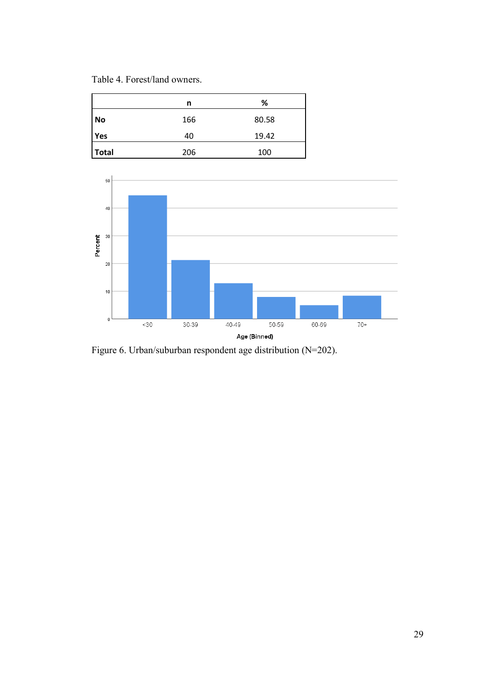Table 4. Forest/land owners.

|              | n   | %     |
|--------------|-----|-------|
| <b>No</b>    | 166 | 80.58 |
| Yes          | 40  | 19.42 |
| <b>Total</b> | 206 | 100   |



Figure 6. Urban/suburban respondent age distribution (N=202).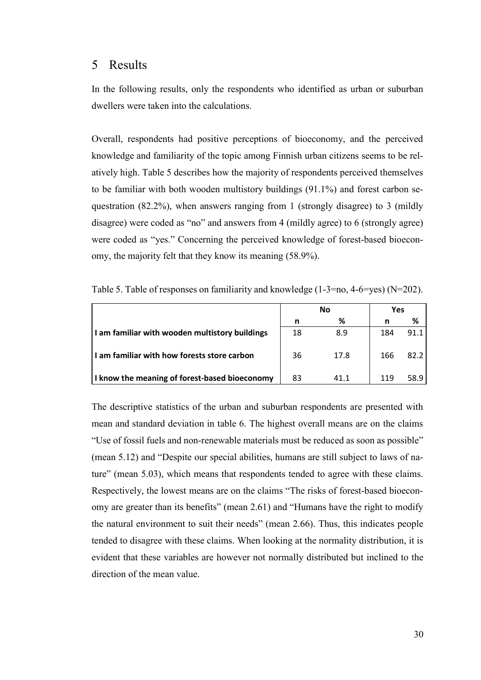### <span id="page-34-0"></span>5 Results

In the following results, only the respondents who identified as urban or suburban dwellers were taken into the calculations.

Overall, respondents had positive perceptions of bioeconomy, and the perceived knowledge and familiarity of the topic among Finnish urban citizens seems to be relatively high. Table 5 describes how the majority of respondents perceived themselves to be familiar with both wooden multistory buildings (91.1%) and forest carbon sequestration (82.2%), when answers ranging from 1 (strongly disagree) to 3 (mildly disagree) were coded as "no" and answers from 4 (mildly agree) to 6 (strongly agree) were coded as "yes." Concerning the perceived knowledge of forest-based bioeconomy, the majority felt that they know its meaning (58.9%).

|                                                | No |      | Yes |      |
|------------------------------------------------|----|------|-----|------|
|                                                | n  | ℅    | n   | ℅    |
| I am familiar with wooden multistory buildings | 18 | 8.9  | 184 | 91.1 |
| I am familiar with how forests store carbon    | 36 | 17.8 | 166 | 82.2 |
| I know the meaning of forest-based bioeconomy  | 83 | 41.1 | 119 | 58.9 |

Table 5. Table of responses on familiarity and knowledge (1-3=no, 4-6=yes) (N=202).

The descriptive statistics of the urban and suburban respondents are presented with mean and standard deviation in table 6. The highest overall means are on the claims "Use of fossil fuels and non-renewable materials must be reduced as soon as possible" (mean 5.12) and "Despite our special abilities, humans are still subject to laws of nature" (mean 5.03), which means that respondents tended to agree with these claims. Respectively, the lowest means are on the claims "The risks of forest-based bioeconomy are greater than its benefits" (mean 2.61) and "Humans have the right to modify the natural environment to suit their needs" (mean 2.66). Thus, this indicates people tended to disagree with these claims. When looking at the normality distribution, it is evident that these variables are however not normally distributed but inclined to the direction of the mean value.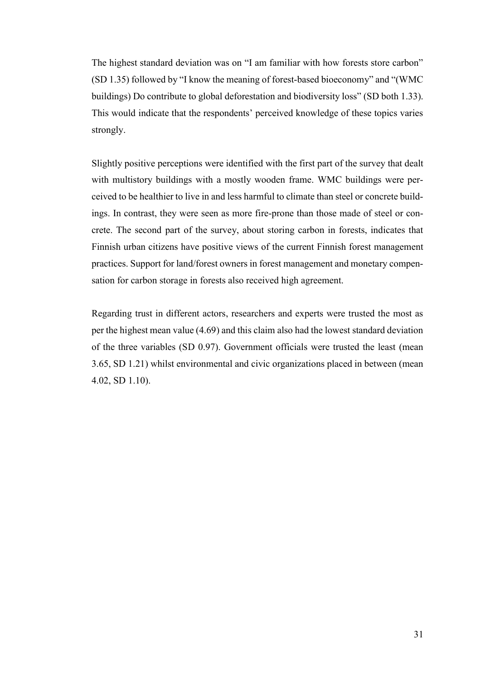The highest standard deviation was on "I am familiar with how forests store carbon" (SD 1.35) followed by "I know the meaning of forest-based bioeconomy" and "(WMC buildings) Do contribute to global deforestation and biodiversity loss" (SD both 1.33). This would indicate that the respondents' perceived knowledge of these topics varies strongly.

Slightly positive perceptions were identified with the first part of the survey that dealt with multistory buildings with a mostly wooden frame. WMC buildings were perceived to be healthier to live in and less harmful to climate than steel or concrete buildings. In contrast, they were seen as more fire-prone than those made of steel or concrete. The second part of the survey, about storing carbon in forests, indicates that Finnish urban citizens have positive views of the current Finnish forest management practices. Support for land/forest owners in forest management and monetary compensation for carbon storage in forests also received high agreement.

Regarding trust in different actors, researchers and experts were trusted the most as per the highest mean value (4.69) and this claim also had the lowest standard deviation of the three variables (SD 0.97). Government officials were trusted the least (mean 3.65, SD 1.21) whilst environmental and civic organizations placed in between (mean 4.02, SD 1.10).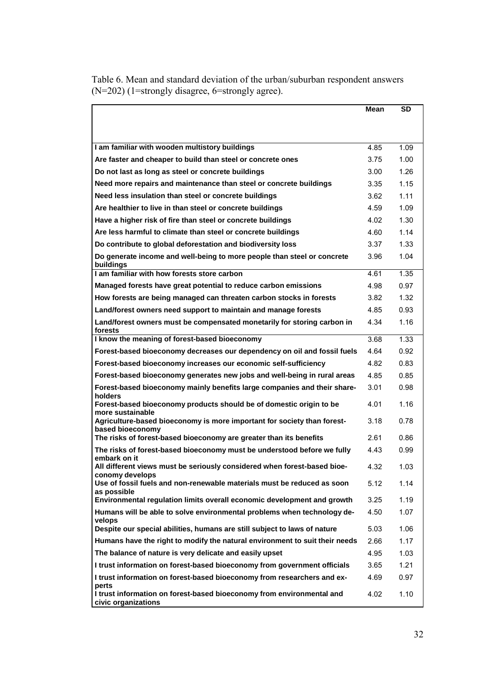|                                                                                                             | Mean | SD   |
|-------------------------------------------------------------------------------------------------------------|------|------|
|                                                                                                             |      |      |
|                                                                                                             |      |      |
| I am familiar with wooden multistory buildings                                                              | 4.85 | 1.09 |
| Are faster and cheaper to build than steel or concrete ones                                                 | 3.75 | 1.00 |
| Do not last as long as steel or concrete buildings                                                          | 3.00 | 1.26 |
| Need more repairs and maintenance than steel or concrete buildings                                          | 3.35 | 1.15 |
| Need less insulation than steel or concrete buildings                                                       | 3.62 | 1.11 |
| Are healthier to live in than steel or concrete buildings                                                   | 4.59 | 1.09 |
| Have a higher risk of fire than steel or concrete buildings                                                 | 4.02 | 1.30 |
| Are less harmful to climate than steel or concrete buildings                                                | 4.60 | 1.14 |
| Do contribute to global deforestation and biodiversity loss                                                 | 3.37 | 1.33 |
| Do generate income and well-being to more people than steel or concrete<br>buildings                        | 3.96 | 1.04 |
| I am familiar with how forests store carbon                                                                 | 4.61 | 1.35 |
| Managed forests have great potential to reduce carbon emissions                                             | 4.98 | 0.97 |
| How forests are being managed can threaten carbon stocks in forests                                         | 3.82 | 1.32 |
| Land/forest owners need support to maintain and manage forests                                              | 4.85 | 0.93 |
| Land/forest owners must be compensated monetarily for storing carbon in<br>forests                          | 4.34 | 1.16 |
| I know the meaning of forest-based bioeconomy                                                               | 3.68 | 1.33 |
| Forest-based bioeconomy decreases our dependency on oil and fossil fuels                                    | 4.64 | 0.92 |
| Forest-based bioeconomy increases our economic self-sufficiency                                             | 4.82 | 0.83 |
| Forest-based bioeconomy generates new jobs and well-being in rural areas                                    | 4.85 | 0.85 |
| Forest-based bioeconomy mainly benefits large companies and their share-                                    | 3.01 | 0.98 |
| holders<br>Forest-based bioeconomy products should be of domestic origin to be<br>more sustainable          | 4.01 | 1.16 |
| Agriculture-based bioeconomy is more important for society than forest-                                     | 3.18 | 0.78 |
| based bioeconomy<br>The risks of forest-based bioeconomy are greater than its benefits                      | 2.61 | 0.86 |
| The risks of forest-based bioeconomy must be understood before we fully                                     | 4.43 | 0.99 |
| embark on it<br>All different views must be seriously considered when forest-based bioe-<br>conomy develops | 4.32 | 1.03 |
| Use of fossil fuels and non-renewable materials must be reduced as soon<br>as possible                      | 5.12 | 1.14 |
| Environmental regulation limits overall economic development and growth                                     | 3.25 | 1.19 |
| Humans will be able to solve environmental problems when technology de-<br>velops                           | 4.50 | 1.07 |
| Despite our special abilities, humans are still subject to laws of nature                                   | 5.03 | 1.06 |
| Humans have the right to modify the natural environment to suit their needs                                 | 2.66 | 1.17 |
| The balance of nature is very delicate and easily upset                                                     | 4.95 | 1.03 |
| I trust information on forest-based bioeconomy from government officials                                    | 3.65 | 1.21 |
| I trust information on forest-based bioeconomy from researchers and ex-<br>perts                            | 4.69 | 0.97 |
| I trust information on forest-based bioeconomy from environmental and<br>civic organizations                | 4.02 | 1.10 |

Table 6. Mean and standard deviation of the urban/suburban respondent answers (N=202) (1=strongly disagree, 6=strongly agree).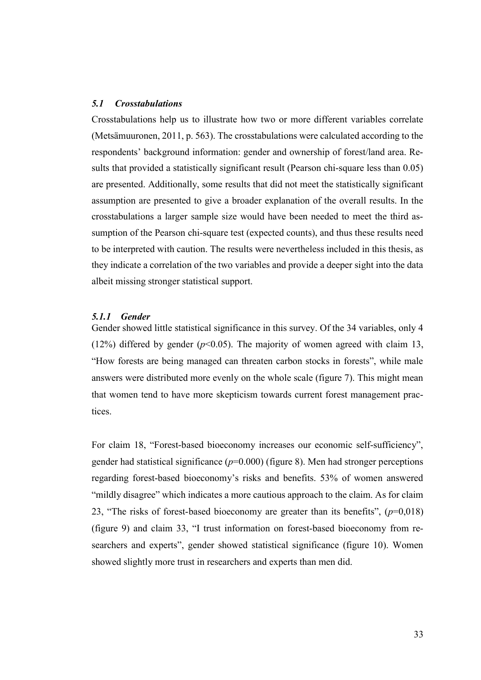#### <span id="page-37-0"></span>*5.1 Crosstabulations*

Crosstabulations help us to illustrate how two or more different variables correlate (Metsämuuronen, 2011, p. 563). The crosstabulations were calculated according to the respondents' background information: gender and ownership of forest/land area. Results that provided a statistically significant result (Pearson chi-square less than 0.05) are presented. Additionally, some results that did not meet the statistically significant assumption are presented to give a broader explanation of the overall results. In the crosstabulations a larger sample size would have been needed to meet the third assumption of the Pearson chi-square test (expected counts), and thus these results need to be interpreted with caution. The results were nevertheless included in this thesis, as they indicate a correlation of the two variables and provide a deeper sight into the data albeit missing stronger statistical support.

#### <span id="page-37-1"></span>*5.1.1 Gender*

Gender showed little statistical significance in this survey. Of the 34 variables, only 4 (12%) differed by gender ( $p$ <0.05). The majority of women agreed with claim 13, "How forests are being managed can threaten carbon stocks in forests", while male answers were distributed more evenly on the whole scale (figure 7). This might mean that women tend to have more skepticism towards current forest management practices.

For claim 18, "Forest-based bioeconomy increases our economic self-sufficiency", gender had statistical significance  $(p=0.000)$  (figure 8). Men had stronger perceptions regarding forest-based bioeconomy's risks and benefits. 53% of women answered "mildly disagree" which indicates a more cautious approach to the claim. As for claim 23, "The risks of forest-based bioeconomy are greater than its benefits",  $(p=0.018)$ (figure 9) and claim 33, "I trust information on forest-based bioeconomy from researchers and experts", gender showed statistical significance (figure 10). Women showed slightly more trust in researchers and experts than men did.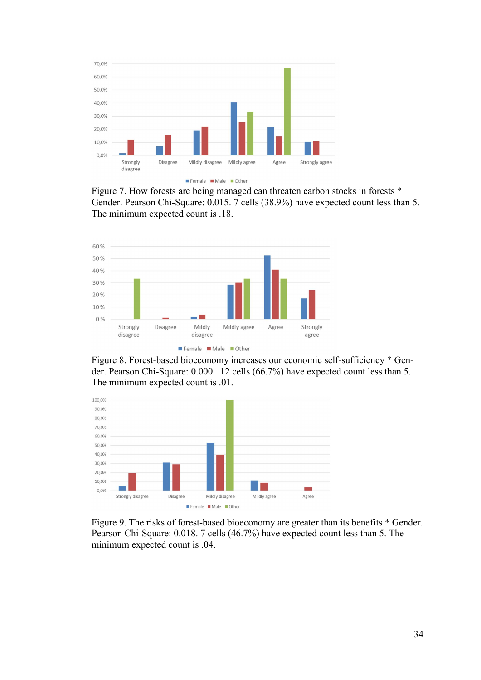

Female Male Other

Figure 7. How forests are being managed can threaten carbon stocks in forests \* Gender. Pearson Chi-Square: 0.015. 7 cells (38.9%) have expected count less than 5. The minimum expected count is .18.



Figure 8. Forest-based bioeconomy increases our economic self-sufficiency \* Gender. Pearson Chi-Square: 0.000. 12 cells (66.7%) have expected count less than 5. The minimum expected count is .01.



Figure 9. The risks of forest-based bioeconomy are greater than its benefits \* Gender. Pearson Chi-Square: 0.018. 7 cells (46.7%) have expected count less than 5. The minimum expected count is .04.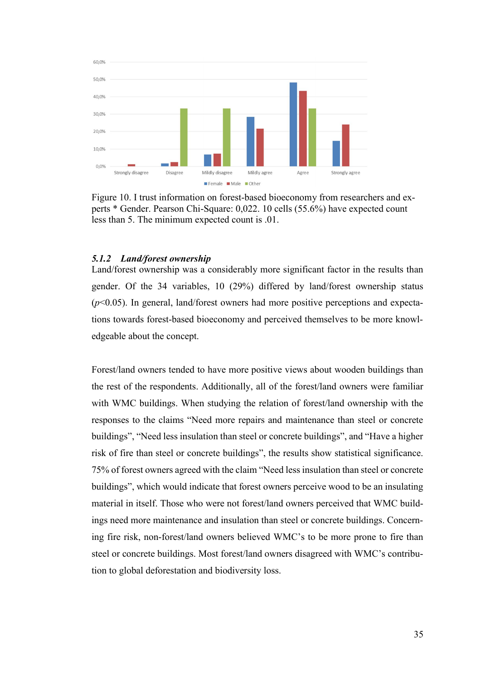

Figure 10. I trust information on forest-based bioeconomy from researchers and experts \* Gender. Pearson Chi-Square: 0,022. 10 cells (55.6%) have expected count less than 5. The minimum expected count is .01.

#### <span id="page-39-0"></span>*5.1.2 Land/forest ownership*

Land/forest ownership was a considerably more significant factor in the results than gender. Of the 34 variables, 10 (29%) differed by land/forest ownership status (*p*<0.05). In general, land/forest owners had more positive perceptions and expectations towards forest-based bioeconomy and perceived themselves to be more knowledgeable about the concept.

Forest/land owners tended to have more positive views about wooden buildings than the rest of the respondents. Additionally, all of the forest/land owners were familiar with WMC buildings. When studying the relation of forest/land ownership with the responses to the claims "Need more repairs and maintenance than steel or concrete buildings", "Need less insulation than steel or concrete buildings", and "Have a higher risk of fire than steel or concrete buildings", the results show statistical significance. 75% of forest owners agreed with the claim "Need less insulation than steel or concrete buildings", which would indicate that forest owners perceive wood to be an insulating material in itself. Those who were not forest/land owners perceived that WMC buildings need more maintenance and insulation than steel or concrete buildings. Concerning fire risk, non-forest/land owners believed WMC's to be more prone to fire than steel or concrete buildings. Most forest/land owners disagreed with WMC's contribution to global deforestation and biodiversity loss.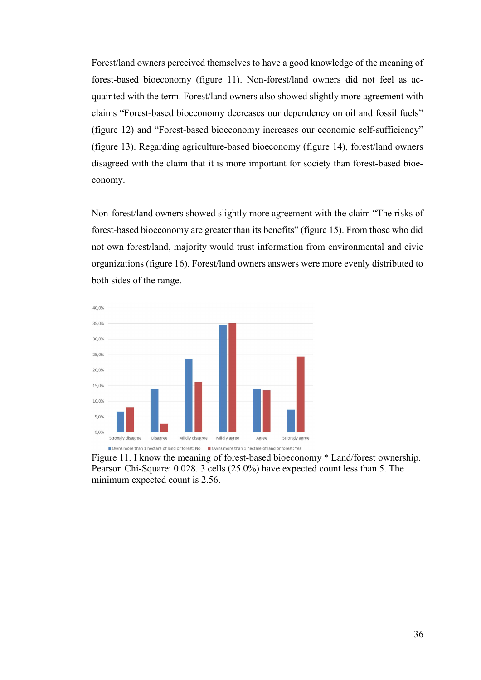Forest/land owners perceived themselves to have a good knowledge of the meaning of forest-based bioeconomy (figure 11). Non-forest/land owners did not feel as acquainted with the term. Forest/land owners also showed slightly more agreement with claims "Forest-based bioeconomy decreases our dependency on oil and fossil fuels" (figure 12) and "Forest-based bioeconomy increases our economic self-sufficiency" (figure 13). Regarding agriculture-based bioeconomy (figure 14), forest/land owners disagreed with the claim that it is more important for society than forest-based bioeconomy.

Non-forest/land owners showed slightly more agreement with the claim "The risks of forest-based bioeconomy are greater than its benefits" (figure 15). From those who did not own forest/land, majority would trust information from environmental and civic organizations (figure 16). Forest/land owners answers were more evenly distributed to both sides of the range.



Figure 11. I know the meaning of forest-based bioeconomy \* Land/forest ownership. Pearson Chi-Square: 0.028. 3 cells (25.0%) have expected count less than 5. The minimum expected count is 2.56.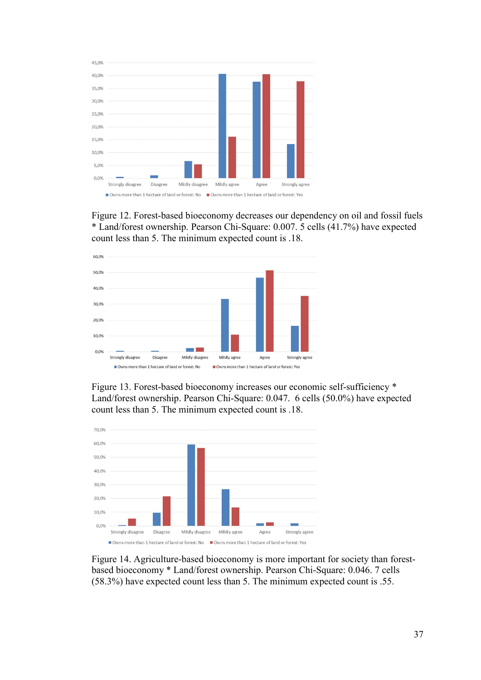

Figure 12. Forest-based bioeconomy decreases our dependency on oil and fossil fuels \* Land/forest ownership. Pearson Chi-Square: 0.007. 5 cells (41.7%) have expected count less than 5. The minimum expected count is .18.



Figure 13. Forest-based bioeconomy increases our economic self-sufficiency \* Land/forest ownership. Pearson Chi-Square: 0.047. 6 cells (50.0%) have expected count less than 5. The minimum expected count is .18.



Figure 14. Agriculture-based bioeconomy is more important for society than forestbased bioeconomy \* Land/forest ownership. Pearson Chi-Square: 0.046. 7 cells (58.3%) have expected count less than 5. The minimum expected count is .55.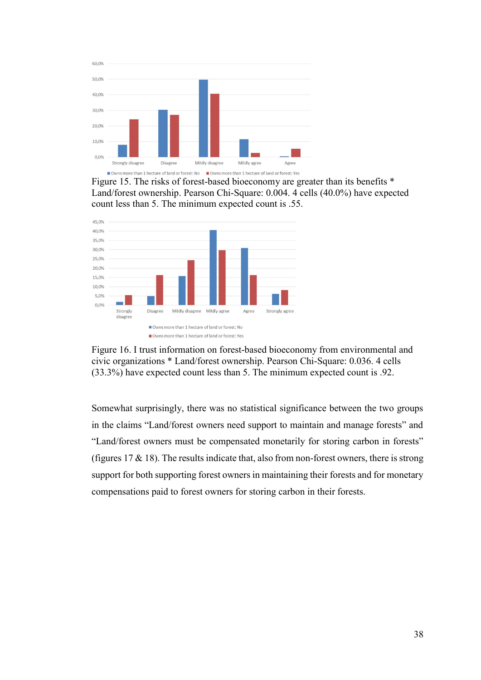

Figure 15. The risks of forest-based bioeconomy are greater than its benefits \* Land/forest ownership. Pearson Chi-Square: 0.004. 4 cells (40.0%) have expected count less than 5. The minimum expected count is .55.





Somewhat surprisingly, there was no statistical significance between the two groups in the claims "Land/forest owners need support to maintain and manage forests" and "Land/forest owners must be compensated monetarily for storing carbon in forests" (figures  $17 \& 18$ ). The results indicate that, also from non-forest owners, there is strong support for both supporting forest owners in maintaining their forests and for monetary compensations paid to forest owners for storing carbon in their forests.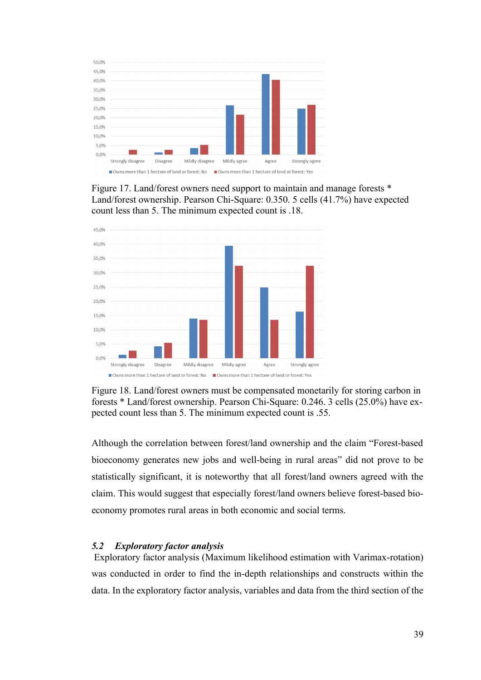

Figure 17. Land/forest owners need support to maintain and manage forests \* Land/forest ownership. Pearson Chi-Square: 0.350. 5 cells (41.7%) have expected count less than 5. The minimum expected count is .18.



Figure 18. Land/forest owners must be compensated monetarily for storing carbon in forests \* Land/forest ownership. Pearson Chi-Square: 0.246. 3 cells (25.0%) have expected count less than 5. The minimum expected count is .55.

Although the correlation between forest/land ownership and the claim "Forest-based bioeconomy generates new jobs and well-being in rural areas" did not prove to be statistically significant, it is noteworthy that all forest/land owners agreed with the claim. This would suggest that especially forest/land owners believe forest-based bioeconomy promotes rural areas in both economic and social terms.

### <span id="page-43-0"></span>*5.2 Exploratory factor analysis*

 Exploratory factor analysis (Maximum likelihood estimation with Varimax-rotation) was conducted in order to find the in-depth relationships and constructs within the data. In the exploratory factor analysis, variables and data from the third section of the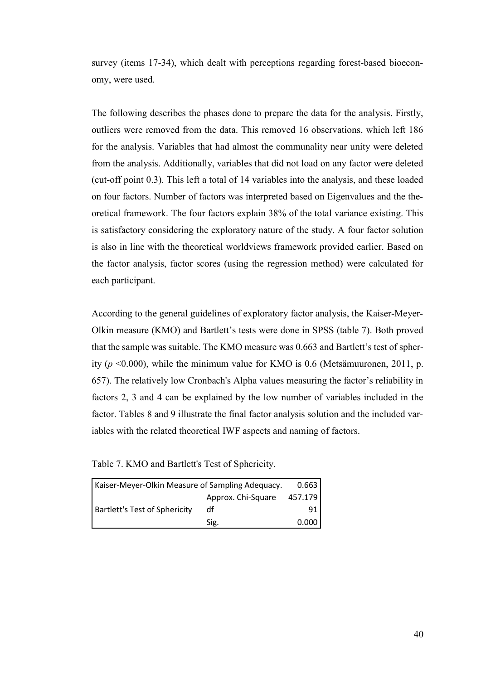survey (items 17-34), which dealt with perceptions regarding forest-based bioeconomy, were used.

The following describes the phases done to prepare the data for the analysis. Firstly, outliers were removed from the data. This removed 16 observations, which left 186 for the analysis. Variables that had almost the communality near unity were deleted from the analysis. Additionally, variables that did not load on any factor were deleted (cut-off point 0.3). This left a total of 14 variables into the analysis, and these loaded on four factors. Number of factors was interpreted based on Eigenvalues and the theoretical framework. The four factors explain 38% of the total variance existing. This is satisfactory considering the exploratory nature of the study. A four factor solution is also in line with the theoretical worldviews framework provided earlier. Based on the factor analysis, factor scores (using the regression method) were calculated for each participant.

According to the general guidelines of exploratory factor analysis, the Kaiser-Meyer-Olkin measure (KMO) and Bartlett's tests were done in SPSS (table 7). Both proved that the sample was suitable. The KMO measure was 0.663 and Bartlett's test of spherity ( $p \le 0.000$ ), while the minimum value for KMO is 0.6 (Metsämuuronen, 2011, p. 657). The relatively low Cronbach's Alpha values measuring the factor's reliability in factors 2, 3 and 4 can be explained by the low number of variables included in the factor. Tables 8 and 9 illustrate the final factor analysis solution and the included variables with the related theoretical IWF aspects and naming of factors.

Table 7. KMO and Bartlett's Test of Sphericity.

| Kaiser-Meyer-Olkin Measure of Sampling Adequacy. |                    | 0.663   |
|--------------------------------------------------|--------------------|---------|
|                                                  | Approx. Chi-Square | 457.179 |
| <b>Bartlett's Test of Sphericity</b>             | df                 | 91      |
|                                                  | Sig.               | 0.000   |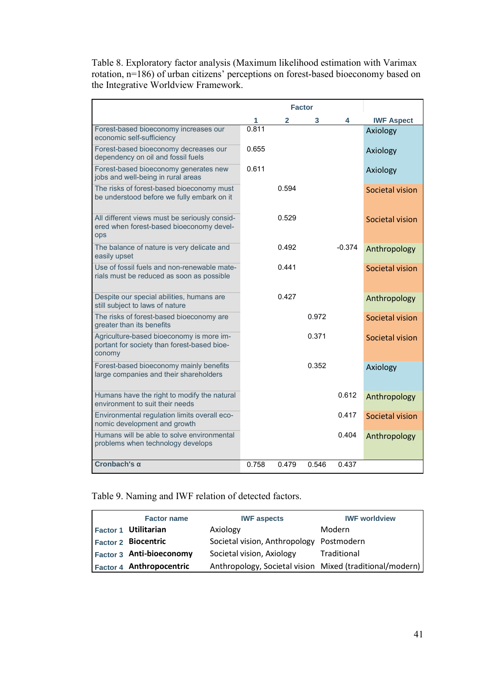Table 8. Exploratory factor analysis (Maximum likelihood estimation with Varimax rotation, n=186) of urban citizens' perceptions on forest-based bioeconomy based on the Integrative Worldview Framework.

|                                                                                                         |       | <b>Factor</b> |       |          |                   |
|---------------------------------------------------------------------------------------------------------|-------|---------------|-------|----------|-------------------|
|                                                                                                         | 1     | 2             | 3     | 4        | <b>IWF Aspect</b> |
| Forest-based bioeconomy increases our<br>economic self-sufficiency                                      | 0.811 |               |       |          | Axiology          |
| Forest-based bioeconomy decreases our<br>dependency on oil and fossil fuels                             | 0.655 |               |       |          | Axiology          |
| Forest-based bioeconomy generates new<br>jobs and well-being in rural areas                             | 0.611 |               |       |          | Axiology          |
| The risks of forest-based bioeconomy must<br>be understood before we fully embark on it                 |       | 0.594         |       |          | Societal vision   |
| All different views must be seriously consid-<br>ered when forest-based bioeconomy devel-<br><b>ops</b> |       | 0.529         |       |          | Societal vision   |
| The balance of nature is very delicate and<br>easily upset                                              |       | 0.492         |       | $-0.374$ | Anthropology      |
| Use of fossil fuels and non-renewable mate-<br>rials must be reduced as soon as possible                |       | 0.441         |       |          | Societal vision   |
| Despite our special abilities, humans are<br>still subject to laws of nature                            |       | 0.427         |       |          | Anthropology      |
| The risks of forest-based bioeconomy are<br>greater than its benefits                                   |       |               | 0.972 |          | Societal vision   |
| Agriculture-based bioeconomy is more im-<br>portant for society than forest-based bioe-<br>conomy       |       |               | 0.371 |          | Societal vision   |
| Forest-based bioeconomy mainly benefits<br>large companies and their shareholders                       |       |               | 0.352 |          | Axiology          |
| Humans have the right to modify the natural<br>environment to suit their needs                          |       |               |       | 0.612    | Anthropology      |
| Environmental regulation limits overall eco-<br>nomic development and growth                            |       |               |       | 0.417    | Societal vision   |
| Humans will be able to solve environmental<br>problems when technology develops                         |       |               |       | 0.404    | Anthropology      |
| Cronbach's $\alpha$                                                                                     | 0.758 | 0.479         | 0.546 | 0.437    |                   |

### Table 9. Naming and IWF relation of detected factors.

| <b>Factor name</b>              | <b>IWF</b> aspects                                       | <b>IWF worldview</b> |
|---------------------------------|----------------------------------------------------------|----------------------|
| <b>Factor 1 Utilitarian</b>     | Axiology                                                 | Modern               |
| <b>Factor 2 Biocentric</b>      | Societal vision, Anthropology Postmodern                 |                      |
| <b>Factor 3 Anti-bioeconomy</b> | Societal vision, Axiology                                | Traditional          |
| Factor 4 Anthropocentric        | Anthropology, Societal vision Mixed (traditional/modern) |                      |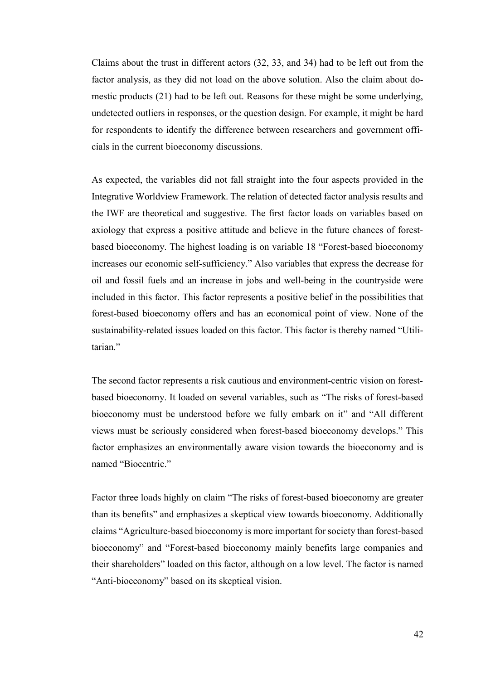Claims about the trust in different actors (32, 33, and 34) had to be left out from the factor analysis, as they did not load on the above solution. Also the claim about domestic products (21) had to be left out. Reasons for these might be some underlying, undetected outliers in responses, or the question design. For example, it might be hard for respondents to identify the difference between researchers and government officials in the current bioeconomy discussions.

As expected, the variables did not fall straight into the four aspects provided in the Integrative Worldview Framework. The relation of detected factor analysis results and the IWF are theoretical and suggestive. The first factor loads on variables based on axiology that express a positive attitude and believe in the future chances of forestbased bioeconomy. The highest loading is on variable 18 "Forest-based bioeconomy increases our economic self-sufficiency." Also variables that express the decrease for oil and fossil fuels and an increase in jobs and well-being in the countryside were included in this factor. This factor represents a positive belief in the possibilities that forest-based bioeconomy offers and has an economical point of view. None of the sustainability-related issues loaded on this factor. This factor is thereby named "Utilitarian."

The second factor represents a risk cautious and environment-centric vision on forestbased bioeconomy. It loaded on several variables, such as "The risks of forest-based bioeconomy must be understood before we fully embark on it" and "All different views must be seriously considered when forest-based bioeconomy develops." This factor emphasizes an environmentally aware vision towards the bioeconomy and is named "Biocentric."

Factor three loads highly on claim "The risks of forest-based bioeconomy are greater than its benefits" and emphasizes a skeptical view towards bioeconomy. Additionally claims "Agriculture-based bioeconomy is more important for society than forest-based bioeconomy" and "Forest-based bioeconomy mainly benefits large companies and their shareholders" loaded on this factor, although on a low level. The factor is named "Anti-bioeconomy" based on its skeptical vision.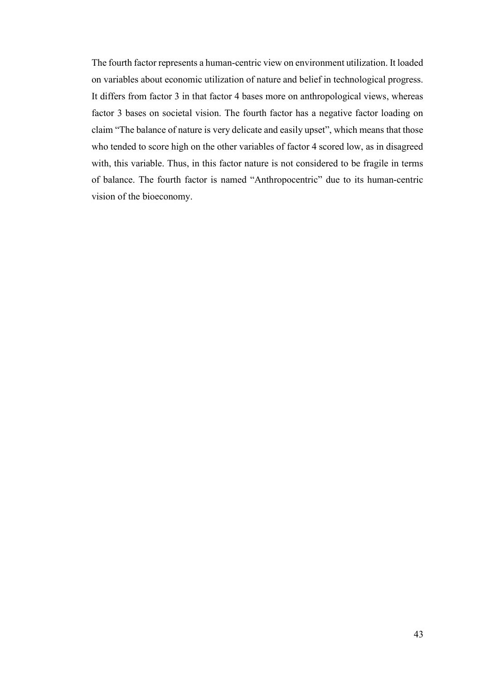The fourth factor represents a human-centric view on environment utilization. It loaded on variables about economic utilization of nature and belief in technological progress. It differs from factor 3 in that factor 4 bases more on anthropological views, whereas factor 3 bases on societal vision. The fourth factor has a negative factor loading on claim "The balance of nature is very delicate and easily upset", which means that those who tended to score high on the other variables of factor 4 scored low, as in disagreed with, this variable. Thus, in this factor nature is not considered to be fragile in terms of balance. The fourth factor is named "Anthropocentric" due to its human-centric vision of the bioeconomy.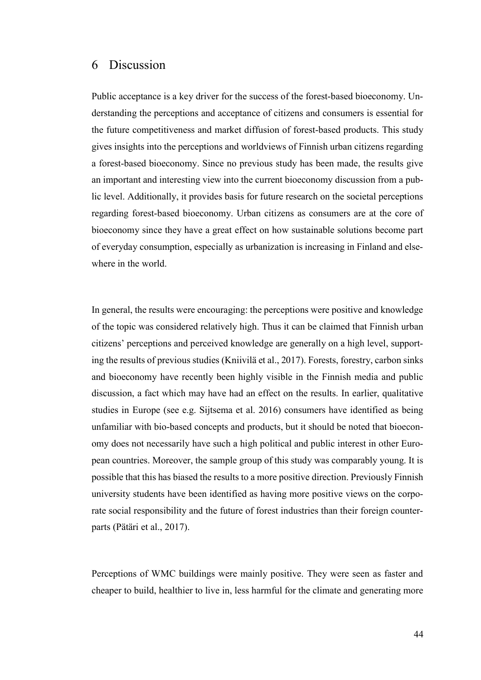### <span id="page-48-0"></span>6 Discussion

Public acceptance is a key driver for the success of the forest-based bioeconomy. Understanding the perceptions and acceptance of citizens and consumers is essential for the future competitiveness and market diffusion of forest-based products. This study gives insights into the perceptions and worldviews of Finnish urban citizens regarding a forest-based bioeconomy. Since no previous study has been made, the results give an important and interesting view into the current bioeconomy discussion from a public level. Additionally, it provides basis for future research on the societal perceptions regarding forest-based bioeconomy. Urban citizens as consumers are at the core of bioeconomy since they have a great effect on how sustainable solutions become part of everyday consumption, especially as urbanization is increasing in Finland and elsewhere in the world.

In general, the results were encouraging: the perceptions were positive and knowledge of the topic was considered relatively high. Thus it can be claimed that Finnish urban citizens' perceptions and perceived knowledge are generally on a high level, supporting the results of previous studies (Kniivilä et al., 2017). Forests, forestry, carbon sinks and bioeconomy have recently been highly visible in the Finnish media and public discussion, a fact which may have had an effect on the results. In earlier, qualitative studies in Europe (see e.g. Sijtsema et al. 2016) consumers have identified as being unfamiliar with bio-based concepts and products, but it should be noted that bioeconomy does not necessarily have such a high political and public interest in other European countries. Moreover, the sample group of this study was comparably young. It is possible that this has biased the results to a more positive direction. Previously Finnish university students have been identified as having more positive views on the corporate social responsibility and the future of forest industries than their foreign counterparts (Pätäri et al., 2017).

Perceptions of WMC buildings were mainly positive. They were seen as faster and cheaper to build, healthier to live in, less harmful for the climate and generating more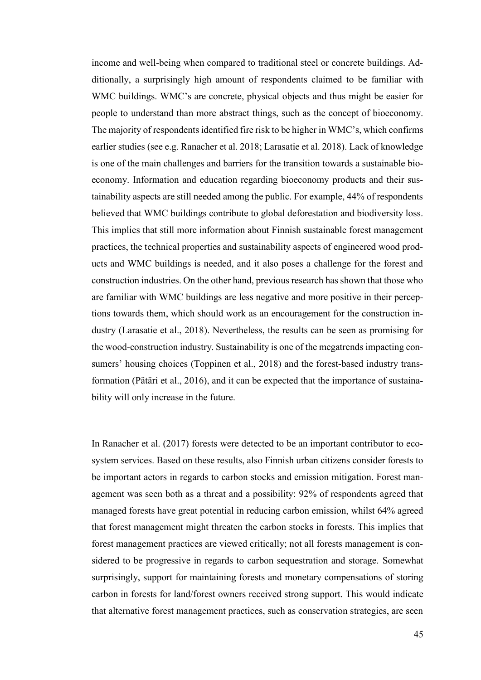income and well-being when compared to traditional steel or concrete buildings. Additionally, a surprisingly high amount of respondents claimed to be familiar with WMC buildings. WMC's are concrete, physical objects and thus might be easier for people to understand than more abstract things, such as the concept of bioeconomy. The majority of respondents identified fire risk to be higher in WMC's, which confirms earlier studies (see e.g. Ranacher et al. 2018; Larasatie et al. 2018). Lack of knowledge is one of the main challenges and barriers for the transition towards a sustainable bioeconomy. Information and education regarding bioeconomy products and their sustainability aspects are still needed among the public. For example, 44% of respondents believed that WMC buildings contribute to global deforestation and biodiversity loss. This implies that still more information about Finnish sustainable forest management practices, the technical properties and sustainability aspects of engineered wood products and WMC buildings is needed, and it also poses a challenge for the forest and construction industries. On the other hand, previous research has shown that those who are familiar with WMC buildings are less negative and more positive in their perceptions towards them, which should work as an encouragement for the construction industry (Larasatie et al., 2018). Nevertheless, the results can be seen as promising for the wood-construction industry. Sustainability is one of the megatrends impacting consumers' housing choices (Toppinen et al., 2018) and the forest-based industry transformation (Pätäri et al., 2016), and it can be expected that the importance of sustainability will only increase in the future.

In Ranacher et al. (2017) forests were detected to be an important contributor to ecosystem services. Based on these results, also Finnish urban citizens consider forests to be important actors in regards to carbon stocks and emission mitigation. Forest management was seen both as a threat and a possibility: 92% of respondents agreed that managed forests have great potential in reducing carbon emission, whilst 64% agreed that forest management might threaten the carbon stocks in forests. This implies that forest management practices are viewed critically; not all forests management is considered to be progressive in regards to carbon sequestration and storage. Somewhat surprisingly, support for maintaining forests and monetary compensations of storing carbon in forests for land/forest owners received strong support. This would indicate that alternative forest management practices, such as conservation strategies, are seen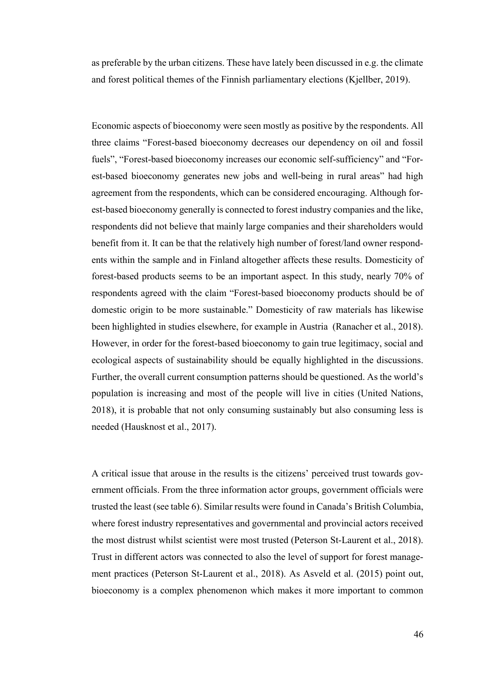as preferable by the urban citizens. These have lately been discussed in e.g. the climate and forest political themes of the Finnish parliamentary elections (Kjellber, 2019).

Economic aspects of bioeconomy were seen mostly as positive by the respondents. All three claims "Forest-based bioeconomy decreases our dependency on oil and fossil fuels", "Forest-based bioeconomy increases our economic self-sufficiency" and "Forest-based bioeconomy generates new jobs and well-being in rural areas" had high agreement from the respondents, which can be considered encouraging. Although forest-based bioeconomy generally is connected to forest industry companies and the like, respondents did not believe that mainly large companies and their shareholders would benefit from it. It can be that the relatively high number of forest/land owner respondents within the sample and in Finland altogether affects these results. Domesticity of forest-based products seems to be an important aspect. In this study, nearly 70% of respondents agreed with the claim "Forest-based bioeconomy products should be of domestic origin to be more sustainable." Domesticity of raw materials has likewise been highlighted in studies elsewhere, for example in Austria (Ranacher et al., 2018). However, in order for the forest-based bioeconomy to gain true legitimacy, social and ecological aspects of sustainability should be equally highlighted in the discussions. Further, the overall current consumption patterns should be questioned. As the world's population is increasing and most of the people will live in cities (United Nations, 2018), it is probable that not only consuming sustainably but also consuming less is needed (Hausknost et al., 2017).

A critical issue that arouse in the results is the citizens' perceived trust towards government officials. From the three information actor groups, government officials were trusted the least (see table 6). Similar results were found in Canada's British Columbia, where forest industry representatives and governmental and provincial actors received the most distrust whilst scientist were most trusted (Peterson St-Laurent et al., 2018). Trust in different actors was connected to also the level of support for forest management practices (Peterson St-Laurent et al., 2018). As Asveld et al. (2015) point out, bioeconomy is a complex phenomenon which makes it more important to common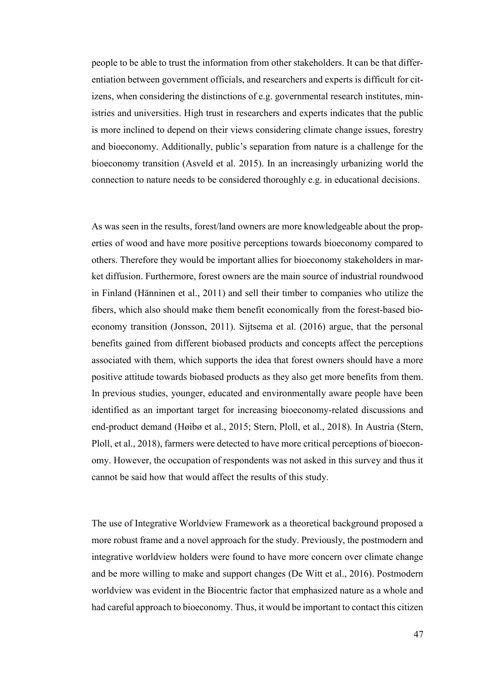people to be able to trust the information from other stakeholders. It can be that differentiation between government officials, and researchers and experts is difficult for citizens, when considering the distinctions of e.g. governmental research institutes, ministries and universities. High trust in researchers and experts indicates that the public is more inclined to depend on their views considering climate change issues, forestry and bioeconomy. Additionally, public's separation from nature is a challenge for the bioeconomy transition (Asveld et al. 2015). In an increasingly urbanizing world the connection to nature needs to be considered thoroughly e.g. in educational decisions.

As was seen in the results, forest/land owners are more knowledgeable about the properties of wood and have more positive perceptions towards bioeconomy compared to others. Therefore they would be important allies for bioeconomy stakeholders in market diffusion. Furthermore, forest owners are the main source of industrial roundwood in Finland (Hänninen et al., 2011) and sell their timber to companies who utilize the fibers, which also should make them benefit economically from the forest-based bioeconomy transition (Jonsson, 2011). Sijtsema et al. (2016) argue, that the personal benefits gained from different biobased products and concepts affect the perceptions associated with them, which supports the idea that forest owners should have a more positive attitude towards biobased products as they also get more benefits from them. In previous studies, younger, educated and environmentally aware people have been identified as an important target for increasing bioeconomy-related discussions and end-product demand (Høibø et al., 2015; Stern, Ploll, et al., 2018). In Austria (Stern, Ploll, et al., 2018), farmers were detected to have more critical perceptions of bioeconomy. However, the occupation of respondents was not asked in this survey and thus it cannot be said how that would affect the results of this study.

The use of Integrative Worldview Framework as a theoretical background proposed a more robust frame and a novel approach for the study. Previously, the postmodern and integrative worldview holders were found to have more concern over climate change and be more willing to make and support changes (De Witt et al., 2016). Postmodern worldview was evident in the Biocentric factor that emphasized nature as a whole and had careful approach to bioeconomy. Thus, it would be important to contact this citizen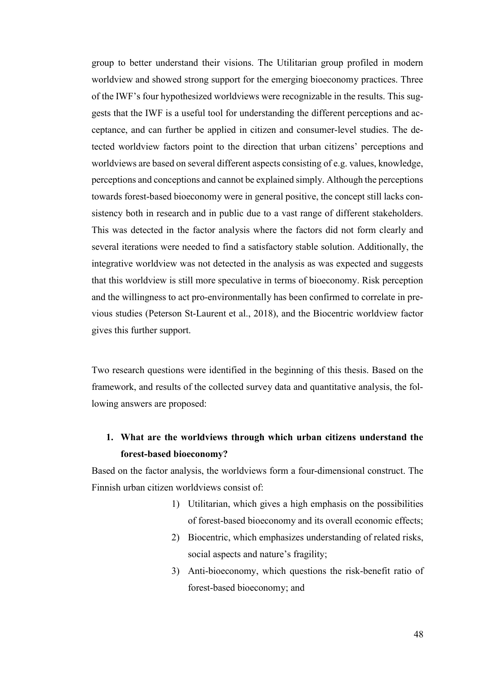group to better understand their visions. The Utilitarian group profiled in modern worldview and showed strong support for the emerging bioeconomy practices. Three of the IWF's four hypothesized worldviews were recognizable in the results. This suggests that the IWF is a useful tool for understanding the different perceptions and acceptance, and can further be applied in citizen and consumer-level studies. The detected worldview factors point to the direction that urban citizens' perceptions and worldviews are based on several different aspects consisting of e.g. values, knowledge, perceptions and conceptions and cannot be explained simply. Although the perceptions towards forest-based bioeconomy were in general positive, the concept still lacks consistency both in research and in public due to a vast range of different stakeholders. This was detected in the factor analysis where the factors did not form clearly and several iterations were needed to find a satisfactory stable solution. Additionally, the integrative worldview was not detected in the analysis as was expected and suggests that this worldview is still more speculative in terms of bioeconomy. Risk perception and the willingness to act pro-environmentally has been confirmed to correlate in previous studies (Peterson St-Laurent et al., 2018), and the Biocentric worldview factor gives this further support.

Two research questions were identified in the beginning of this thesis. Based on the framework, and results of the collected survey data and quantitative analysis, the following answers are proposed:

### **1. What are the worldviews through which urban citizens understand the forest-based bioeconomy?**

Based on the factor analysis, the worldviews form a four-dimensional construct. The Finnish urban citizen worldviews consist of:

- 1) Utilitarian, which gives a high emphasis on the possibilities of forest-based bioeconomy and its overall economic effects;
- 2) Biocentric, which emphasizes understanding of related risks, social aspects and nature's fragility;
- 3) Anti-bioeconomy, which questions the risk-benefit ratio of forest-based bioeconomy; and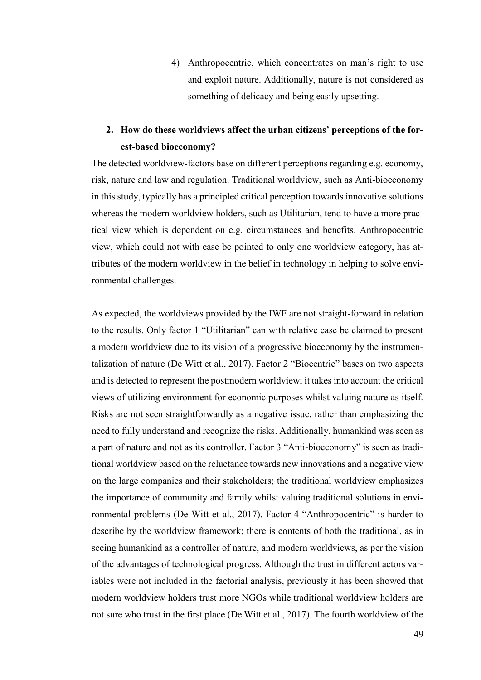4) Anthropocentric, which concentrates on man's right to use and exploit nature. Additionally, nature is not considered as something of delicacy and being easily upsetting.

### **2. How do these worldviews affect the urban citizens' perceptions of the forest-based bioeconomy?**

The detected worldview-factors base on different perceptions regarding e.g. economy, risk, nature and law and regulation. Traditional worldview, such as Anti-bioeconomy in this study, typically has a principled critical perception towards innovative solutions whereas the modern worldview holders, such as Utilitarian, tend to have a more practical view which is dependent on e.g. circumstances and benefits. Anthropocentric view, which could not with ease be pointed to only one worldview category, has attributes of the modern worldview in the belief in technology in helping to solve environmental challenges.

As expected, the worldviews provided by the IWF are not straight-forward in relation to the results. Only factor 1 "Utilitarian" can with relative ease be claimed to present a modern worldview due to its vision of a progressive bioeconomy by the instrumentalization of nature (De Witt et al., 2017). Factor 2 "Biocentric" bases on two aspects and is detected to represent the postmodern worldview; it takes into account the critical views of utilizing environment for economic purposes whilst valuing nature as itself. Risks are not seen straightforwardly as a negative issue, rather than emphasizing the need to fully understand and recognize the risks. Additionally, humankind was seen as a part of nature and not as its controller. Factor 3 "Anti-bioeconomy" is seen as traditional worldview based on the reluctance towards new innovations and a negative view on the large companies and their stakeholders; the traditional worldview emphasizes the importance of community and family whilst valuing traditional solutions in environmental problems (De Witt et al., 2017). Factor 4 "Anthropocentric" is harder to describe by the worldview framework; there is contents of both the traditional, as in seeing humankind as a controller of nature, and modern worldviews, as per the vision of the advantages of technological progress. Although the trust in different actors variables were not included in the factorial analysis, previously it has been showed that modern worldview holders trust more NGOs while traditional worldview holders are not sure who trust in the first place (De Witt et al., 2017). The fourth worldview of the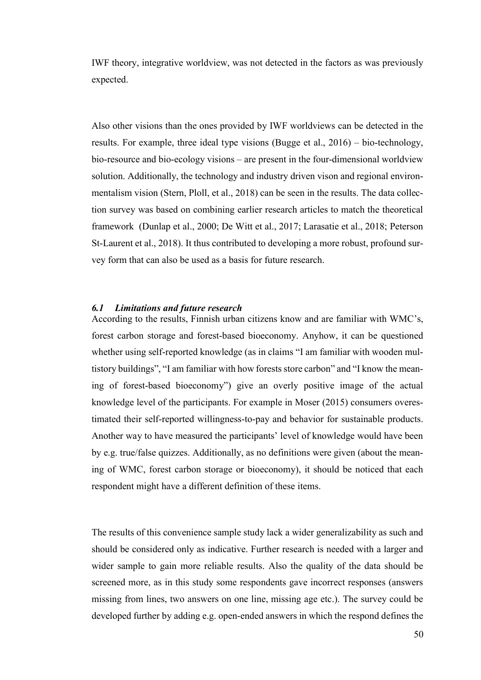IWF theory, integrative worldview, was not detected in the factors as was previously expected.

Also other visions than the ones provided by IWF worldviews can be detected in the results. For example, three ideal type visions (Bugge et al., 2016) – bio-technology, bio-resource and bio-ecology visions – are present in the four-dimensional worldview solution. Additionally, the technology and industry driven vison and regional environmentalism vision (Stern, Ploll, et al., 2018) can be seen in the results. The data collection survey was based on combining earlier research articles to match the theoretical framework (Dunlap et al., 2000; De Witt et al., 2017; Larasatie et al., 2018; Peterson St-Laurent et al., 2018). It thus contributed to developing a more robust, profound survey form that can also be used as a basis for future research.

### <span id="page-54-0"></span>*6.1 Limitations and future research*

According to the results, Finnish urban citizens know and are familiar with WMC's, forest carbon storage and forest-based bioeconomy. Anyhow, it can be questioned whether using self-reported knowledge (as in claims "I am familiar with wooden multistory buildings", "I am familiar with how forests store carbon" and "I know the meaning of forest-based bioeconomy") give an overly positive image of the actual knowledge level of the participants. For example in Moser (2015) consumers overestimated their self-reported willingness-to-pay and behavior for sustainable products. Another way to have measured the participants' level of knowledge would have been by e.g. true/false quizzes. Additionally, as no definitions were given (about the meaning of WMC, forest carbon storage or bioeconomy), it should be noticed that each respondent might have a different definition of these items.

The results of this convenience sample study lack a wider generalizability as such and should be considered only as indicative. Further research is needed with a larger and wider sample to gain more reliable results. Also the quality of the data should be screened more, as in this study some respondents gave incorrect responses (answers missing from lines, two answers on one line, missing age etc.). The survey could be developed further by adding e.g. open-ended answers in which the respond defines the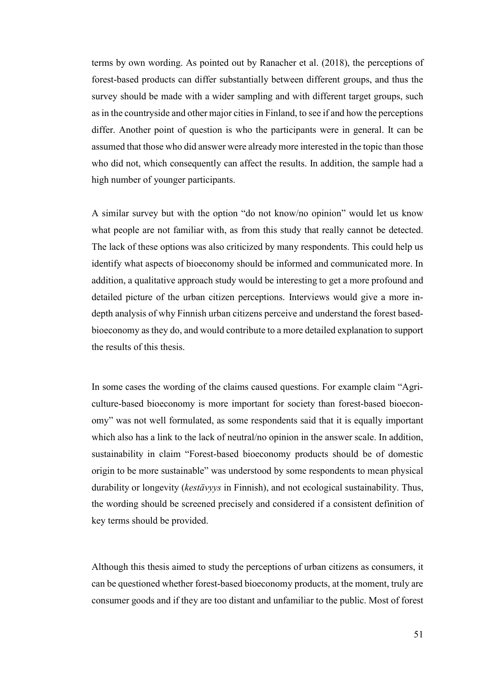terms by own wording. As pointed out by Ranacher et al. (2018), the perceptions of forest-based products can differ substantially between different groups, and thus the survey should be made with a wider sampling and with different target groups, such as in the countryside and other major cities in Finland, to see if and how the perceptions differ. Another point of question is who the participants were in general. It can be assumed that those who did answer were already more interested in the topic than those who did not, which consequently can affect the results. In addition, the sample had a high number of younger participants.

A similar survey but with the option "do not know/no opinion" would let us know what people are not familiar with, as from this study that really cannot be detected. The lack of these options was also criticized by many respondents. This could help us identify what aspects of bioeconomy should be informed and communicated more. In addition, a qualitative approach study would be interesting to get a more profound and detailed picture of the urban citizen perceptions. Interviews would give a more indepth analysis of why Finnish urban citizens perceive and understand the forest basedbioeconomy as they do, and would contribute to a more detailed explanation to support the results of this thesis.

In some cases the wording of the claims caused questions. For example claim "Agriculture-based bioeconomy is more important for society than forest-based bioeconomy" was not well formulated, as some respondents said that it is equally important which also has a link to the lack of neutral/no opinion in the answer scale. In addition, sustainability in claim "Forest-based bioeconomy products should be of domestic origin to be more sustainable" was understood by some respondents to mean physical durability or longevity (*kestävyys* in Finnish), and not ecological sustainability. Thus, the wording should be screened precisely and considered if a consistent definition of key terms should be provided.

Although this thesis aimed to study the perceptions of urban citizens as consumers, it can be questioned whether forest-based bioeconomy products, at the moment, truly are consumer goods and if they are too distant and unfamiliar to the public. Most of forest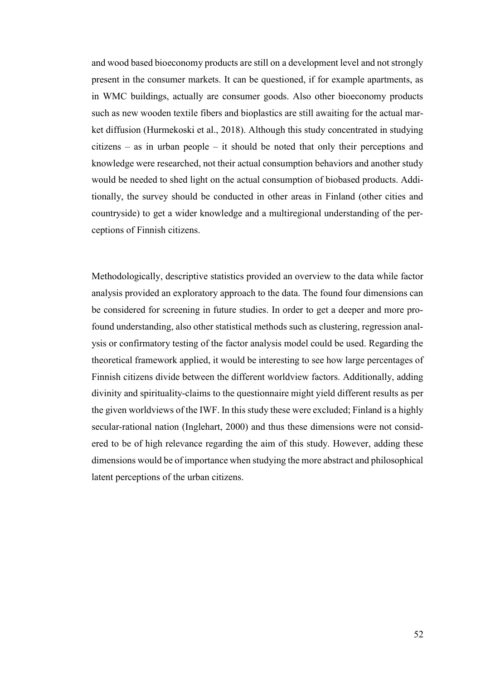and wood based bioeconomy products are still on a development level and not strongly present in the consumer markets. It can be questioned, if for example apartments, as in WMC buildings, actually are consumer goods. Also other bioeconomy products such as new wooden textile fibers and bioplastics are still awaiting for the actual market diffusion (Hurmekoski et al., 2018). Although this study concentrated in studying citizens – as in urban people – it should be noted that only their perceptions and knowledge were researched, not their actual consumption behaviors and another study would be needed to shed light on the actual consumption of biobased products. Additionally, the survey should be conducted in other areas in Finland (other cities and countryside) to get a wider knowledge and a multiregional understanding of the perceptions of Finnish citizens.

Methodologically, descriptive statistics provided an overview to the data while factor analysis provided an exploratory approach to the data. The found four dimensions can be considered for screening in future studies. In order to get a deeper and more profound understanding, also other statistical methods such as clustering, regression analysis or confirmatory testing of the factor analysis model could be used. Regarding the theoretical framework applied, it would be interesting to see how large percentages of Finnish citizens divide between the different worldview factors. Additionally, adding divinity and spirituality-claims to the questionnaire might yield different results as per the given worldviews of the IWF. In this study these were excluded; Finland is a highly secular-rational nation (Inglehart, 2000) and thus these dimensions were not considered to be of high relevance regarding the aim of this study. However, adding these dimensions would be of importance when studying the more abstract and philosophical latent perceptions of the urban citizens.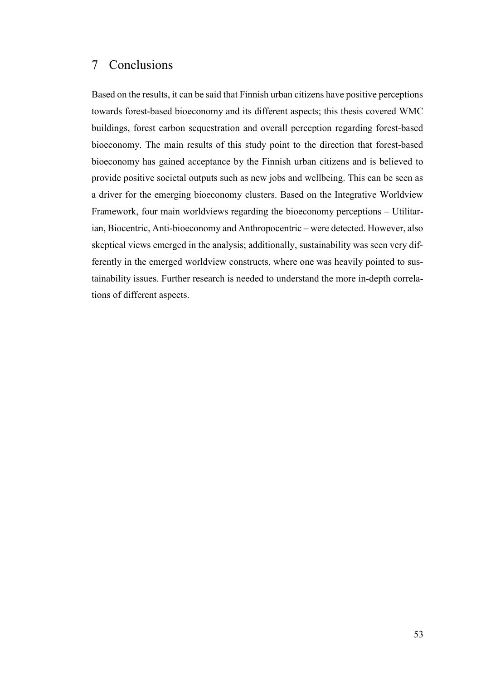### <span id="page-57-0"></span>7 Conclusions

Based on the results, it can be said that Finnish urban citizens have positive perceptions towards forest-based bioeconomy and its different aspects; this thesis covered WMC buildings, forest carbon sequestration and overall perception regarding forest-based bioeconomy. The main results of this study point to the direction that forest-based bioeconomy has gained acceptance by the Finnish urban citizens and is believed to provide positive societal outputs such as new jobs and wellbeing. This can be seen as a driver for the emerging bioeconomy clusters. Based on the Integrative Worldview Framework, four main worldviews regarding the bioeconomy perceptions – Utilitarian, Biocentric, Anti-bioeconomy and Anthropocentric – were detected. However, also skeptical views emerged in the analysis; additionally, sustainability was seen very differently in the emerged worldview constructs, where one was heavily pointed to sustainability issues. Further research is needed to understand the more in-depth correlations of different aspects.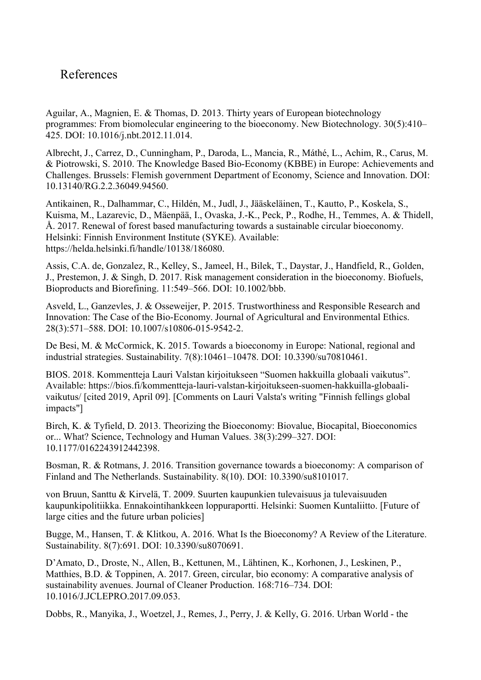### <span id="page-58-0"></span>References

Aguilar, A., Magnien, E. & Thomas, D. 2013. Thirty years of European biotechnology programmes: From biomolecular engineering to the bioeconomy. New Biotechnology. 30(5):410– 425. DOI: 10.1016/j.nbt.2012.11.014.

Albrecht, J., Carrez, D., Cunningham, P., Daroda, L., Mancia, R., Máthé, L., Achim, R., Carus, M. & Piotrowski, S. 2010. The Knowledge Based Bio-Economy (KBBE) in Europe: Achievements and Challenges. Brussels: Flemish government Department of Economy, Science and Innovation. DOI: 10.13140/RG.2.2.36049.94560.

Antikainen, R., Dalhammar, C., Hildén, M., Judl, J., Jääskeläinen, T., Kautto, P., Koskela, S., Kuisma, M., Lazarevic, D., Mäenpää, I., Ovaska, J.-K., Peck, P., Rodhe, H., Temmes, A. & Thidell, Å. 2017. Renewal of forest based manufacturing towards a sustainable circular bioeconomy. Helsinki: Finnish Environment Institute (SYKE). Available: https://helda.helsinki.fi/handle/10138/186080.

Assis, C.A. de, Gonzalez, R., Kelley, S., Jameel, H., Bilek, T., Daystar, J., Handfield, R., Golden, J., Prestemon, J. & Singh, D. 2017. Risk management consideration in the bioeconomy. Biofuels, Bioproducts and Biorefining. 11:549–566. DOI: 10.1002/bbb.

Asveld, L., Ganzevles, J. & Osseweijer, P. 2015. Trustworthiness and Responsible Research and Innovation: The Case of the Bio-Economy. Journal of Agricultural and Environmental Ethics. 28(3):571–588. DOI: 10.1007/s10806-015-9542-2.

De Besi, M. & McCormick, K. 2015. Towards a bioeconomy in Europe: National, regional and industrial strategies. Sustainability. 7(8):10461–10478. DOI: 10.3390/su70810461.

BIOS. 2018. Kommentteja Lauri Valstan kirjoitukseen "Suomen hakkuilla globaali vaikutus". Available: https://bios.fi/kommentteja-lauri-valstan-kirjoitukseen-suomen-hakkuilla-globaalivaikutus/ [cited 2019, April 09]. [Comments on Lauri Valsta's writing "Finnish fellings global impacts"]

Birch, K. & Tyfield, D. 2013. Theorizing the Bioeconomy: Biovalue, Biocapital, Bioeconomics or... What? Science, Technology and Human Values. 38(3):299–327. DOI: 10.1177/0162243912442398.

Bosman, R. & Rotmans, J. 2016. Transition governance towards a bioeconomy: A comparison of Finland and The Netherlands. Sustainability. 8(10). DOI: 10.3390/su8101017.

von Bruun, Santtu & Kirvelä, T. 2009. Suurten kaupunkien tulevaisuus ja tulevaisuuden kaupunkipolitiikka. Ennakointihankkeen loppuraportti. Helsinki: Suomen Kuntaliitto. [Future of large cities and the future urban policies]

Bugge, M., Hansen, T. & Klitkou, A. 2016. What Is the Bioeconomy? A Review of the Literature. Sustainability. 8(7):691. DOI: 10.3390/su8070691.

D'Amato, D., Droste, N., Allen, B., Kettunen, M., Lähtinen, K., Korhonen, J., Leskinen, P., Matthies, B.D. & Toppinen, A. 2017. Green, circular, bio economy: A comparative analysis of sustainability avenues. Journal of Cleaner Production. 168:716–734. DOI: 10.1016/J.JCLEPRO.2017.09.053.

Dobbs, R., Manyika, J., Woetzel, J., Remes, J., Perry, J. & Kelly, G. 2016. Urban World - the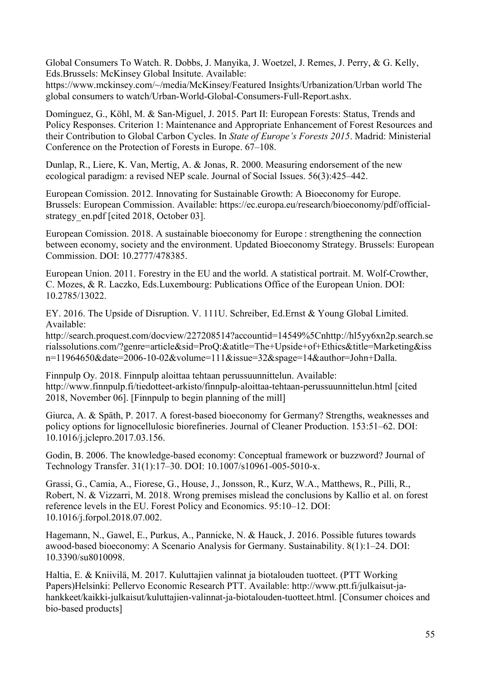Global Consumers To Watch. R. Dobbs, J. Manyika, J. Woetzel, J. Remes, J. Perry, & G. Kelly, Eds.Brussels: McKinsey Global Insitute. Available:

https://www.mckinsey.com/~/media/McKinsey/Featured Insights/Urbanization/Urban world The global consumers to watch/Urban-World-Global-Consumers-Full-Report.ashx.

Domínguez, G., Köhl, M. & San-Miguel, J. 2015. Part II: European Forests: Status, Trends and Policy Responses. Criterion 1: Maintenance and Appropriate Enhancement of Forest Resources and their Contribution to Global Carbon Cycles. In *State of Europe's Forests 2015*. Madrid: Ministerial Conference on the Protection of Forests in Europe. 67–108.

Dunlap, R., Liere, K. Van, Mertig, A. & Jonas, R. 2000. Measuring endorsement of the new ecological paradigm: a revised NEP scale. Journal of Social Issues. 56(3):425–442.

European Comission. 2012. Innovating for Sustainable Growth: A Bioeconomy for Europe. Brussels: European Commission. Available: https://ec.europa.eu/research/bioeconomy/pdf/officialstrategy\_en.pdf [cited 2018, October 03].

European Comission. 2018. A sustainable bioeconomy for Europe : strengthening the connection between economy, society and the environment. Updated Bioeconomy Strategy. Brussels: European Commission. DOI: 10.2777/478385.

European Union. 2011. Forestry in the EU and the world. A statistical portrait. M. Wolf-Crowther, C. Mozes, & R. Laczko, Eds.Luxembourg: Publications Office of the European Union. DOI: 10.2785/13022.

EY. 2016. The Upside of Disruption. V. 111U. Schreiber, Ed.Ernst & Young Global Limited. Available:

http://search.proquest.com/docview/227208514?accountid=14549%5Cnhttp://hl5yy6xn2p.search.se rialssolutions.com/?genre=article&sid=ProQ:&atitle=The+Upside+of+Ethics&title=Marketing&iss n=11964650&date=2006-10-02&volume=111&issue=32&spage=14&author=John+Dalla.

Finnpulp Oy. 2018. Finnpulp aloittaa tehtaan perussuunnittelun. Available: http://www.finnpulp.fi/tiedotteet-arkisto/finnpulp-aloittaa-tehtaan-perussuunnittelun.html [cited 2018, November 06]. [Finnpulp to begin planning of the mill]

Giurca, A. & Späth, P. 2017. A forest-based bioeconomy for Germany? Strengths, weaknesses and policy options for lignocellulosic biorefineries. Journal of Cleaner Production. 153:51–62. DOI: 10.1016/j.jclepro.2017.03.156.

Godin, B. 2006. The knowledge-based economy: Conceptual framework or buzzword? Journal of Technology Transfer. 31(1):17–30. DOI: 10.1007/s10961-005-5010-x.

Grassi, G., Camia, A., Fiorese, G., House, J., Jonsson, R., Kurz, W.A., Matthews, R., Pilli, R., Robert, N. & Vizzarri, M. 2018. Wrong premises mislead the conclusions by Kallio et al. on forest reference levels in the EU. Forest Policy and Economics. 95:10–12. DOI: 10.1016/j.forpol.2018.07.002.

Hagemann, N., Gawel, E., Purkus, A., Pannicke, N. & Hauck, J. 2016. Possible futures towards awood-based bioeconomy: A Scenario Analysis for Germany. Sustainability. 8(1):1–24. DOI: 10.3390/su8010098.

Haltia, E. & Kniivilä, M. 2017. Kuluttajien valinnat ja biotalouden tuotteet. (PTT Working Papers)Helsinki: Pellervo Economic Research PTT. Available: http://www.ptt.fi/julkaisut-jahankkeet/kaikki-julkaisut/kuluttajien-valinnat-ja-biotalouden-tuotteet.html. [Consumer choices and bio-based products]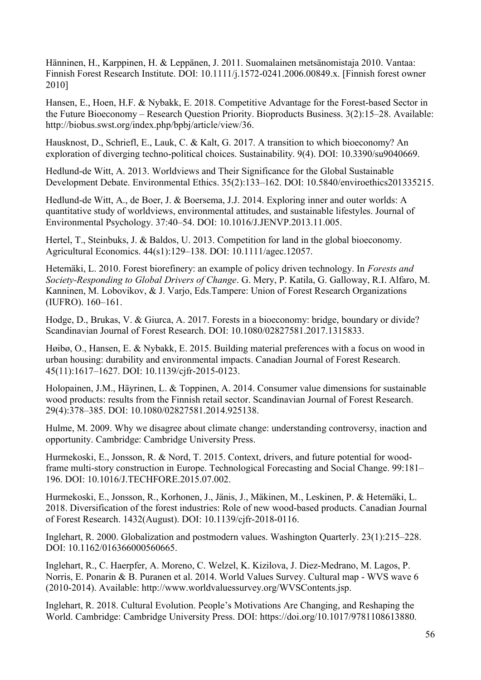Hänninen, H., Karppinen, H. & Leppänen, J. 2011. Suomalainen metsänomistaja 2010. Vantaa: Finnish Forest Research Institute. DOI: 10.1111/j.1572-0241.2006.00849.x. [Finnish forest owner 2010]

Hansen, E., Hoen, H.F. & Nybakk, E. 2018. Competitive Advantage for the Forest-based Sector in the Future Bioeconomy – Research Question Priority. Bioproducts Business. 3(2):15–28. Available: http://biobus.swst.org/index.php/bpbj/article/view/36.

Hausknost, D., Schriefl, E., Lauk, C. & Kalt, G. 2017. A transition to which bioeconomy? An exploration of diverging techno-political choices. Sustainability. 9(4). DOI: 10.3390/su9040669.

Hedlund-de Witt, A. 2013. Worldviews and Their Significance for the Global Sustainable Development Debate. Environmental Ethics. 35(2):133–162. DOI: 10.5840/enviroethics201335215.

Hedlund-de Witt, A., de Boer, J. & Boersema, J.J. 2014. Exploring inner and outer worlds: A quantitative study of worldviews, environmental attitudes, and sustainable lifestyles. Journal of Environmental Psychology. 37:40–54. DOI: 10.1016/J.JENVP.2013.11.005.

Hertel, T., Steinbuks, J. & Baldos, U. 2013. Competition for land in the global bioeconomy. Agricultural Economics. 44(s1):129–138. DOI: 10.1111/agec.12057.

Hetemäki, L. 2010. Forest biorefinery: an example of policy driven technology. In *Forests and Society-Responding to Global Drivers of Change*. G. Mery, P. Katila, G. Galloway, R.I. Alfaro, M. Kanninen, M. Lobovikov, & J. Varjo, Eds.Tampere: Union of Forest Research Organizations (IUFRO). 160–161.

Hodge, D., Brukas, V. & Giurca, A. 2017. Forests in a bioeconomy: bridge, boundary or divide? Scandinavian Journal of Forest Research. DOI: 10.1080/02827581.2017.1315833.

Høibø, O., Hansen, E. & Nybakk, E. 2015. Building material preferences with a focus on wood in urban housing: durability and environmental impacts. Canadian Journal of Forest Research. 45(11):1617–1627. DOI: 10.1139/cjfr-2015-0123.

Holopainen, J.M., Häyrinen, L. & Toppinen, A. 2014. Consumer value dimensions for sustainable wood products: results from the Finnish retail sector. Scandinavian Journal of Forest Research. 29(4):378–385. DOI: 10.1080/02827581.2014.925138.

Hulme, M. 2009. Why we disagree about climate change: understanding controversy, inaction and opportunity. Cambridge: Cambridge University Press.

Hurmekoski, E., Jonsson, R. & Nord, T. 2015. Context, drivers, and future potential for woodframe multi-story construction in Europe. Technological Forecasting and Social Change. 99:181– 196. DOI: 10.1016/J.TECHFORE.2015.07.002.

Hurmekoski, E., Jonsson, R., Korhonen, J., Jänis, J., Mäkinen, M., Leskinen, P. & Hetemäki, L. 2018. Diversification of the forest industries: Role of new wood-based products. Canadian Journal of Forest Research. 1432(August). DOI: 10.1139/cjfr-2018-0116.

Inglehart, R. 2000. Globalization and postmodern values. Washington Quarterly. 23(1):215–228. DOI: 10.1162/016366000560665.

Inglehart, R., C. Haerpfer, A. Moreno, C. Welzel, K. Kizilova, J. Diez-Medrano, M. Lagos, P. Norris, E. Ponarin & B. Puranen et al. 2014. World Values Survey. Cultural map - WVS wave 6 (2010-2014). Available: http://www.worldvaluessurvey.org/WVSContents.jsp.

Inglehart, R. 2018. Cultural Evolution. People's Motivations Are Changing, and Reshaping the World. Cambridge: Cambridge University Press. DOI: https://doi.org/10.1017/9781108613880.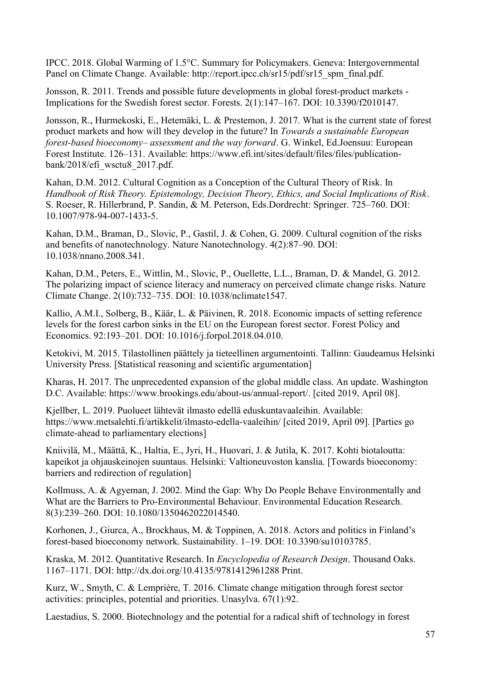IPCC. 2018. Global Warming of 1.5°C. Summary for Policymakers. Geneva: Intergovernmental Panel on Climate Change. Available: http://report.ipcc.ch/sr15/pdf/sr15\_spm\_final.pdf.

Jonsson, R. 2011. Trends and possible future developments in global forest-product markets - Implications for the Swedish forest sector. Forests. 2(1):147–167. DOI: 10.3390/f2010147.

Jonsson, R., Hurmekoski, E., Hetemäki, L. & Prestemon, J. 2017. What is the current state of forest product markets and how will they develop in the future? In *Towards a sustainable European forest-based bioeconomy– assessment and the way forward*. G. Winkel, Ed.Joensuu: European Forest Institute. 126–131. Available: https://www.efi.int/sites/default/files/files/publicationbank/2018/efi\_wsctu8\_2017.pdf.

Kahan, D.M. 2012. Cultural Cognition as a Conception of the Cultural Theory of Risk. In *Handbook of Risk Theory. Epistemology, Decision Theory, Ethics, and Social Implications of Risk*. S. Roeser, R. Hillerbrand, P. Sandin, & M. Peterson, Eds.Dordrecht: Springer. 725–760. DOI: 10.1007/978-94-007-1433-5.

Kahan, D.M., Braman, D., Slovic, P., Gastil, J. & Cohen, G. 2009. Cultural cognition of the risks and benefits of nanotechnology. Nature Nanotechnology. 4(2):87–90. DOI: 10.1038/nnano.2008.341.

Kahan, D.M., Peters, E., Wittlin, M., Slovic, P., Ouellette, L.L., Braman, D. & Mandel, G. 2012. The polarizing impact of science literacy and numeracy on perceived climate change risks. Nature Climate Change. 2(10):732–735. DOI: 10.1038/nclimate1547.

Kallio, A.M.I., Solberg, B., Käär, L. & Päivinen, R. 2018. Economic impacts of setting reference levels for the forest carbon sinks in the EU on the European forest sector. Forest Policy and Economics. 92:193–201. DOI: 10.1016/j.forpol.2018.04.010.

Ketokivi, M. 2015. Tilastollinen päättely ja tieteellinen argumentointi. Tallinn: Gaudeamus Helsinki University Press. [Statistical reasoning and scientific argumentation]

Kharas, H. 2017. The unprecedented expansion of the global middle class. An update. Washington D.C. Available: https://www.brookings.edu/about-us/annual-report/. [cited 2019, April 08].

Kjellber, L. 2019. Puolueet lähtevät ilmasto edellä eduskuntavaaleihin. Available: https://www.metsalehti.fi/artikkelit/ilmasto-edella-vaaleihin/ [cited 2019, April 09]. [Parties go climate-ahead to parliamentary elections]

Kniivilä, M., Määttä, K., Haltia, E., Jyri, H., Huovari, J. & Jutila, K. 2017. Kohti biotaloutta: kapeikot ja ohjauskeinojen suuntaus. Helsinki: Valtioneuvoston kanslia. [Towards bioeconomy: barriers and redirection of regulation]

Kollmuss, A. & Agyeman, J. 2002. Mind the Gap: Why Do People Behave Environmentally and What are the Barriers to Pro-Environmental Behaviour. Environmental Education Research. 8(3):239–260. DOI: 10.1080/1350462022014540.

Korhonen, J., Giurca, A., Brockhaus, M. & Toppinen, A. 2018. Actors and politics in Finland's forest-based bioeconomy network. Sustainability. 1–19. DOI: 10.3390/su10103785.

Kraska, M. 2012. Quantitative Research. In *Encyclopedia of Research Design*. Thousand Oaks. 1167–1171. DOI: http://dx.doi.org/10.4135/9781412961288 Print.

Kurz, W., Smyth, C. & Lemprière, T. 2016. Climate change mitigation through forest sector activities: principles, potential and priorities. Unasylva. 67(1):92.

Laestadius, S. 2000. Biotechnology and the potential for a radical shift of technology in forest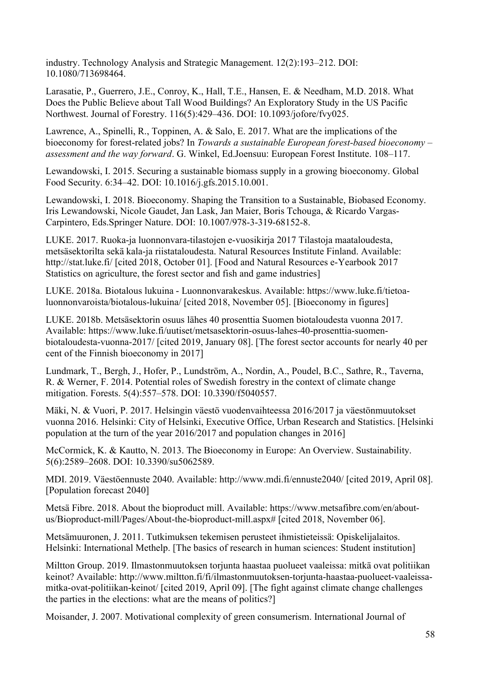industry. Technology Analysis and Strategic Management. 12(2):193–212. DOI: 10.1080/713698464.

Larasatie, P., Guerrero, J.E., Conroy, K., Hall, T.E., Hansen, E. & Needham, M.D. 2018. What Does the Public Believe about Tall Wood Buildings? An Exploratory Study in the US Pacific Northwest. Journal of Forestry. 116(5):429–436. DOI: 10.1093/jofore/fvy025.

Lawrence, A., Spinelli, R., Toppinen, A. & Salo, E. 2017. What are the implications of the bioeconomy for forest-related jobs? In *Towards a sustainable European forest-based bioeconomy – assessment and the way forward*. G. Winkel, Ed.Joensuu: European Forest Institute. 108–117.

Lewandowski, I. 2015. Securing a sustainable biomass supply in a growing bioeconomy. Global Food Security. 6:34–42. DOI: 10.1016/j.gfs.2015.10.001.

Lewandowski, I. 2018. Bioeconomy. Shaping the Transition to a Sustainable, Biobased Economy. Iris Lewandowski, Nicole Gaudet, Jan Lask, Jan Maier, Boris Tchouga, & Ricardo Vargas-Carpintero, Eds.Springer Nature. DOI: 10.1007/978-3-319-68152-8.

LUKE. 2017. Ruoka-ja luonnonvara-tilastojen e-vuosikirja 2017 Tilastoja maataloudesta, metsäsektorilta sekä kala-ja riistataloudesta. Natural Resources Institute Finland. Available: http://stat.luke.fi/ [cited 2018, October 01]. [Food and Natural Resources e-Yearbook 2017 Statistics on agriculture, the forest sector and fish and game industries]

LUKE. 2018a. Biotalous lukuina - Luonnonvarakeskus. Available: https://www.luke.fi/tietoaluonnonvaroista/biotalous-lukuina/ [cited 2018, November 05]. [Bioeconomy in figures]

LUKE. 2018b. Metsäsektorin osuus lähes 40 prosenttia Suomen biotaloudesta vuonna 2017. Available: https://www.luke.fi/uutiset/metsasektorin-osuus-lahes-40-prosenttia-suomenbiotaloudesta-vuonna-2017/ [cited 2019, January 08]. [The forest sector accounts for nearly 40 per cent of the Finnish bioeconomy in 2017]

Lundmark, T., Bergh, J., Hofer, P., Lundström, A., Nordin, A., Poudel, B.C., Sathre, R., Taverna, R. & Werner, F. 2014. Potential roles of Swedish forestry in the context of climate change mitigation. Forests. 5(4):557–578. DOI: 10.3390/f5040557.

Mäki, N. & Vuori, P. 2017. Helsingin väestö vuodenvaihteessa 2016/2017 ja väestönmuutokset vuonna 2016. Helsinki: City of Helsinki, Executive Office, Urban Research and Statistics. [Helsinki population at the turn of the year 2016/2017 and population changes in 2016]

McCormick, K. & Kautto, N. 2013. The Bioeconomy in Europe: An Overview. Sustainability. 5(6):2589–2608. DOI: 10.3390/su5062589.

MDI. 2019. Väestöennuste 2040. Available: http://www.mdi.fi/ennuste2040/ [cited 2019, April 08]. [Population forecast 2040]

Metsä Fibre. 2018. About the bioproduct mill. Available: https://www.metsafibre.com/en/aboutus/Bioproduct-mill/Pages/About-the-bioproduct-mill.aspx# [cited 2018, November 06].

Metsämuuronen, J. 2011. Tutkimuksen tekemisen perusteet ihmistieteissä: Opiskelijalaitos. Helsinki: International Methelp. [The basics of research in human sciences: Student institution]

Miltton Group. 2019. Ilmastonmuutoksen torjunta haastaa puolueet vaaleissa: mitkä ovat politiikan keinot? Available: http://www.miltton.fi/fi/ilmastonmuutoksen-torjunta-haastaa-puolueet-vaaleissamitka-ovat-politiikan-keinot/ [cited 2019, April 09]. [The fight against climate change challenges the parties in the elections: what are the means of politics?]

Moisander, J. 2007. Motivational complexity of green consumerism. International Journal of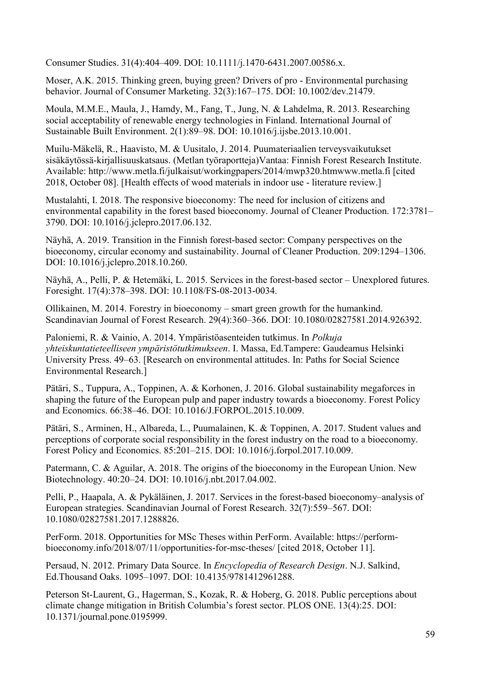Consumer Studies. 31(4):404–409. DOI: 10.1111/j.1470-6431.2007.00586.x.

Moser, A.K. 2015. Thinking green, buying green? Drivers of pro - Environmental purchasing behavior. Journal of Consumer Marketing. 32(3):167–175. DOI: 10.1002/dev.21479.

Moula, M.M.E., Maula, J., Hamdy, M., Fang, T., Jung, N. & Lahdelma, R. 2013. Researching social acceptability of renewable energy technologies in Finland. International Journal of Sustainable Built Environment. 2(1):89–98. DOI: 10.1016/j.ijsbe.2013.10.001.

Muilu-Mäkelä, R., Haavisto, M. & Uusitalo, J. 2014. Puumateriaalien terveysvaikutukset sisäkäytössä-kirjallisuuskatsaus. (Metlan työraportteja)Vantaa: Finnish Forest Research Institute. Available: http://www.metla.fi/julkaisut/workingpapers/2014/mwp320.htmwww.metla.fi [cited 2018, October 08]. [Health effects of wood materials in indoor use - literature review.]

Mustalahti, I. 2018. The responsive bioeconomy: The need for inclusion of citizens and environmental capability in the forest based bioeconomy. Journal of Cleaner Production. 172:3781– 3790. DOI: 10.1016/j.jclepro.2017.06.132.

Näyhä, A. 2019. Transition in the Finnish forest-based sector: Company perspectives on the bioeconomy, circular economy and sustainability. Journal of Cleaner Production. 209:1294–1306. DOI: 10.1016/j.jclepro.2018.10.260.

Näyhä, A., Pelli, P. & Hetemäki, L. 2015. Services in the forest-based sector – Unexplored futures. Foresight. 17(4):378–398. DOI: 10.1108/FS-08-2013-0034.

Ollikainen, M. 2014. Forestry in bioeconomy – smart green growth for the humankind. Scandinavian Journal of Forest Research. 29(4):360–366. DOI: 10.1080/02827581.2014.926392.

Paloniemi, R. & Vainio, A. 2014. Ympäristöasenteiden tutkimus. In *Polkuja yhteiskuntatieteelliseen ympäristötutkimukseen*. I. Massa, Ed.Tampere: Gaudeamus Helsinki University Press. 49–63. [Research on environmental attitudes. In: Paths for Social Science Environmental Research.]

Pätäri, S., Tuppura, A., Toppinen, A. & Korhonen, J. 2016. Global sustainability megaforces in shaping the future of the European pulp and paper industry towards a bioeconomy. Forest Policy and Economics. 66:38–46. DOI: 10.1016/J.FORPOL.2015.10.009.

Pätäri, S., Arminen, H., Albareda, L., Puumalainen, K. & Toppinen, A. 2017. Student values and perceptions of corporate social responsibility in the forest industry on the road to a bioeconomy. Forest Policy and Economics. 85:201–215. DOI: 10.1016/j.forpol.2017.10.009.

Patermann, C. & Aguilar, A. 2018. The origins of the bioeconomy in the European Union. New Biotechnology. 40:20–24. DOI: 10.1016/j.nbt.2017.04.002.

Pelli, P., Haapala, A. & Pykäläinen, J. 2017. Services in the forest-based bioeconomy–analysis of European strategies. Scandinavian Journal of Forest Research. 32(7):559–567. DOI: 10.1080/02827581.2017.1288826.

PerForm. 2018. Opportunities for MSc Theses within PerForm. Available: https://performbioeconomy.info/2018/07/11/opportunities-for-msc-theses/ [cited 2018, October 11].

Persaud, N. 2012. Primary Data Source. In *Encyclopedia of Research Design*. N.J. Salkind, Ed.Thousand Oaks. 1095–1097. DOI: 10.4135/9781412961288.

Peterson St-Laurent, G., Hagerman, S., Kozak, R. & Hoberg, G. 2018. Public perceptions about climate change mitigation in British Columbia's forest sector. PLOS ONE. 13(4):25. DOI: 10.1371/journal.pone.0195999.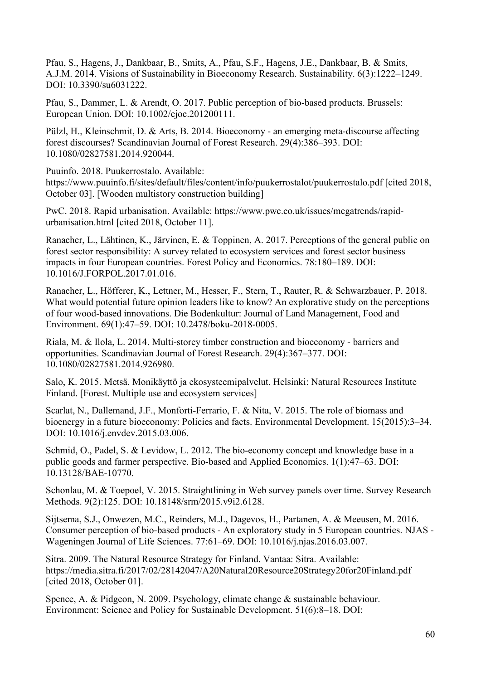Pfau, S., Hagens, J., Dankbaar, B., Smits, A., Pfau, S.F., Hagens, J.E., Dankbaar, B. & Smits, A.J.M. 2014. Visions of Sustainability in Bioeconomy Research. Sustainability. 6(3):1222–1249. DOI: 10.3390/su6031222.

Pfau, S., Dammer, L. & Arendt, O. 2017. Public perception of bio-based products. Brussels: European Union. DOI: 10.1002/ejoc.201200111.

Pülzl, H., Kleinschmit, D. & Arts, B. 2014. Bioeconomy - an emerging meta-discourse affecting forest discourses? Scandinavian Journal of Forest Research. 29(4):386–393. DOI: 10.1080/02827581.2014.920044.

Puuinfo. 2018. Puukerrostalo. Available:

https://www.puuinfo.fi/sites/default/files/content/info/puukerrostalot/puukerrostalo.pdf [cited 2018, October 03]. [Wooden multistory construction building]

PwC. 2018. Rapid urbanisation. Available: https://www.pwc.co.uk/issues/megatrends/rapidurbanisation.html [cited 2018, October 11].

Ranacher, L., Lähtinen, K., Järvinen, E. & Toppinen, A. 2017. Perceptions of the general public on forest sector responsibility: A survey related to ecosystem services and forest sector business impacts in four European countries. Forest Policy and Economics. 78:180–189. DOI: 10.1016/J.FORPOL.2017.01.016.

Ranacher, L., Höfferer, K., Lettner, M., Hesser, F., Stern, T., Rauter, R. & Schwarzbauer, P. 2018. What would potential future opinion leaders like to know? An explorative study on the perceptions of four wood-based innovations. Die Bodenkultur: Journal of Land Management, Food and Environment. 69(1):47–59. DOI: 10.2478/boku-2018-0005.

Riala, M. & Ilola, L. 2014. Multi-storey timber construction and bioeconomy - barriers and opportunities. Scandinavian Journal of Forest Research. 29(4):367–377. DOI: 10.1080/02827581.2014.926980.

Salo, K. 2015. Metsä. Monikäyttö ja ekosysteemipalvelut. Helsinki: Natural Resources Institute Finland. [Forest. Multiple use and ecosystem services]

Scarlat, N., Dallemand, J.F., Monforti-Ferrario, F. & Nita, V. 2015. The role of biomass and bioenergy in a future bioeconomy: Policies and facts. Environmental Development. 15(2015):3–34. DOI: 10.1016/j.envdev.2015.03.006.

Schmid, O., Padel, S. & Levidow, L. 2012. The bio-economy concept and knowledge base in a public goods and farmer perspective. Bio-based and Applied Economics. 1(1):47–63. DOI: 10.13128/BAE-10770.

Schonlau, M. & Toepoel, V. 2015. Straightlining in Web survey panels over time. Survey Research Methods. 9(2):125. DOI: 10.18148/srm/2015.v9i2.6128.

Sijtsema, S.J., Onwezen, M.C., Reinders, M.J., Dagevos, H., Partanen, A. & Meeusen, M. 2016. Consumer perception of bio-based products - An exploratory study in 5 European countries. NJAS - Wageningen Journal of Life Sciences. 77:61–69. DOI: 10.1016/j.njas.2016.03.007.

Sitra. 2009. The Natural Resource Strategy for Finland. Vantaa: Sitra. Available: https://media.sitra.fi/2017/02/28142047/A20Natural20Resource20Strategy20for20Finland.pdf [cited 2018, October 01].

Spence, A. & Pidgeon, N. 2009. Psychology, climate change & sustainable behaviour. Environment: Science and Policy for Sustainable Development. 51(6):8–18. DOI: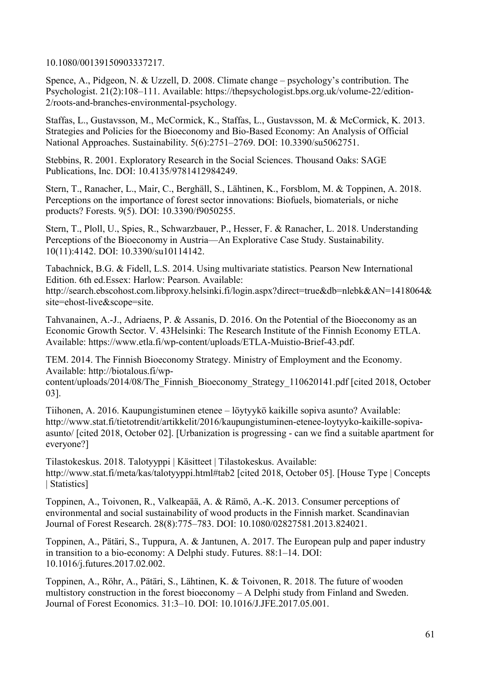10.1080/00139150903337217.

Spence, A., Pidgeon, N. & Uzzell, D. 2008. Climate change – psychology's contribution. The Psychologist. 21(2):108–111. Available: https://thepsychologist.bps.org.uk/volume-22/edition-2/roots-and-branches-environmental-psychology.

Staffas, L., Gustavsson, M., McCormick, K., Staffas, L., Gustavsson, M. & McCormick, K. 2013. Strategies and Policies for the Bioeconomy and Bio-Based Economy: An Analysis of Official National Approaches. Sustainability. 5(6):2751–2769. DOI: 10.3390/su5062751.

Stebbins, R. 2001. Exploratory Research in the Social Sciences. Thousand Oaks: SAGE Publications, Inc. DOI: 10.4135/9781412984249.

Stern, T., Ranacher, L., Mair, C., Berghäll, S., Lähtinen, K., Forsblom, M. & Toppinen, A. 2018. Perceptions on the importance of forest sector innovations: Biofuels, biomaterials, or niche products? Forests. 9(5). DOI: 10.3390/f9050255.

Stern, T., Ploll, U., Spies, R., Schwarzbauer, P., Hesser, F. & Ranacher, L. 2018. Understanding Perceptions of the Bioeconomy in Austria—An Explorative Case Study. Sustainability. 10(11):4142. DOI: 10.3390/su10114142.

Tabachnick, B.G. & Fidell, L.S. 2014. Using multivariate statistics. Pearson New International Edition. 6th ed.Essex: Harlow: Pearson. Available: http://search.ebscohost.com.libproxy.helsinki.fi/login.aspx?direct=true&db=nlebk&AN=1418064& site=ehost-live&scope=site.

Tahvanainen, A.-J., Adriaens, P. & Assanis, D. 2016. On the Potential of the Bioeconomy as an Economic Growth Sector. V. 43Helsinki: The Research Institute of the Finnish Economy ETLA. Available: https://www.etla.fi/wp-content/uploads/ETLA-Muistio-Brief-43.pdf.

TEM. 2014. The Finnish Bioeconomy Strategy. Ministry of Employment and the Economy. Available: http://biotalous.fi/wp-

content/uploads/2014/08/The\_Finnish\_Bioeconomy\_Strategy\_110620141.pdf [cited 2018, October 03].

Tiihonen, A. 2016. Kaupungistuminen etenee – löytyykö kaikille sopiva asunto? Available: http://www.stat.fi/tietotrendit/artikkelit/2016/kaupungistuminen-etenee-loytyyko-kaikille-sopivaasunto/ [cited 2018, October 02]. [Urbanization is progressing - can we find a suitable apartment for everyone?]

Tilastokeskus. 2018. Talotyyppi | Käsitteet | Tilastokeskus. Available: http://www.stat.fi/meta/kas/talotyyppi.html#tab2 [cited 2018, October 05]. [House Type | Concepts | Statistics]

Toppinen, A., Toivonen, R., Valkeapää, A. & Rämö, A.-K. 2013. Consumer perceptions of environmental and social sustainability of wood products in the Finnish market. Scandinavian Journal of Forest Research. 28(8):775–783. DOI: 10.1080/02827581.2013.824021.

Toppinen, A., Pätäri, S., Tuppura, A. & Jantunen, A. 2017. The European pulp and paper industry in transition to a bio-economy: A Delphi study. Futures. 88:1–14. DOI: 10.1016/j.futures.2017.02.002.

Toppinen, A., Röhr, A., Pätäri, S., Lähtinen, K. & Toivonen, R. 2018. The future of wooden multistory construction in the forest bioeconomy – A Delphi study from Finland and Sweden. Journal of Forest Economics. 31:3–10. DOI: 10.1016/J.JFE.2017.05.001.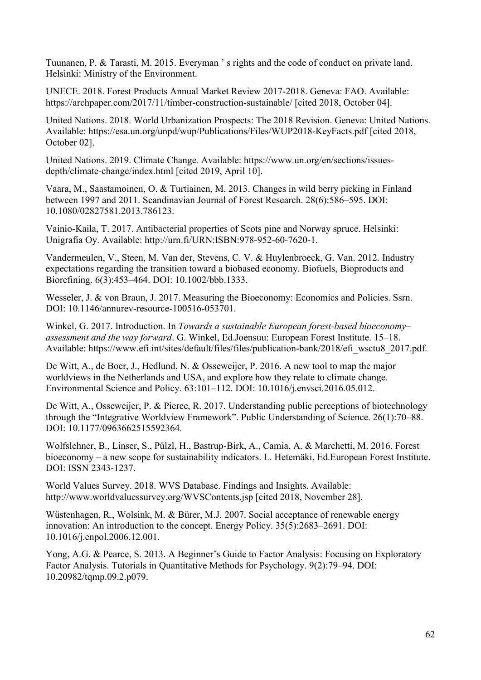Tuunanen, P. & Tarasti, M. 2015. Everyman ' s rights and the code of conduct on private land. Helsinki: Ministry of the Environment.

UNECE. 2018. Forest Products Annual Market Review 2017-2018. Geneva: FAO. Available: https://archpaper.com/2017/11/timber-construction-sustainable/ [cited 2018, October 04].

United Nations. 2018. World Urbanization Prospects: The 2018 Revision. Geneva: United Nations. Available: https://esa.un.org/unpd/wup/Publications/Files/WUP2018-KeyFacts.pdf [cited 2018, October 02].

United Nations. 2019. Climate Change. Available: https://www.un.org/en/sections/issuesdepth/climate-change/index.html [cited 2019, April 10].

Vaara, M., Saastamoinen, O. & Turtiainen, M. 2013. Changes in wild berry picking in Finland between 1997 and 2011. Scandinavian Journal of Forest Research. 28(6):586–595. DOI: 10.1080/02827581.2013.786123.

Vainio-Kaila, T. 2017. Antibacterial properties of Scots pine and Norway spruce. Helsinki: Unigrafia Oy. Available: http://urn.fi/URN:ISBN:978-952-60-7620-1.

Vandermeulen, V., Steen, M. Van der, Stevens, C. V. & Huylenbroeck, G. Van. 2012. Industry expectations regarding the transition toward a biobased economy. Biofuels, Bioproducts and Biorefining. 6(3):453–464. DOI: 10.1002/bbb.1333.

Wesseler, J. & von Braun, J. 2017. Measuring the Bioeconomy: Economics and Policies. Ssrn. DOI: 10.1146/annurev-resource-100516-053701.

Winkel, G. 2017. Introduction. In *Towards a sustainable European forest-based bioeconomy– assessment and the way forward*. G. Winkel, Ed.Joensuu: European Forest Institute. 15–18. Available: https://www.efi.int/sites/default/files/files/publication-bank/2018/efi\_wsctu8\_2017.pdf.

De Witt, A., de Boer, J., Hedlund, N. & Osseweijer, P. 2016. A new tool to map the major worldviews in the Netherlands and USA, and explore how they relate to climate change. Environmental Science and Policy. 63:101–112. DOI: 10.1016/j.envsci.2016.05.012.

De Witt, A., Osseweijer, P. & Pierce, R. 2017. Understanding public perceptions of biotechnology through the "Integrative Worldview Framework". Public Understanding of Science. 26(1):70–88. DOI: 10.1177/0963662515592364.

Wolfslehner, B., Linser, S., Pülzl, H., Bastrup-Birk, A., Camia, A. & Marchetti, M. 2016. Forest bioeconomy – a new scope for sustainability indicators. L. Hetemäki, Ed.European Forest Institute. DOI: ISSN 2343-1237.

World Values Survey. 2018. WVS Database. Findings and Insights. Available: http://www.worldvaluessurvey.org/WVSContents.jsp [cited 2018, November 28].

Wüstenhagen, R., Wolsink, M. & Bürer, M.J. 2007. Social acceptance of renewable energy innovation: An introduction to the concept. Energy Policy. 35(5):2683–2691. DOI: 10.1016/j.enpol.2006.12.001.

Yong, A.G. & Pearce, S. 2013. A Beginner's Guide to Factor Analysis: Focusing on Exploratory Factor Analysis. Tutorials in Quantitative Methods for Psychology. 9(2):79–94. DOI: 10.20982/tqmp.09.2.p079.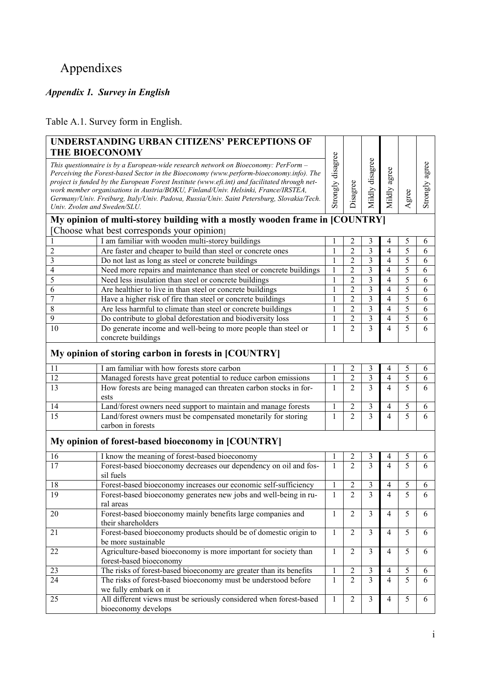# <span id="page-67-1"></span><span id="page-67-0"></span>Appendixes

### *Appendix 1. Survey in English*

Table A.1. Survey form in English.

|    | UNDERSTANDING URBAN CITIZENS' PERCEPTIONS OF<br><b>THE BIOECONOMY</b>                                                                                                                                                                                                                                                                                                                                                                                                                            |                   |                |                         |                |       |                   |
|----|--------------------------------------------------------------------------------------------------------------------------------------------------------------------------------------------------------------------------------------------------------------------------------------------------------------------------------------------------------------------------------------------------------------------------------------------------------------------------------------------------|-------------------|----------------|-------------------------|----------------|-------|-------------------|
|    | This questionnaire is by a European-wide research network on Bioeconomy: PerForm -<br>Perceiving the Forest-based Sector in the Bioeconomy (www.perform-bioeconomy.info). The<br>project is funded by the European Forest Institute (www.efi.int) and facilitated through net-<br>work member organisations in Austria/BOKU, Finland/Univ. Helsinki, France/IRSTEA,<br>Germany/Univ. Freiburg, Italy/Univ. Padova, Russia/Univ. Saint Petersburg, Slovakia/Tech.<br>Univ. Zvolen and Sweden/SLU. | Strongly disagree | Disagree       | Mildly disagree         | Mildly agree   | Agree | agree<br>Strongly |
|    | My opinion of multi-storey building with a mostly wooden frame in [COUNTRY]<br>[Choose what best corresponds your opinion]                                                                                                                                                                                                                                                                                                                                                                       |                   |                |                         |                |       |                   |
|    | I am familiar with wooden multi-storey buildings                                                                                                                                                                                                                                                                                                                                                                                                                                                 |                   | $\overline{c}$ | 3                       | 4              | 5     | 6                 |
| 2  | Are faster and cheaper to build than steel or concrete ones                                                                                                                                                                                                                                                                                                                                                                                                                                      | 1                 | $\overline{2}$ | $\overline{3}$          | 4              | 5     | 6                 |
| 3  | Do not last as long as steel or concrete buildings                                                                                                                                                                                                                                                                                                                                                                                                                                               | $\mathbf{1}$      | $\overline{2}$ | 3                       | 4              | 5     | 6                 |
| 4  | Need more repairs and maintenance than steel or concrete buildings                                                                                                                                                                                                                                                                                                                                                                                                                               |                   | $\overline{2}$ | 3                       | 4              | 5     | 6                 |
| 5  | Need less insulation than steel or concrete buildings                                                                                                                                                                                                                                                                                                                                                                                                                                            |                   | $\overline{2}$ | 3                       | 4              | 5     | 6                 |
| 6  | Are healthier to live in than steel or concrete buildings                                                                                                                                                                                                                                                                                                                                                                                                                                        | $\mathbf{1}$      | $\overline{2}$ | $\overline{\mathbf{3}}$ | 4              | 5     | 6                 |
| 7  | Have a higher risk of fire than steel or concrete buildings                                                                                                                                                                                                                                                                                                                                                                                                                                      | 1                 | $\overline{c}$ | 3                       | 4              | 5     | 6                 |
| 8  | Are less harmful to climate than steel or concrete buildings                                                                                                                                                                                                                                                                                                                                                                                                                                     | $\mathbf{1}$      | $\overline{2}$ | $\overline{3}$          | 4              | 5     | 6                 |
| 9  | Do contribute to global deforestation and biodiversity loss                                                                                                                                                                                                                                                                                                                                                                                                                                      | $\mathbf{1}$      | $\overline{2}$ | $\overline{\mathbf{3}}$ | 4              | 5     | 6                 |
| 10 | Do generate income and well-being to more people than steel or<br>concrete buildings                                                                                                                                                                                                                                                                                                                                                                                                             | 1                 | $\overline{2}$ | 3                       | 4              | 5     | 6                 |
|    | My opinion of storing carbon in forests in [COUNTRY]                                                                                                                                                                                                                                                                                                                                                                                                                                             |                   |                |                         |                |       |                   |
| 11 | I am familiar with how forests store carbon                                                                                                                                                                                                                                                                                                                                                                                                                                                      |                   | 2              | 3                       | 4              | 5     | 6                 |
| 12 | Managed forests have great potential to reduce carbon emissions                                                                                                                                                                                                                                                                                                                                                                                                                                  |                   | $\overline{2}$ | $\overline{\mathbf{3}}$ | 4              | 5     | 6                 |
| 13 | How forests are being managed can threaten carbon stocks in for-<br>ests                                                                                                                                                                                                                                                                                                                                                                                                                         | 1                 | $\overline{2}$ | 3                       | 4              | 5     | 6                 |
| 14 | Land/forest owners need support to maintain and manage forests                                                                                                                                                                                                                                                                                                                                                                                                                                   | 1                 | 2              | 3                       | 4              | 5     | 6                 |
| 15 | Land/forest owners must be compensated monetarily for storing<br>carbon in forests                                                                                                                                                                                                                                                                                                                                                                                                               | 1                 | $\overline{2}$ | 3                       | 4              | 5     | 6                 |
|    | My opinion of forest-based bioeconomy in [COUNTRY]                                                                                                                                                                                                                                                                                                                                                                                                                                               |                   |                |                         |                |       |                   |
| 16 | I know the meaning of forest-based bioeconomy                                                                                                                                                                                                                                                                                                                                                                                                                                                    |                   | 2              | 3                       | 4              | 5     | 6                 |
| 17 | Forest-based bioeconomy decreases our dependency on oil and fos-<br>sil fuels                                                                                                                                                                                                                                                                                                                                                                                                                    | $\mathbf{1}$      | $\overline{2}$ | 3                       | 4              | 5     | 6                 |
| 18 | Forest-based bioeconomy increases our economic self-sufficiency                                                                                                                                                                                                                                                                                                                                                                                                                                  | 1                 | 2              | 3                       | 4              | 5     | 6                 |
| 19 | Forest-based bioeconomy generates new jobs and well-being in ru-<br>ral areas                                                                                                                                                                                                                                                                                                                                                                                                                    | $\mathbf{1}$      | $\overline{c}$ | 3                       | 4              | 5     | 6                 |
| 20 | Forest-based bioeconomy mainly benefits large companies and<br>their shareholders                                                                                                                                                                                                                                                                                                                                                                                                                | 1                 | $\overline{2}$ | $\mathfrak{Z}$          | $\overline{4}$ | 5     | 6                 |
| 21 | Forest-based bioeconomy products should be of domestic origin to<br>be more sustainable                                                                                                                                                                                                                                                                                                                                                                                                          | 1                 | $\overline{2}$ | 3                       | 4              | 5     | 6                 |
| 22 | Agriculture-based bioeconomy is more important for society than<br>forest-based bioeconomy                                                                                                                                                                                                                                                                                                                                                                                                       | $\mathbf{1}$      | $\overline{2}$ | 3                       | $\overline{4}$ | 5     | 6                 |
| 23 | The risks of forest-based bioeconomy are greater than its benefits                                                                                                                                                                                                                                                                                                                                                                                                                               | 1                 | $\overline{2}$ | $\mathfrak{Z}$          | 4              | 5     | 6                 |
| 24 | The risks of forest-based bioeconomy must be understood before<br>we fully embark on it                                                                                                                                                                                                                                                                                                                                                                                                          | 1                 | $\overline{2}$ | $\overline{3}$          | $\overline{4}$ | 5     | 6                 |
| 25 | All different views must be seriously considered when forest-based<br>bioeconomy develops                                                                                                                                                                                                                                                                                                                                                                                                        | $\mathbf{1}$      | $\overline{2}$ | 3                       | $\overline{4}$ | 5     | 6                 |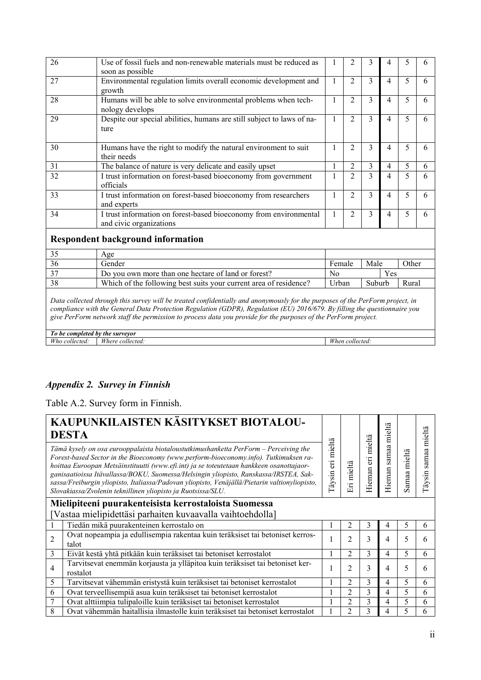| Use of fossil fuels and non-renewable materials must be reduced as<br>soon as possible       |              |                | 3 | 4 |   |   |
|----------------------------------------------------------------------------------------------|--------------|----------------|---|---|---|---|
| Environmental regulation limits overall economic development and<br>growth                   |              | 2              | 3 | 4 | 5 | 6 |
| Humans will be able to solve environmental problems when tech-<br>nology develops            |              | $\mathfrak{D}$ | 3 | 4 | 5 | 6 |
| Despite our special abilities, humans are still subject to laws of na-<br>ture               |              | $\overline{2}$ | 3 | 4 | 5 | 6 |
| Humans have the right to modify the natural environment to suit<br>their needs               | л.           | $\overline{2}$ | 3 | 4 | 5 | 6 |
| The balance of nature is very delicate and easily upset                                      |              | 2              | 3 | 4 | 5 | 6 |
| I trust information on forest-based bioeconomy from government<br>officials                  |              | $\mathfrak{D}$ | 3 | 4 | 5 | 6 |
| I trust information on forest-based bioeconomy from researchers<br>and experts               |              | $\overline{2}$ | 3 | 4 | 5 | 6 |
| I trust information on forest-based bioeconomy from environmental<br>and civic organizations | $\mathbf{I}$ | 2              | 3 | 4 | 5 | 6 |
|                                                                                              |              |                |   |   |   |   |

|    | Age                                                               |        |            |       |
|----|-------------------------------------------------------------------|--------|------------|-------|
| 36 | Gender                                                            | Female | Male       | Other |
|    | Do you own more than one hectare of land or forest?               | No     | <b>Yes</b> |       |
| 38 | Which of the following best suits your current area of residence? | Urban  | Suburb     |       |

*Data collected through this survey will be treated confidentially and anonymously for the purposes of the PerForm project, in compliance with the General Data Protection Regulation (GDPR), Regulation (EU) 2016/679. By filling the questionnaire you give PerForm network staff the permission to process data you provide for the purposes of the PerForm project.*

*To be completed by the surveyor Who collected: Where collected: When collected:*

### <span id="page-68-0"></span>*Appendix 2. Survey in Finnish*

Table A.2. Survey form in Finnish.

| KAUPUNKILAISTEN KÄSITYKSET BIOTALOU-<br><b>DESTA</b> |                                                                                                                                                                                                                                                                                                                                                                                                                                                                                                                                    | eri mieltä | mieltä<br>$\overline{\text{E}}$ |                         | mieltä          |                            | mieltä         |
|------------------------------------------------------|------------------------------------------------------------------------------------------------------------------------------------------------------------------------------------------------------------------------------------------------------------------------------------------------------------------------------------------------------------------------------------------------------------------------------------------------------------------------------------------------------------------------------------|------------|---------------------------------|-------------------------|-----------------|----------------------------|----------------|
|                                                      | Tämä kysely on osa eurooppalaista biotaloustutkimushanketta PerForm – Perceiving the<br>Forest-based Sector in the Bioeconomy (www.perform-bioeconomy.info). Tutkimuksen ra-<br>hoittaa Euroopan Metsäinstituutti (www.efi.int) ja se toteutetaan hankkeen osanottajaor-<br>ganisaatioissa Itävallassa/BOKU, Suomessa/Helsingin yliopisto, Ranskassa/IRSTEA, Sak-<br>sassa/Freiburgin yliopisto, Italiassa/Padovan yliopisto, Venäjällä/Pietarin valtionyliopisto,<br>Slovakiassa/Zvolenin teknillinen yliopisto ja Ruotsissa/SLU. |            |                                 | mieltä<br>eri<br>Hieman | samaa<br>Hieman | mieltä<br>amaa<br>$\omega$ | samaa<br>äysin |
|                                                      | Mielipiteeni puurakenteisista kerrostaloista Suomessa                                                                                                                                                                                                                                                                                                                                                                                                                                                                              |            |                                 |                         |                 |                            |                |
|                                                      | [Vastaa mielipidettäsi parhaiten kuvaavalla vaihtoehdolla]                                                                                                                                                                                                                                                                                                                                                                                                                                                                         |            |                                 |                         |                 |                            |                |
|                                                      | Tiedän mikä puurakenteinen kerrostalo on                                                                                                                                                                                                                                                                                                                                                                                                                                                                                           |            | $\overline{c}$                  | 3                       | 4               | 5                          | 6              |
| $\overline{2}$                                       | Ovat nopeampia ja edullisempia rakentaa kuin teräksiset tai betoniset kerros-<br>talot                                                                                                                                                                                                                                                                                                                                                                                                                                             |            | $\overline{2}$                  | 3                       | 4               | 5                          | h              |
| 3                                                    | Eivät kestä yhtä pitkään kuin teräksiset tai betoniset kerrostalot                                                                                                                                                                                                                                                                                                                                                                                                                                                                 |            | $\overline{c}$                  | 3                       | 4               | 5                          | 6              |
| 4                                                    | Tarvitsevat enemmän korjausta ja ylläpitoa kuin teräksiset tai betoniset ker-<br>rostalot                                                                                                                                                                                                                                                                                                                                                                                                                                          |            | $\overline{2}$                  | 3                       | 4               | 5                          |                |
| 5                                                    | Tarvitsevat vähemmän eristystä kuin teräksiset tai betoniset kerrostalot                                                                                                                                                                                                                                                                                                                                                                                                                                                           |            | 2                               | 3                       | 4               | 5                          | 6              |
| 6                                                    | Ovat terveellisempiä asua kuin teräksiset tai betoniset kerrostalot                                                                                                                                                                                                                                                                                                                                                                                                                                                                |            | $\overline{c}$                  | 3                       | 4               | 5                          | 6              |
| 7                                                    | Ovat alttiimpia tulipaloille kuin teräksiset tai betoniset kerrostalot                                                                                                                                                                                                                                                                                                                                                                                                                                                             |            | $\overline{\mathbf{c}}$         | 3                       | 4               | 5                          | 6              |
| 8                                                    | Ovat vähemmän haitallisia ilmastolle kuin teräksiset tai betoniset kerrostalot                                                                                                                                                                                                                                                                                                                                                                                                                                                     |            | 2                               | 3                       | 4               | 5                          | h              |